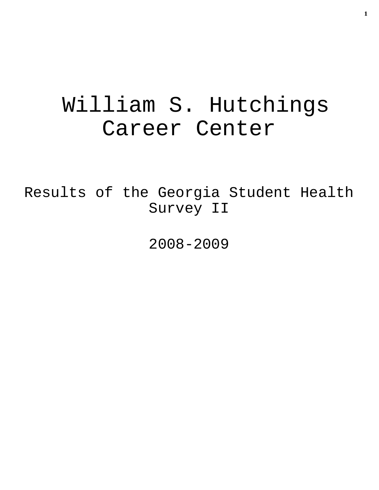# William S. Hutchings Career Center

Results of the Georgia Student Health Survey II

2008-2009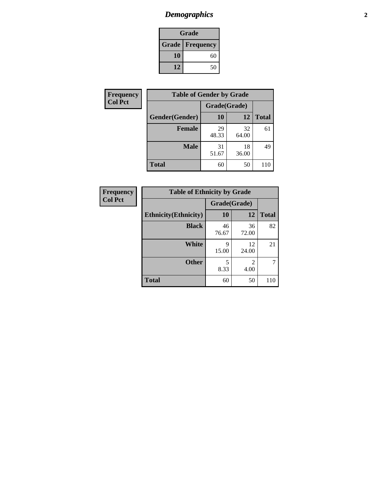## *Demographics* **2**

| Grade                    |    |  |  |
|--------------------------|----|--|--|
| <b>Grade   Frequency</b> |    |  |  |
| 10                       | 60 |  |  |
| 12                       | 50 |  |  |

| Frequency      | <b>Table of Gender by Grade</b> |              |             |              |  |
|----------------|---------------------------------|--------------|-------------|--------------|--|
| <b>Col Pct</b> |                                 | Grade(Grade) |             |              |  |
|                | Gender(Gender)                  | 10           | 12          | <b>Total</b> |  |
|                | Female                          | 29<br>48.33  | 32<br>64.00 | 61           |  |
|                | <b>Male</b>                     | 31<br>51.67  | 18<br>36.00 | 49           |  |
|                | <b>Total</b>                    | 60           | 50          | 110          |  |

| <b>Frequency</b> |
|------------------|
| <b>Col Pct</b>   |

| <b>Table of Ethnicity by Grade</b> |             |             |              |  |  |  |
|------------------------------------|-------------|-------------|--------------|--|--|--|
|                                    |             |             |              |  |  |  |
| <b>Ethnicity</b> (Ethnicity)       | 10          | 12          | <b>Total</b> |  |  |  |
| <b>Black</b>                       | 46<br>76.67 | 36<br>72.00 | 82           |  |  |  |
| <b>White</b>                       | 9<br>15.00  | 12<br>24.00 | 21           |  |  |  |
| <b>Other</b>                       | 5<br>8.33   | 2<br>4.00   |              |  |  |  |
| <b>Total</b>                       | 60          | 50          | 110          |  |  |  |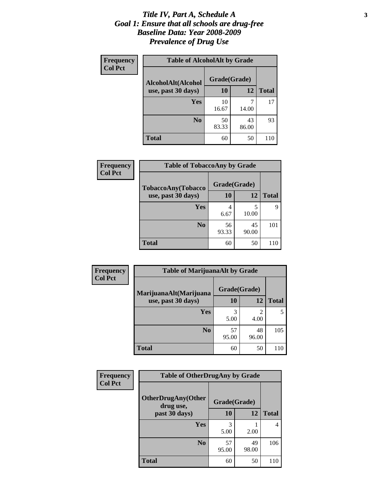#### *Title IV, Part A, Schedule A* **3** *Goal 1: Ensure that all schools are drug-free Baseline Data: Year 2008-2009 Prevalence of Drug Use*

| <b>Frequency</b><br><b>Col Pct</b> | <b>Table of AlcoholAlt by Grade</b> |              |             |              |  |  |
|------------------------------------|-------------------------------------|--------------|-------------|--------------|--|--|
|                                    | AlcoholAlt(Alcohol                  | Grade(Grade) |             |              |  |  |
|                                    | use, past 30 days)                  | 10           | 12          | <b>Total</b> |  |  |
|                                    | Yes                                 | 10<br>16.67  | 14.00       | 17           |  |  |
|                                    | N <sub>0</sub>                      | 50<br>83.33  | 43<br>86.00 | 93           |  |  |
|                                    | <b>Total</b>                        | 60           | 50          | 110          |  |  |

| <b>Frequency</b><br><b>Col Pct</b> | <b>Table of TobaccoAny by Grade</b> |              |             |              |  |
|------------------------------------|-------------------------------------|--------------|-------------|--------------|--|
|                                    | TobaccoAny(Tobacco                  | Grade(Grade) |             |              |  |
|                                    | use, past 30 days)                  | 10           | 12          | <b>Total</b> |  |
|                                    | Yes                                 | 4<br>6.67    | 5<br>10.00  | 9            |  |
|                                    | N <sub>0</sub>                      | 56<br>93.33  | 45<br>90.00 | 101          |  |
|                                    | <b>Total</b>                        | 60           | 50          | 110          |  |

| Frequency<br><b>Col Pct</b> | <b>Table of MarijuanaAlt by Grade</b> |              |                        |              |  |
|-----------------------------|---------------------------------------|--------------|------------------------|--------------|--|
|                             | MarijuanaAlt(Marijuana                | Grade(Grade) |                        |              |  |
|                             | use, past 30 days)                    | 10           | 12                     | <b>Total</b> |  |
|                             | <b>Yes</b>                            | 3<br>5.00    | $\mathfrak{D}$<br>4.00 | 5            |  |
|                             | N <sub>0</sub>                        | 57<br>95.00  | 48<br>96.00            | 105          |  |
|                             | <b>Total</b>                          | 60           | 50                     | 110          |  |

| Frequency<br><b>Col Pct</b> | <b>Table of OtherDrugAny by Grade</b>  |              |             |              |  |
|-----------------------------|----------------------------------------|--------------|-------------|--------------|--|
|                             | <b>OtherDrugAny(Other</b><br>drug use, | Grade(Grade) |             |              |  |
|                             | past 30 days)                          | 10           | <b>12</b>   | <b>Total</b> |  |
|                             | Yes                                    | 5.00         | 2.00        | 4            |  |
|                             | N <sub>0</sub>                         | 57<br>95.00  | 49<br>98.00 | 106          |  |
|                             | <b>Total</b>                           | 60           | 50          | 110          |  |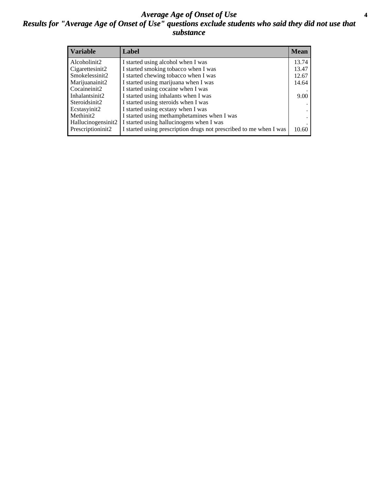#### *Average Age of Onset of Use* **4** *Results for "Average Age of Onset of Use" questions exclude students who said they did not use that substance*

| <b>Variable</b>    | Label                                                              | <b>Mean</b> |
|--------------------|--------------------------------------------------------------------|-------------|
| Alcoholinit2       | I started using alcohol when I was                                 | 13.74       |
| Cigarettesinit2    | I started smoking tobacco when I was                               | 13.47       |
| Smokelessinit2     | I started chewing tobacco when I was                               | 12.67       |
| Marijuanainit2     | I started using marijuana when I was                               | 14.64       |
| Cocaineinit2       | I started using cocaine when I was                                 |             |
| Inhalantsinit2     | I started using inhalants when I was                               | 9.00        |
| Steroidsinit2      | I started using steroids when I was                                |             |
| Ecstasyinit2       | I started using ecstasy when I was                                 |             |
| Methinit2          | I started using methamphetamines when I was                        |             |
| Hallucinogensinit2 | I started using hallucinogens when I was                           |             |
| Prescriptioninit2  | I started using prescription drugs not prescribed to me when I was | 10.60       |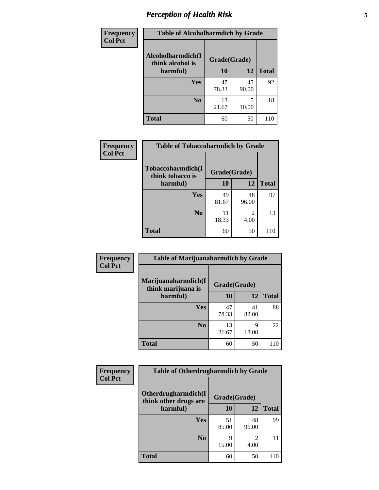## *Perception of Health Risk* **5**

| Frequency      | <b>Table of Alcoholharmdich by Grade</b> |              |             |              |  |
|----------------|------------------------------------------|--------------|-------------|--------------|--|
| <b>Col Pct</b> | Alcoholharmdich(I<br>think alcohol is    | Grade(Grade) |             |              |  |
|                | harmful)                                 | 10           | 12          | <b>Total</b> |  |
|                | Yes                                      | 47<br>78.33  | 45<br>90.00 | 92           |  |
|                | N <sub>0</sub>                           | 13<br>21.67  | 10.00       | 18           |  |
|                | <b>Total</b>                             | 60           | 50          | 110          |  |

| Frequency      | <b>Table of Tobaccoharmdich by Grade</b> |              |             |              |  |
|----------------|------------------------------------------|--------------|-------------|--------------|--|
| <b>Col Pct</b> | Tobaccoharmdich(I<br>think tobacco is    | Grade(Grade) |             |              |  |
|                | harmful)                                 | 10           | 12          | <b>Total</b> |  |
|                | <b>Yes</b>                               | 49<br>81.67  | 48<br>96.00 | 97           |  |
|                | N <sub>0</sub>                           | 11<br>18.33  | 2<br>4.00   | 13           |  |
|                | <b>Total</b>                             | 60           | 50          | 110          |  |

| Frequency      | <b>Table of Marijuanaharmdich by Grade</b> |              |             |              |  |
|----------------|--------------------------------------------|--------------|-------------|--------------|--|
| <b>Col Pct</b> | Marijuanaharmdich(I<br>think marijuana is  | Grade(Grade) |             |              |  |
|                | harmful)                                   | 10           | 12          | <b>Total</b> |  |
|                | Yes                                        | 47<br>78.33  | 41<br>82.00 | 88           |  |
|                | N <sub>0</sub>                             | 13<br>21.67  | q<br>18.00  | 22           |  |
|                | <b>Total</b>                               | 60           | 50          | 110          |  |

| Frequency      | <b>Table of Otherdrugharmdich by Grade</b>                   |             |             |              |  |
|----------------|--------------------------------------------------------------|-------------|-------------|--------------|--|
| <b>Col Pct</b> | Otherdrugharmdich(I<br>Grade(Grade)<br>think other drugs are |             |             |              |  |
|                | harmful)                                                     | <b>10</b>   | 12          | <b>Total</b> |  |
|                | <b>Yes</b>                                                   | 51<br>85.00 | 48<br>96.00 | 99           |  |
|                | N <sub>0</sub>                                               | Q<br>15.00  | 4.00        | 11           |  |
|                | <b>Total</b>                                                 | 60          | 50          | 110          |  |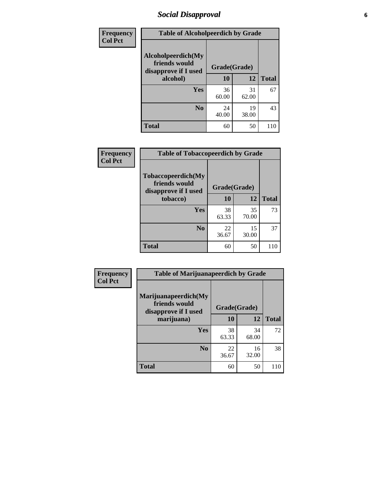### *Social Disapproval* **6**

| <b>Frequency</b> | <b>Table of Alcoholpeerdich by Grade</b>                                |              |             |              |
|------------------|-------------------------------------------------------------------------|--------------|-------------|--------------|
| <b>Col Pct</b>   | Alcoholpeerdich(My<br>friends would<br>disapprove if I used<br>alcohol) | Grade(Grade) |             |              |
|                  |                                                                         | 10           | 12          | <b>Total</b> |
|                  | <b>Yes</b>                                                              | 36<br>60.00  | 31<br>62.00 | 67           |
|                  | N <sub>0</sub>                                                          | 24<br>40.00  | 19<br>38.00 | 43           |
|                  | <b>Total</b>                                                            | 60           | 50          | 110          |

| <b>Frequency</b> |
|------------------|
| <b>Col Pct</b>   |

| <b>Table of Tobaccopeerdich by Grade</b>                    |              |             |              |  |
|-------------------------------------------------------------|--------------|-------------|--------------|--|
| Tobaccopeerdich(My<br>friends would<br>disapprove if I used | Grade(Grade) |             |              |  |
| tobacco)                                                    | 10           | 12          | <b>Total</b> |  |
| Yes                                                         | 38<br>63.33  | 35<br>70.00 | 73           |  |
| N <sub>0</sub>                                              | 22<br>36.67  | 15<br>30.00 | 37           |  |
| <b>Total</b>                                                | 60           | 50          |              |  |

| <b>Frequency</b> | <b>Table of Marijuanapeerdich by Grade</b>                    |              |             |              |  |
|------------------|---------------------------------------------------------------|--------------|-------------|--------------|--|
| <b>Col Pct</b>   | Marijuanapeerdich(My<br>friends would<br>disapprove if I used | Grade(Grade) |             |              |  |
|                  | marijuana)                                                    | 10           | 12          | <b>Total</b> |  |
|                  | <b>Yes</b>                                                    | 38<br>63.33  | 34<br>68.00 | 72           |  |
|                  | N <sub>0</sub>                                                | 22<br>36.67  | 16<br>32.00 | 38           |  |
|                  | <b>Total</b>                                                  | 60           | 50          | 110          |  |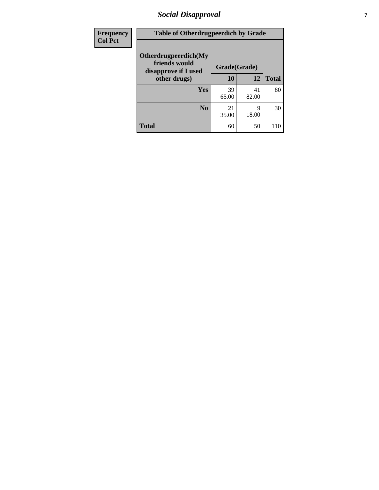### *Social Disapproval* **7**

| Frequency      | <b>Table of Otherdrugpeerdich by Grade</b>                    |              |             |              |  |
|----------------|---------------------------------------------------------------|--------------|-------------|--------------|--|
| <b>Col Pct</b> | Otherdrugpeerdich(My<br>friends would<br>disapprove if I used | Grade(Grade) |             |              |  |
|                | other drugs)                                                  | 10           | 12          | <b>Total</b> |  |
|                | Yes                                                           | 39<br>65.00  | 41<br>82.00 | 80           |  |
|                | N <sub>0</sub>                                                | 21<br>35.00  | 9<br>18.00  | 30           |  |
|                | <b>Total</b>                                                  | 60           | 50          | 110          |  |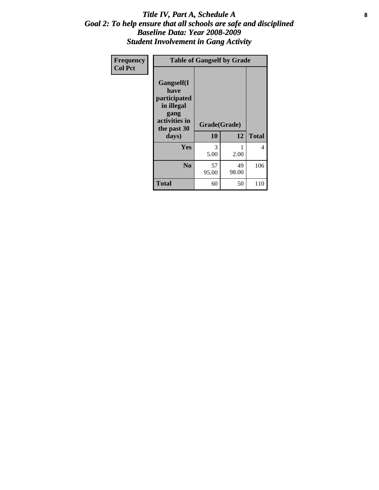#### Title IV, Part A, Schedule A **8** *Goal 2: To help ensure that all schools are safe and disciplined Baseline Data: Year 2008-2009 Student Involvement in Gang Activity*

| Frequency      |                                                                                                   | <b>Table of Gangself by Grade</b> |             |              |
|----------------|---------------------------------------------------------------------------------------------------|-----------------------------------|-------------|--------------|
| <b>Col Pct</b> | Gangself(I<br>have<br>participated<br>in illegal<br>gang<br>activities in<br>the past 30<br>days) | Grade(Grade)<br>10                | 12          | <b>Total</b> |
|                | Yes                                                                                               | 3<br>5.00                         | 1<br>2.00   | 4            |
|                | N <sub>0</sub>                                                                                    | 57<br>95.00                       | 49<br>98.00 | 106          |
|                | <b>Total</b>                                                                                      | 60                                | 50          | 110          |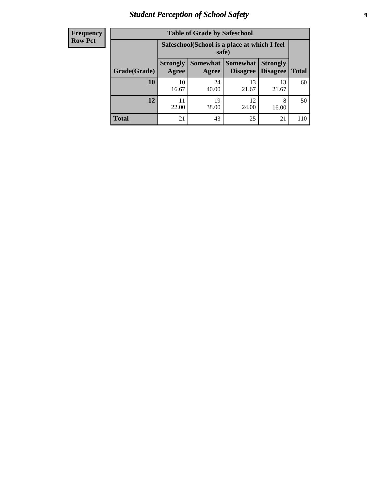## *Student Perception of School Safety* **9**

| <b>Frequency</b><br>Row Pct |
|-----------------------------|
|                             |

| <b>Table of Grade by Safeschool</b> |                                                                                                                                    |                                                        |             |             |     |  |
|-------------------------------------|------------------------------------------------------------------------------------------------------------------------------------|--------------------------------------------------------|-------------|-------------|-----|--|
|                                     |                                                                                                                                    | Safeschool (School is a place at which I feel<br>safe) |             |             |     |  |
| Grade(Grade)                        | Somewhat<br><b>Somewhat</b><br><b>Strongly</b><br><b>Strongly</b><br><b>Disagree</b><br>Agree<br>Disagree<br><b>Total</b><br>Agree |                                                        |             |             |     |  |
| 10                                  | 10<br>16.67                                                                                                                        | 24<br>40.00                                            | 13<br>21.67 | 13<br>21.67 | 60  |  |
| 12                                  | 22.00                                                                                                                              | 19<br>38.00                                            | 12<br>24.00 | 8<br>16.00  | 50  |  |
| <b>Total</b>                        | 21                                                                                                                                 | 43                                                     | 25          | 21          | 110 |  |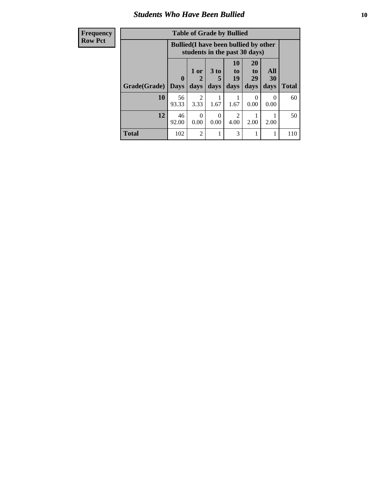#### *Students Who Have Been Bullied* **10**

| <b>Frequency</b> | <b>Table of Grade by Bullied</b> |             |                  |                  |                                                                               |                       |           |              |
|------------------|----------------------------------|-------------|------------------|------------------|-------------------------------------------------------------------------------|-----------------------|-----------|--------------|
| <b>Row Pct</b>   |                                  |             |                  |                  | <b>Bullied</b> (I have been bullied by other<br>students in the past 30 days) |                       |           |              |
|                  |                                  | 0           | $1$ or<br>2      | $3$ to<br>5      | <b>10</b><br>$\mathbf{t}$ <sup><math>\mathbf{0}</math></sup><br>19            | <b>20</b><br>to<br>29 | All<br>30 |              |
|                  | Grade(Grade)                     | <b>Days</b> | days             | days             | days                                                                          | days                  | days      | <b>Total</b> |
|                  | 10                               | 56<br>93.33 | 2<br>3.33        | 1.67             | 1.67                                                                          | $\Omega$<br>0.00      | 0<br>0.00 | 60           |
|                  | 12                               | 46<br>92.00 | $\Omega$<br>0.00 | $\Omega$<br>0.00 | 2<br>4.00                                                                     | 2.00                  | 2.00      | 50           |
|                  | <b>Total</b>                     | 102         | $\mathfrak{D}$   |                  | 3                                                                             |                       | 1         | 110          |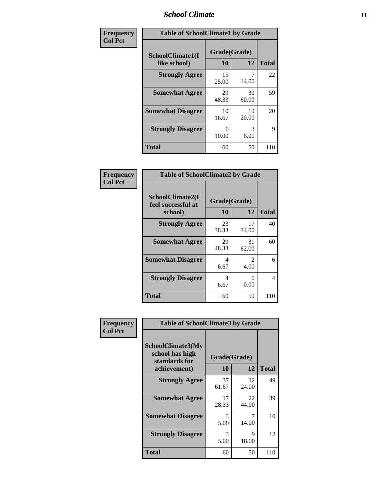#### *School Climate* **11**

| Frequency      | <b>Table of SchoolClimate1 by Grade</b> |                    |             |              |  |
|----------------|-----------------------------------------|--------------------|-------------|--------------|--|
| <b>Col Pct</b> | SchoolClimate1(I<br>like school)        | Grade(Grade)<br>10 | 12          | <b>Total</b> |  |
|                | <b>Strongly Agree</b>                   | 15<br>25.00        | 14.00       | 22           |  |
|                | <b>Somewhat Agree</b>                   | 29<br>48.33        | 30<br>60.00 | 59           |  |
|                | <b>Somewhat Disagree</b>                | 10<br>16.67        | 10<br>20.00 | 20           |  |
|                | <b>Strongly Disagree</b>                | 6<br>10.00         | 3<br>6.00   | 9            |  |
|                | <b>Total</b>                            | 60                 | 50          | 110          |  |

| Frequency      | <b>Table of SchoolClimate2 by Grade</b>           |                    |                           |              |  |
|----------------|---------------------------------------------------|--------------------|---------------------------|--------------|--|
| <b>Col Pct</b> | SchoolClimate2(I<br>feel successful at<br>school) | Grade(Grade)<br>10 | 12                        | <b>Total</b> |  |
|                | <b>Strongly Agree</b>                             | 23<br>38.33        | 17<br>34.00               | 40           |  |
|                | <b>Somewhat Agree</b>                             | 29<br>48.33        | 31<br>62.00               | 60           |  |
|                | <b>Somewhat Disagree</b>                          | 4<br>6.67          | 2<br>4.00                 | 6            |  |
|                | <b>Strongly Disagree</b>                          | 4<br>6.67          | $\mathbf{\Omega}$<br>0.00 | 4            |  |
|                | <b>Total</b>                                      | 60                 | 50                        | 110          |  |

|                             | <b>Table of SchoolClimate3 by Grade</b>                      |              |             |              |
|-----------------------------|--------------------------------------------------------------|--------------|-------------|--------------|
| Frequency<br><b>Col Pct</b> |                                                              |              |             |              |
|                             | <b>SchoolClimate3(My</b><br>school has high<br>standards for | Grade(Grade) |             |              |
|                             | achievement)                                                 | 10           | 12          | <b>Total</b> |
|                             | <b>Strongly Agree</b>                                        | 37<br>61.67  | 12<br>24.00 | 49           |
|                             | <b>Somewhat Agree</b>                                        | 17<br>28.33  | 22<br>44.00 | 39           |
|                             | <b>Somewhat Disagree</b>                                     | 3<br>5.00    | 7<br>14.00  | 10           |
|                             | <b>Strongly Disagree</b>                                     | 3<br>5.00    | 9<br>18.00  | 12           |
|                             | Total                                                        | 60           | 50          | 110          |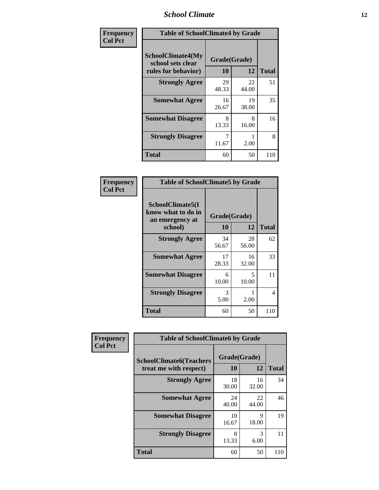#### *School Climate* **12**

| Frequency      | <b>Table of SchoolClimate4 by Grade</b>                       |                    |             |              |
|----------------|---------------------------------------------------------------|--------------------|-------------|--------------|
| <b>Col Pct</b> | SchoolClimate4(My<br>school sets clear<br>rules for behavior) | Grade(Grade)<br>10 | 12          | <b>Total</b> |
|                | <b>Strongly Agree</b>                                         | 29<br>48.33        | 22<br>44.00 | 51           |
|                | <b>Somewhat Agree</b>                                         | 16<br>26.67        | 19<br>38.00 | 35           |
|                | <b>Somewhat Disagree</b>                                      | 8<br>13.33         | 8<br>16.00  | 16           |
|                | <b>Strongly Disagree</b>                                      | 7<br>11.67         | 2.00        | 8            |
|                | <b>Total</b>                                                  | 60                 | 50          | 110          |

#### **Frequency Col Pct**

| <b>Table of SchoolClimate5 by Grade</b>                              |                    |              |     |  |
|----------------------------------------------------------------------|--------------------|--------------|-----|--|
| SchoolClimate5(I<br>know what to do in<br>an emergency at<br>school) | Grade(Grade)<br>10 | <b>Total</b> |     |  |
| <b>Strongly Agree</b>                                                | 34<br>56.67        | 28<br>56.00  | 62  |  |
| <b>Somewhat Agree</b>                                                | 17<br>28.33        | 16<br>32.00  | 33  |  |
| <b>Somewhat Disagree</b>                                             | 6<br>10.00         | 5<br>10.00   | 11  |  |
| <b>Strongly Disagree</b>                                             | 3<br>5.00          | 2.00         | 4   |  |
| <b>Total</b>                                                         | 60                 | 50           | 110 |  |

| Frequency      | <b>Table of SchoolClimate6 by Grade</b>                  |                    |                       |              |  |
|----------------|----------------------------------------------------------|--------------------|-----------------------|--------------|--|
| <b>Col Pct</b> | <b>SchoolClimate6(Teachers</b><br>treat me with respect) | Grade(Grade)<br>10 | 12                    | <b>Total</b> |  |
|                | <b>Strongly Agree</b>                                    | 18<br>30.00        | 16<br>32.00           | 34           |  |
|                | <b>Somewhat Agree</b>                                    | 24<br>40.00        | 22<br>44.00           | 46           |  |
|                | <b>Somewhat Disagree</b>                                 | 10<br>16.67        | 9<br>18.00            | 19           |  |
|                | <b>Strongly Disagree</b>                                 | 8<br>13.33         | $\mathcal{R}$<br>6.00 | 11           |  |
|                | <b>Total</b>                                             | 60                 | 50                    | 110          |  |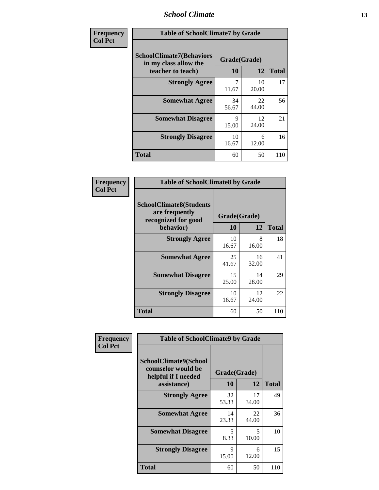#### *School Climate* **13**

| Frequency      | <b>Table of SchoolClimate7 by Grade</b>                                       |                           |             |              |
|----------------|-------------------------------------------------------------------------------|---------------------------|-------------|--------------|
| <b>Col Pct</b> | <b>SchoolClimate7(Behaviors</b><br>in my class allow the<br>teacher to teach) | Grade(Grade)<br><b>10</b> | 12          | <b>Total</b> |
|                | <b>Strongly Agree</b>                                                         | 7<br>11.67                | 10<br>20.00 | 17           |
|                | <b>Somewhat Agree</b>                                                         | 34<br>56.67               | 22<br>44.00 | 56           |
|                | <b>Somewhat Disagree</b>                                                      | $\mathbf Q$<br>15.00      | 12<br>24.00 | 21           |
|                | <b>Strongly Disagree</b>                                                      | 10<br>16.67               | 6<br>12.00  | 16           |
|                | <b>Total</b>                                                                  | 60                        | 50          | 110          |

| Frequency      | <b>Table of SchoolClimate8 by Grade</b>                                              |                    |             |              |
|----------------|--------------------------------------------------------------------------------------|--------------------|-------------|--------------|
| <b>Col Pct</b> | <b>SchoolClimate8(Students</b><br>are frequently<br>recognized for good<br>behavior) | Grade(Grade)<br>10 | 12          | <b>Total</b> |
|                | <b>Strongly Agree</b>                                                                | 10<br>16.67        | 8<br>16.00  | 18           |
|                | <b>Somewhat Agree</b>                                                                | 25<br>41.67        | 16<br>32.00 | 41           |
|                | <b>Somewhat Disagree</b>                                                             | 15<br>25.00        | 14<br>28.00 | 29           |
|                | <b>Strongly Disagree</b>                                                             | 10<br>16.67        | 12<br>24.00 | 22           |
|                | <b>Total</b>                                                                         | 60                 | 50          | 110          |

| Frequency      | <b>Table of SchoolClimate9 by Grade</b>                                           |                    |             |              |
|----------------|-----------------------------------------------------------------------------------|--------------------|-------------|--------------|
| <b>Col Pct</b> | SchoolClimate9(School<br>counselor would be<br>helpful if I needed<br>assistance) | Grade(Grade)<br>10 | 12          | <b>Total</b> |
|                | <b>Strongly Agree</b>                                                             | 32<br>53.33        | 17<br>34.00 | 49           |
|                | <b>Somewhat Agree</b>                                                             | 14<br>23.33        | 22<br>44.00 | 36           |
|                | <b>Somewhat Disagree</b>                                                          | 5<br>8.33          | 5<br>10.00  | 10           |
|                | <b>Strongly Disagree</b>                                                          | 9<br>15.00         | 6<br>12.00  | 15           |
|                | Total                                                                             | 60                 | 50          | 110          |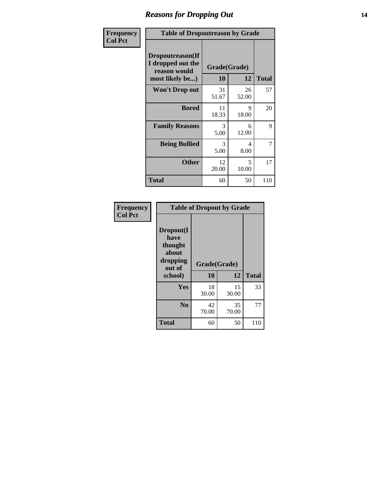#### *Reasons for Dropping Out* **14**

| <b>Frequency</b> | <b>Table of Dropoutreason by Grade</b>                                   |                    |             |              |
|------------------|--------------------------------------------------------------------------|--------------------|-------------|--------------|
| <b>Col Pct</b>   | Dropoutreason(If<br>I dropped out the<br>reason would<br>most likely be) | Grade(Grade)<br>10 | 12          | <b>Total</b> |
|                  | <b>Won't Drop out</b>                                                    | 31<br>51.67        | 26<br>52.00 | 57           |
|                  | <b>Bored</b>                                                             | 11<br>18.33        | 9<br>18.00  | 20           |
|                  | <b>Family Reasons</b>                                                    | 3<br>5.00          | 6<br>12.00  | 9            |
|                  | <b>Being Bullied</b>                                                     | 3<br>5.00          | 4<br>8.00   | 7            |
|                  | <b>Other</b>                                                             | 12<br>20.00        | 5<br>10.00  | 17           |
|                  | <b>Total</b>                                                             | 60                 | 50          | 110          |

| Frequency      |                                                                        | <b>Table of Dropout by Grade</b> |             |              |  |
|----------------|------------------------------------------------------------------------|----------------------------------|-------------|--------------|--|
| <b>Col Pct</b> | Dropout(I<br>have<br>thought<br>about<br>dropping<br>out of<br>school) | Grade(Grade)<br>10               | 12          | <b>Total</b> |  |
|                | Yes                                                                    | 18<br>30.00                      | 15<br>30.00 | 33           |  |
|                | N <sub>0</sub>                                                         | 42<br>70.00                      | 35<br>70.00 | 77           |  |
|                | <b>Total</b>                                                           | 60                               | 50          | 110          |  |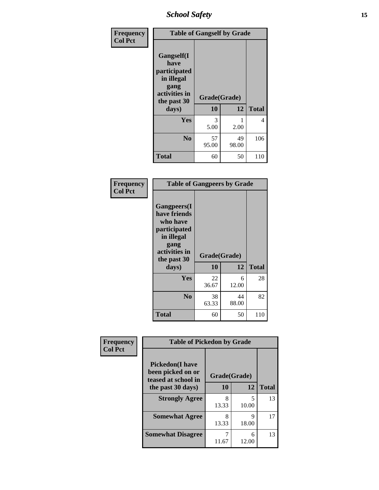*School Safety* **15**

| Frequency      | <b>Table of Gangself by Grade</b>                                                                 |                    |             |              |
|----------------|---------------------------------------------------------------------------------------------------|--------------------|-------------|--------------|
| <b>Col Pct</b> | Gangself(I<br>have<br>participated<br>in illegal<br>gang<br>activities in<br>the past 30<br>days) | Grade(Grade)<br>10 | 12          | <b>Total</b> |
|                | Yes                                                                                               | 3<br>5.00          | 2.00        | 4            |
|                | N <sub>0</sub>                                                                                    | 57<br>95.00        | 49<br>98.00 | 106          |
|                | <b>Total</b>                                                                                      | 60                 | 50          | 110          |

| Frequency<br><b>Col Pct</b> | <b>Table of Gangpeers by Grade</b>                                                                                             |                    |             |              |
|-----------------------------|--------------------------------------------------------------------------------------------------------------------------------|--------------------|-------------|--------------|
|                             | <b>Gangpeers</b> (I<br>have friends<br>who have<br>participated<br>in illegal<br>gang<br>activities in<br>the past 30<br>days) | Grade(Grade)<br>10 | 12          | <b>Total</b> |
|                             | Yes                                                                                                                            | 22<br>36.67        | 6<br>12.00  | 28           |
|                             | N <sub>0</sub>                                                                                                                 | 38<br>63.33        | 44<br>88.00 | 82           |
|                             | <b>Total</b>                                                                                                                   | 60                 | 50          | 110          |

| Frequency      | <b>Table of Pickedon by Grade</b>                                  |              |            |              |
|----------------|--------------------------------------------------------------------|--------------|------------|--------------|
| <b>Col Pct</b> | <b>Pickedon(I have</b><br>been picked on or<br>teased at school in | Grade(Grade) |            |              |
|                | the past 30 days)                                                  | 10           | 12         | <b>Total</b> |
|                | <b>Strongly Agree</b>                                              | 8<br>13.33   | 5<br>10.00 | 13           |
|                | <b>Somewhat Agree</b>                                              | 8<br>13.33   | Q<br>18.00 | 17           |
|                | <b>Somewhat Disagree</b>                                           | 11.67        | 6<br>12.00 | 13           |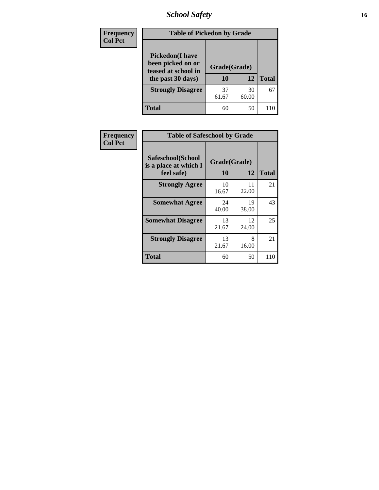## *School Safety* **16**

| Frequency      |                                                                                          | <b>Table of Pickedon by Grade</b> |             |              |  |  |  |
|----------------|------------------------------------------------------------------------------------------|-----------------------------------|-------------|--------------|--|--|--|
| <b>Col Pct</b> | <b>Pickedon</b> (I have<br>been picked on or<br>teased at school in<br>the past 30 days) | Grade(Grade)<br>10                | 12          | <b>Total</b> |  |  |  |
|                | <b>Strongly Disagree</b>                                                                 | 37<br>61.67                       | 30<br>60.00 | 67           |  |  |  |
|                | <b>Total</b>                                                                             | 60                                | 50          | 110          |  |  |  |

| Frequency      |                                                          | <b>Table of Safeschool by Grade</b> |             |              |  |  |  |  |  |
|----------------|----------------------------------------------------------|-------------------------------------|-------------|--------------|--|--|--|--|--|
| <b>Col Pct</b> | Safeschool(School<br>is a place at which I<br>feel safe) | Grade(Grade)<br>10                  | 12          | <b>Total</b> |  |  |  |  |  |
|                | <b>Strongly Agree</b>                                    | 10<br>16.67                         | 11<br>22.00 | 21           |  |  |  |  |  |
|                | <b>Somewhat Agree</b>                                    | 24<br>40.00                         | 19<br>38.00 | 43           |  |  |  |  |  |
|                | <b>Somewhat Disagree</b>                                 | 13<br>21.67                         | 12<br>24.00 | 25           |  |  |  |  |  |
|                | <b>Strongly Disagree</b>                                 | 13<br>21.67                         | 8<br>16.00  | 21           |  |  |  |  |  |
|                | <b>Total</b>                                             | 60                                  | 50          | 110          |  |  |  |  |  |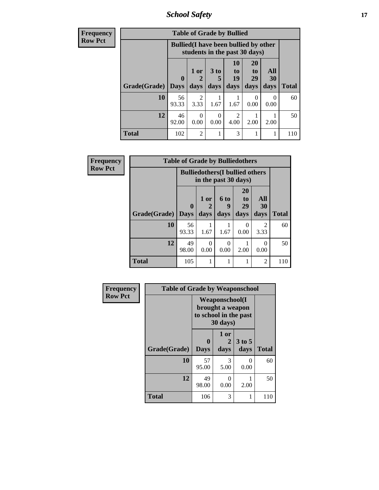*School Safety* **17**

| <b>Frequency</b> | <b>Table of Grade by Bullied</b> |             |                                                                               |                      |                          |                       |                  |              |  |
|------------------|----------------------------------|-------------|-------------------------------------------------------------------------------|----------------------|--------------------------|-----------------------|------------------|--------------|--|
| <b>Row Pct</b>   |                                  |             | <b>Bullied</b> (I have been bullied by other<br>students in the past 30 days) |                      |                          |                       |                  |              |  |
|                  |                                  | $\mathbf 0$ | 1 or                                                                          | 3 <sub>to</sub><br>5 | 10<br>$\mathbf{t}$<br>19 | <b>20</b><br>to<br>29 | All<br><b>30</b> |              |  |
|                  | Grade(Grade)                     | <b>Days</b> | days                                                                          | days                 | days                     | days                  | days             | <b>Total</b> |  |
|                  | 10                               | 56<br>93.33 | $\mathfrak{D}$<br>3.33                                                        | 1.67                 | 1.67                     | 0<br>0.00             | 0<br>0.00        | 60           |  |
|                  | 12                               | 46<br>92.00 | 0<br>0.00                                                                     | $\Omega$<br>0.00     | 2<br>4.00                | 2.00                  | 2.00             | 50           |  |
|                  | <b>Total</b>                     | 102         | $\overline{c}$                                                                |                      | 3                        |                       |                  | 110          |  |

| Frequency      |              | <b>Table of Grade by Bulliedothers</b> |                                                                |                   |                        |                        |              |
|----------------|--------------|----------------------------------------|----------------------------------------------------------------|-------------------|------------------------|------------------------|--------------|
| <b>Row Pct</b> |              |                                        | <b>Bulliedothers</b> (I bullied others<br>in the past 30 days) |                   |                        |                        |              |
|                | Grade(Grade) | $\mathbf{0}$<br><b>Days</b>            | 1 or<br>2<br>days                                              | 6 to<br>9<br>days | 20<br>to<br>29<br>days | All<br>30<br>days      | <b>Total</b> |
|                | 10           | 56<br>93.33                            | 1.67                                                           | 1.67              | $\Omega$<br>0.00       | $\mathfrak{D}$<br>3.33 | 60           |
|                | 12           | 49<br>98.00                            | 0<br>0.00                                                      | 0<br>0.00         | 2.00                   | 0<br>0.00              | 50           |
|                | <b>Total</b> | 105                                    |                                                                |                   |                        | $\overline{2}$         | 110          |

| Frequency      |              | <b>Table of Grade by Weaponschool</b> |                                                                                 |                           |              |  |
|----------------|--------------|---------------------------------------|---------------------------------------------------------------------------------|---------------------------|--------------|--|
| <b>Row Pct</b> |              |                                       | <b>Weaponschool</b> (I<br>brought a weapon<br>to school in the past<br>30 days) |                           |              |  |
|                | Grade(Grade) | $\mathbf 0$<br><b>Days</b>            | 1 or<br>2<br>days                                                               | 3 to 5<br>days            | <b>Total</b> |  |
|                | 10           | 57<br>95.00                           | 3<br>5.00                                                                       | $\mathbf{\Omega}$<br>0.00 | 60           |  |
|                | 12           | 49<br>98.00                           | 0<br>0.00                                                                       | 2.00                      | 50           |  |
|                | <b>Total</b> | 106                                   | 3                                                                               |                           | 110          |  |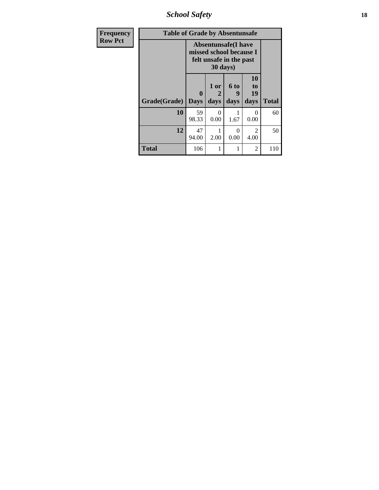*School Safety* **18**

| <b>Frequency</b> | <b>Table of Grade by Absentunsafe</b> |                  |                   |                                                                                   |                        |              |  |
|------------------|---------------------------------------|------------------|-------------------|-----------------------------------------------------------------------------------|------------------------|--------------|--|
| <b>Row Pct</b>   |                                       |                  | 30 days)          | <b>Absentunsafe</b> (I have<br>missed school because I<br>felt unsafe in the past |                        |              |  |
|                  | Grade(Grade)                          | 0<br><b>Days</b> | 1 or<br>2<br>days | 6 to<br>9<br>days                                                                 | 10<br>to<br>19<br>days | <b>Total</b> |  |
|                  | 10                                    | 59<br>98.33      | 0<br>0.00         | 1.67                                                                              | $\Omega$<br>0.00       | 60           |  |
|                  | 12                                    | 47<br>94.00      | 2.00              | $\Omega$<br>0.00                                                                  | $\mathfrak{D}$<br>4.00 | 50           |  |
|                  | <b>Total</b>                          | 106              | 1                 |                                                                                   | $\overline{2}$         | 110          |  |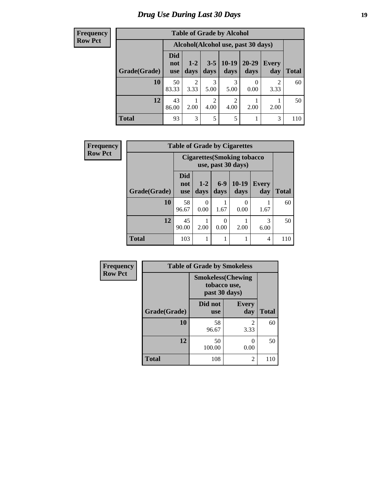### *Drug Use During Last 30 Days* **19**

**Frequency Row Pct**

| <b>Table of Grade by Alcohol</b>                                                                                                                     |             |                                     |           |           |      |           |     |  |
|------------------------------------------------------------------------------------------------------------------------------------------------------|-------------|-------------------------------------|-----------|-----------|------|-----------|-----|--|
|                                                                                                                                                      |             | Alcohol (Alcohol use, past 30 days) |           |           |      |           |     |  |
| <b>Did</b><br>$20 - 29$<br>$10-19$<br>$1 - 2$<br>$3 - 5$<br><b>Every</b><br>not<br>Grade(Grade)<br>days<br>days<br>days<br>day<br>days<br><b>use</b> |             |                                     |           |           |      |           |     |  |
| 10                                                                                                                                                   | 50<br>83.33 | $\overline{2}$<br>3.33              | 3<br>5.00 | 3<br>5.00 | 0.00 | 2<br>3.33 | 60  |  |
| 12<br>43<br>2<br>2<br>4.00<br>4.00<br>2.00<br>2.00<br>2.00<br>86.00                                                                                  |             |                                     |           |           |      |           |     |  |
| <b>Total</b>                                                                                                                                         | 93          | 3                                   | 5         | 5         |      | 3         | 110 |  |

| <b>Frequency</b> | <b>Table of Grade by Cigarettes</b> |                                 |                                                           |                 |                 |              |              |
|------------------|-------------------------------------|---------------------------------|-----------------------------------------------------------|-----------------|-----------------|--------------|--------------|
| <b>Row Pct</b>   |                                     |                                 | <b>Cigarettes (Smoking tobacco)</b><br>use, past 30 days) |                 |                 |              |              |
|                  | Grade(Grade)                        | <b>Did</b><br>not<br><b>use</b> | $1 - 2$<br>days                                           | $6 - 9$<br>days | $10-19$<br>days | Every<br>day | <b>Total</b> |
|                  | 10                                  | 58<br>96.67                     | 0.00                                                      | 1.67            | 0.00            | 1.67         | 60           |
|                  | 12                                  | 45<br>90.00                     | 2.00                                                      | 0.00            | 2.00            | 3<br>6.00    | 50           |
|                  | <b>Total</b>                        | 103                             |                                                           |                 |                 | 4            | 110          |

| Frequency      |              | <b>Table of Grade by Smokeless</b> |                                           |              |
|----------------|--------------|------------------------------------|-------------------------------------------|--------------|
| <b>Row Pct</b> |              | tobacco use,                       | <b>Smokeless(Chewing</b><br>past 30 days) |              |
|                | Grade(Grade) | Did not<br><b>use</b>              | <b>Every</b><br>day                       | <b>Total</b> |
|                | 10           | 58<br>96.67                        | $\mathfrak{D}$<br>3.33                    | 60           |
|                | 12           | 50<br>100.00                       | 0<br>0.00                                 | 50           |
|                | <b>Total</b> | 108                                | 2                                         | 110          |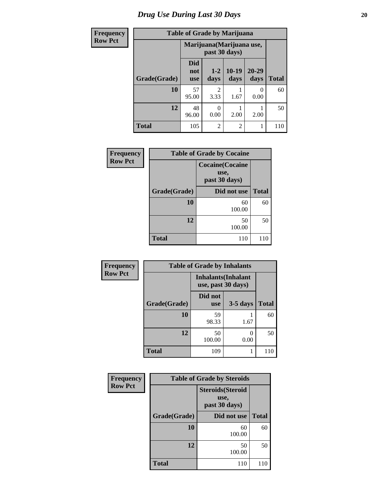## *Drug Use During Last 30 Days* 20

| <b>Frequency</b> |              | <b>Table of Grade by Marijuana</b> |                        |                           |                   |              |  |  |  |  |  |
|------------------|--------------|------------------------------------|------------------------|---------------------------|-------------------|--------------|--|--|--|--|--|
| <b>Row Pct</b>   |              |                                    | past 30 days)          | Marijuana (Marijuana use, |                   |              |  |  |  |  |  |
|                  | Grade(Grade) | <b>Did</b><br>not<br><b>use</b>    | $1 - 2$<br>days        | $10-19$<br>days           | $20 - 29$<br>days | <b>Total</b> |  |  |  |  |  |
|                  | 10           | 57<br>95.00                        | $\mathfrak{D}$<br>3.33 | 1.67                      | 0<br>0.00         | 60           |  |  |  |  |  |
|                  | 12           | 48<br>96.00                        | $\theta$<br>0.00       | 2.00                      | 2.00              | 50           |  |  |  |  |  |
|                  | <b>Total</b> | 105                                | $\overline{2}$         | $\overline{c}$            |                   | 110          |  |  |  |  |  |

| Frequency      |              | <b>Table of Grade by Cocaine</b>                 |              |  |  |  |  |
|----------------|--------------|--------------------------------------------------|--------------|--|--|--|--|
| <b>Row Pct</b> |              | <b>Cocaine</b> (Cocaine<br>use,<br>past 30 days) |              |  |  |  |  |
|                | Grade(Grade) | Did not use                                      | <b>Total</b> |  |  |  |  |
|                | 10           | 60<br>100.00                                     | 60           |  |  |  |  |
|                | 12           | 50<br>100.00                                     | 50           |  |  |  |  |
|                | <b>Total</b> | 110                                              | 110          |  |  |  |  |

| <b>Frequency</b> |              | <b>Table of Grade by Inhalants</b> |                            |              |  |  |  |  |
|------------------|--------------|------------------------------------|----------------------------|--------------|--|--|--|--|
| <b>Row Pct</b>   |              | use, past 30 days)                 | <b>Inhalants</b> (Inhalant |              |  |  |  |  |
|                  | Grade(Grade) | Did not<br><b>use</b>              | $3-5$ days                 | <b>Total</b> |  |  |  |  |
|                  | 10           | 59<br>98.33                        | 1.67                       | 60           |  |  |  |  |
|                  | 12           | 50<br>100.00                       | 0.00                       | 50           |  |  |  |  |
|                  | <b>Total</b> | 109                                |                            | 110          |  |  |  |  |

| Frequency      | <b>Table of Grade by Steroids</b> |                                                   |              |  |
|----------------|-----------------------------------|---------------------------------------------------|--------------|--|
| <b>Row Pct</b> |                                   | <b>Steroids</b> (Steroid<br>use,<br>past 30 days) |              |  |
|                | Grade(Grade)                      | Did not use                                       | <b>Total</b> |  |
|                | 10                                | 60<br>100.00                                      | 60           |  |
|                | 12                                | 50<br>100.00                                      | 50           |  |
|                | <b>Total</b>                      | 110                                               | 110          |  |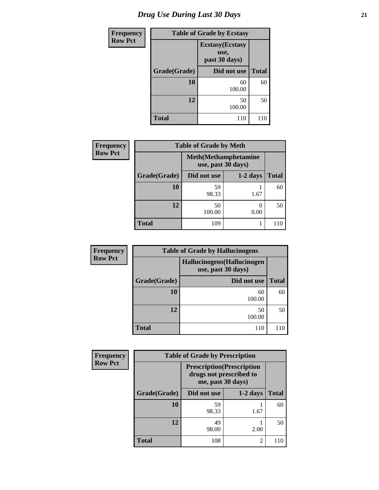## *Drug Use During Last 30 Days* **21**

| <b>Frequency</b> | <b>Table of Grade by Ecstasy</b> |                                                  |              |  |
|------------------|----------------------------------|--------------------------------------------------|--------------|--|
| <b>Row Pct</b>   |                                  | <b>Ecstasy</b> (Ecstasy<br>use.<br>past 30 days) |              |  |
|                  | Grade(Grade)                     | Did not use                                      | <b>Total</b> |  |
|                  | 10                               | 60<br>100.00                                     | 60           |  |
|                  | 12                               | 50<br>100.00                                     | 50           |  |
|                  | <b>Total</b>                     | 110                                              | 110          |  |

| <b>Frequency</b> | <b>Table of Grade by Meth</b> |                                                    |            |              |
|------------------|-------------------------------|----------------------------------------------------|------------|--------------|
| <b>Row Pct</b>   |                               | <b>Meth</b> (Methamphetamine<br>use, past 30 days) |            |              |
|                  | Grade(Grade)                  | Did not use                                        | $1-2$ days | <b>Total</b> |
|                  | 10                            | 59<br>98.33                                        | 1.67       | 60           |
|                  | 12                            | 50<br>100.00                                       | 0.00       | 50           |
|                  | <b>Total</b>                  | 109                                                |            | 110          |

| <b>Frequency</b> | <b>Table of Grade by Hallucinogens</b> |                                                   |              |  |  |
|------------------|----------------------------------------|---------------------------------------------------|--------------|--|--|
| <b>Row Pct</b>   |                                        | Hallucinogens (Hallucinogen<br>use, past 30 days) |              |  |  |
|                  | Grade(Grade)                           | Did not use                                       | <b>Total</b> |  |  |
|                  | <b>10</b>                              | 60<br>100.00                                      | 60           |  |  |
|                  | 12                                     | 50<br>100.00                                      | 50           |  |  |
|                  | <b>Total</b>                           | 110                                               |              |  |  |

| Frequency      | <b>Table of Grade by Prescription</b> |                                                        |                         |              |
|----------------|---------------------------------------|--------------------------------------------------------|-------------------------|--------------|
| <b>Row Pct</b> |                                       | <b>Prescription</b> (Prescription<br>me, past 30 days) | drugs not prescribed to |              |
|                | Grade(Grade)                          | Did not use                                            | $1-2$ days              | <b>Total</b> |
|                | 10                                    | 59<br>98.33                                            | 1.67                    | 60           |
|                | 12                                    | 49<br>98.00                                            | 2.00                    | 50           |
|                | <b>Total</b>                          | 108                                                    | $\overline{2}$          |              |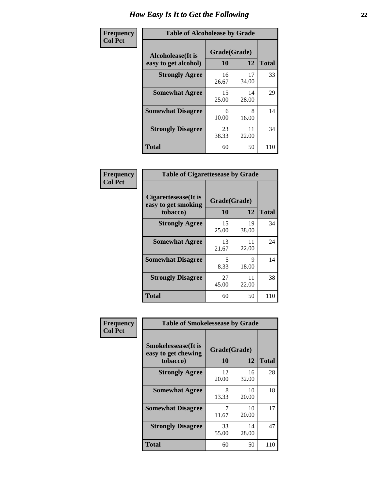| Frequency      | <b>Table of Alcoholease by Grade</b>              |                    |             |              |
|----------------|---------------------------------------------------|--------------------|-------------|--------------|
| <b>Col Pct</b> | <b>Alcoholease</b> (It is<br>easy to get alcohol) | Grade(Grade)<br>10 | 12          | <b>Total</b> |
|                | <b>Strongly Agree</b>                             | 16<br>26.67        | 17<br>34.00 | 33           |
|                | <b>Somewhat Agree</b>                             | 15<br>25.00        | 14<br>28.00 | 29           |
|                | <b>Somewhat Disagree</b>                          | 6<br>10.00         | 8<br>16.00  | 14           |
|                | <b>Strongly Disagree</b>                          | 23<br>38.33        | 11<br>22.00 | 34           |
|                | <b>Total</b>                                      | 60                 | 50          | 110          |

| Frequency      | <b>Table of Cigarettesease by Grade</b>                         |                    |             |              |
|----------------|-----------------------------------------------------------------|--------------------|-------------|--------------|
| <b>Col Pct</b> | <b>Cigarettesease</b> (It is<br>easy to get smoking<br>tobacco) | Grade(Grade)<br>10 | 12          | <b>Total</b> |
|                | <b>Strongly Agree</b>                                           | 15<br>25.00        | 19<br>38.00 | 34           |
|                | <b>Somewhat Agree</b>                                           | 13<br>21.67        | 11<br>22.00 | 24           |
|                | <b>Somewhat Disagree</b>                                        | 5<br>8.33          | 9<br>18.00  | 14           |
|                | <b>Strongly Disagree</b>                                        | 27<br>45.00        | 11<br>22.00 | 38           |
|                | Total                                                           | 60                 | 50          | 110          |

| Frequency      | <b>Table of Smokelessease by Grade</b>             |                           |             |              |
|----------------|----------------------------------------------------|---------------------------|-------------|--------------|
| <b>Col Pct</b> | <b>Smokelessease</b> (It is<br>easy to get chewing | Grade(Grade)<br><b>10</b> | 12          | <b>Total</b> |
|                | tobacco)                                           |                           |             |              |
|                | <b>Strongly Agree</b>                              | 12<br>20.00               | 16<br>32.00 | 28           |
|                | <b>Somewhat Agree</b>                              | 8<br>13.33                | 10<br>20.00 | 18           |
|                | <b>Somewhat Disagree</b>                           | 7<br>11.67                | 10<br>20.00 | 17           |
|                | <b>Strongly Disagree</b>                           | 33<br>55.00               | 14<br>28.00 | 47           |
|                | <b>Total</b>                                       | 60                        | 50          | 110          |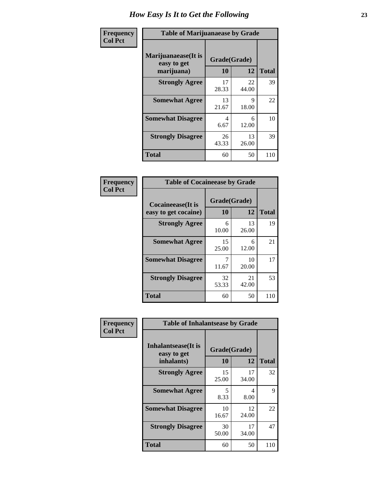| Frequency      | <b>Table of Marijuanaease by Grade</b>            |                           |             |              |
|----------------|---------------------------------------------------|---------------------------|-------------|--------------|
| <b>Col Pct</b> | Marijuanaease (It is<br>easy to get<br>marijuana) | Grade(Grade)<br><b>10</b> | 12          | <b>Total</b> |
|                | <b>Strongly Agree</b>                             | 17<br>28.33               | 22<br>44.00 | 39           |
|                | <b>Somewhat Agree</b>                             | 13<br>21.67               | 9<br>18.00  | 22           |
|                | <b>Somewhat Disagree</b>                          | 4<br>6.67                 | 6<br>12.00  | 10           |
|                | <b>Strongly Disagree</b>                          | 26<br>43.33               | 13<br>26.00 | 39           |
|                | <b>Total</b>                                      | 60                        | 50          | 110          |

#### **Frequency Col Pct**

| <b>Table of Cocaineease by Grade</b>              |                    |              |     |  |  |
|---------------------------------------------------|--------------------|--------------|-----|--|--|
| <b>Cocaineease</b> (It is<br>easy to get cocaine) | Grade(Grade)<br>10 | <b>Total</b> |     |  |  |
| <b>Strongly Agree</b>                             | 6<br>10.00         | 13<br>26.00  | 19  |  |  |
| <b>Somewhat Agree</b>                             | 15<br>25.00        | 6<br>12.00   | 21  |  |  |
| <b>Somewhat Disagree</b>                          | 11.67              | 10<br>20.00  | 17  |  |  |
| <b>Strongly Disagree</b>                          | 32<br>53.33        | 21<br>42.00  | 53  |  |  |
| <b>Total</b>                                      | 60                 | 50           | 110 |  |  |

| Frequency      | <b>Table of Inhalantsease by Grade</b>                   |                           |             |              |
|----------------|----------------------------------------------------------|---------------------------|-------------|--------------|
| <b>Col Pct</b> | <b>Inhalantsease</b> (It is<br>easy to get<br>inhalants) | Grade(Grade)<br><b>10</b> | 12          | <b>Total</b> |
|                | <b>Strongly Agree</b>                                    | 15<br>25.00               | 17<br>34.00 | 32           |
|                | <b>Somewhat Agree</b>                                    | 5<br>8.33                 | 4<br>8.00   | 9            |
|                | <b>Somewhat Disagree</b>                                 | 10<br>16.67               | 12<br>24.00 | 22           |
|                | <b>Strongly Disagree</b>                                 | 30<br>50.00               | 17<br>34.00 | 47           |
|                | <b>Total</b>                                             | 60                        | 50          | 110          |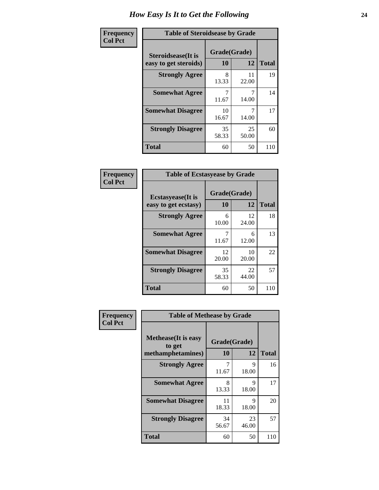| Frequency      | <b>Table of Steroidsease by Grade</b>               |                    |             |              |
|----------------|-----------------------------------------------------|--------------------|-------------|--------------|
| <b>Col Pct</b> | <b>Steroidsease</b> (It is<br>easy to get steroids) | Grade(Grade)<br>10 | 12          | <b>Total</b> |
|                | <b>Strongly Agree</b>                               | 8<br>13.33         | 11<br>22.00 | 19           |
|                | <b>Somewhat Agree</b>                               | 7<br>11.67         | 14.00       | 14           |
|                | <b>Somewhat Disagree</b>                            | 10<br>16.67        | 14.00       | 17           |
|                | <b>Strongly Disagree</b>                            | 35<br>58.33        | 25<br>50.00 | 60           |
|                | <b>Total</b>                                        | 60                 | 50          | 110          |

| Frequency      | <b>Table of Ecstasyease by Grade</b>              |                    |              |     |  |  |  |
|----------------|---------------------------------------------------|--------------------|--------------|-----|--|--|--|
| <b>Col Pct</b> | <b>Ecstasyease</b> (It is<br>easy to get ecstasy) | Grade(Grade)<br>10 | <b>Total</b> |     |  |  |  |
|                | <b>Strongly Agree</b>                             | 6<br>10.00         | 12<br>24.00  | 18  |  |  |  |
|                | <b>Somewhat Agree</b>                             | 11.67              | 6<br>12.00   | 13  |  |  |  |
|                | <b>Somewhat Disagree</b>                          | 12<br>20.00        | 10<br>20.00  | 22  |  |  |  |
|                | <b>Strongly Disagree</b>                          | 35<br>58.33        | 22<br>44.00  | 57  |  |  |  |
|                | Total                                             | 60                 | 50           | 110 |  |  |  |

| Frequency      |                                                            | <b>Table of Methease by Grade</b><br>Grade(Grade)<br>10<br>12<br>9<br>18.00<br>11.67<br>9<br>8<br>18.00<br>13.33<br>9<br>11<br>18.33<br>18.00<br>34<br>23<br>56.67<br>46.00 |    |              |
|----------------|------------------------------------------------------------|-----------------------------------------------------------------------------------------------------------------------------------------------------------------------------|----|--------------|
| <b>Col Pct</b> | <b>Methease</b> (It is easy<br>to get<br>methamphetamines) |                                                                                                                                                                             |    | <b>Total</b> |
|                | <b>Strongly Agree</b>                                      |                                                                                                                                                                             |    | 16           |
|                | <b>Somewhat Agree</b>                                      |                                                                                                                                                                             |    | 17           |
|                | <b>Somewhat Disagree</b>                                   |                                                                                                                                                                             |    | 20           |
|                | <b>Strongly Disagree</b>                                   |                                                                                                                                                                             |    | 57           |
|                | Total                                                      | 60                                                                                                                                                                          | 50 | 110          |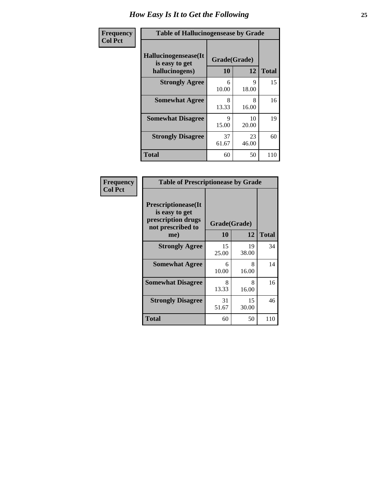| <b>Frequency</b> | <b>Table of Hallucinogensease by Grade</b>               |                    |             |              |  |  |
|------------------|----------------------------------------------------------|--------------------|-------------|--------------|--|--|
| <b>Col Pct</b>   | Hallucinogensease(It<br>is easy to get<br>hallucinogens) | Grade(Grade)<br>10 | 12          | <b>Total</b> |  |  |
|                  | <b>Strongly Agree</b>                                    | 6<br>10.00         | 9<br>18.00  | 15           |  |  |
|                  | <b>Somewhat Agree</b>                                    | 8<br>13.33         | 8<br>16.00  | 16           |  |  |
|                  | <b>Somewhat Disagree</b>                                 | Q<br>15.00         | 10<br>20.00 | 19           |  |  |
|                  | <b>Strongly Disagree</b>                                 | 37<br>61.67        | 23<br>46.00 | 60           |  |  |
|                  | <b>Total</b>                                             | 60                 | 50          | 110          |  |  |

| Frequency<br>  Col Pct |
|------------------------|
|                        |

| <b>Table of Prescriptionease by Grade</b>                                               |             |                    |              |  |  |
|-----------------------------------------------------------------------------------------|-------------|--------------------|--------------|--|--|
| <b>Prescriptionease(It</b><br>is easy to get<br>prescription drugs<br>not prescribed to | 10          | Grade(Grade)<br>12 | <b>Total</b> |  |  |
| me)                                                                                     |             |                    |              |  |  |
| <b>Strongly Agree</b>                                                                   | 15<br>25.00 | 19<br>38.00        | 34           |  |  |
| <b>Somewhat Agree</b>                                                                   | 6<br>10.00  | 8<br>16.00         | 14           |  |  |
| <b>Somewhat Disagree</b>                                                                | 8<br>13.33  | 8<br>16.00         | 16           |  |  |
| <b>Strongly Disagree</b>                                                                | 31<br>51.67 | 15<br>30.00        | 46           |  |  |
| <b>Total</b>                                                                            | 60          | 50                 | 110          |  |  |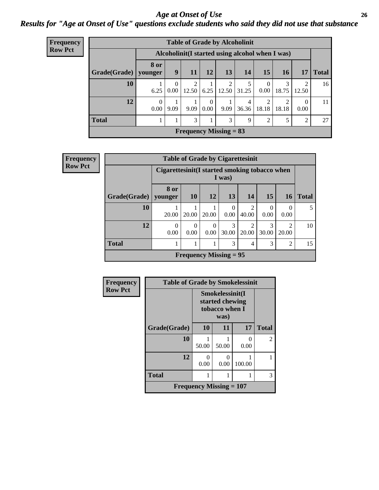#### *Age at Onset of Use* **26** *Results for "Age at Onset of Use" questions exclude students who said they did not use that substance*

| <b>Frequency</b> | <b>Table of Grade by Alcoholinit</b> |                  |                  |            |                  |                          |            |                         |                                                  |                  |              |
|------------------|--------------------------------------|------------------|------------------|------------|------------------|--------------------------|------------|-------------------------|--------------------------------------------------|------------------|--------------|
| <b>Row Pct</b>   |                                      |                  |                  |            |                  |                          |            |                         | Alcoholinit (I started using alcohol when I was) |                  |              |
|                  | Grade(Grade)                         | 8 or<br>younger  | 9                | 11         | 12               | 13                       | <b>14</b>  | 15                      | <b>16</b>                                        | 17               | <b>Total</b> |
|                  | 10                                   | 6.25             | $\theta$<br>0.00 | 2<br>12.50 | 6.25             | 2<br>12.50               | 31.25      | $\theta$<br>0.00        | 3<br>18.75                                       | 2<br>12.50       | 16           |
|                  | 12                                   | $\Omega$<br>0.00 | 9.09             | 9.09       | $\Omega$<br>0.00 | 9.09                     | 4<br>36.36 | $\overline{c}$<br>18.18 | ◠<br>18.18                                       | $\Omega$<br>0.00 | 11           |
|                  | <b>Total</b>                         |                  |                  | 3          |                  | 3                        | 9          | $\overline{c}$          |                                                  | $\overline{2}$   | 27           |
|                  |                                      |                  |                  |            |                  | Frequency Missing $= 83$ |            |                         |                                                  |                  |              |

| Frequency      | <b>Table of Grade by Cigarettesinit</b> |                                                |                               |                  |                  |                         |                  |                         |              |  |  |
|----------------|-----------------------------------------|------------------------------------------------|-------------------------------|------------------|------------------|-------------------------|------------------|-------------------------|--------------|--|--|
| <b>Row Pct</b> |                                         | Cigarettesinit (I started smoking tobacco when |                               |                  | I was)           |                         |                  |                         |              |  |  |
|                | Grade(Grade)   younger                  | 8 or                                           | 10                            | <b>12</b>        | 13               | 14                      | <b>15</b>        | <b>16</b>               | <b>Total</b> |  |  |
|                | 10                                      | 20.00                                          | 20.00                         | 20.00            | $\Omega$<br>0.00 | っ<br>40.00              | $\Omega$<br>0.00 | $\theta$<br>0.00        | 5            |  |  |
|                | 12                                      | $\Omega$<br>0.00                               | $\theta$<br>0.00              | $\theta$<br>0.00 | 3<br>30.00       | $\mathfrak{D}$<br>20.00 | 3<br>30.00       | $\mathfrak{D}$<br>20.00 | 10           |  |  |
|                | <b>Total</b>                            |                                                |                               | 1                | 3                | 4                       | 3                | 2                       | 15           |  |  |
|                |                                         |                                                | <b>Frequency Missing = 95</b> |                  |                  |                         |                  |                         |              |  |  |

| Frequency      | <b>Table of Grade by Smokelessinit</b> |                                             |                                                              |                           |                |  |  |
|----------------|----------------------------------------|---------------------------------------------|--------------------------------------------------------------|---------------------------|----------------|--|--|
| <b>Row Pct</b> |                                        |                                             | Smokelessinit(I<br>started chewing<br>tobacco when I<br>was) |                           |                |  |  |
|                | Grade(Grade)                           | 10                                          | 11                                                           | 17                        | <b>Total</b>   |  |  |
|                | 10                                     | 50.00                                       | 50.00                                                        | $\mathbf{\Omega}$<br>0.00 | $\mathfrak{D}$ |  |  |
|                | 12                                     | $\Omega$<br>0.00                            | $\mathbf{0}$<br>0.00                                         | 100.00                    |                |  |  |
|                | <b>Total</b>                           |                                             |                                                              |                           | 3              |  |  |
|                |                                        | <b>Frequency Missing <math>= 107</math></b> |                                                              |                           |                |  |  |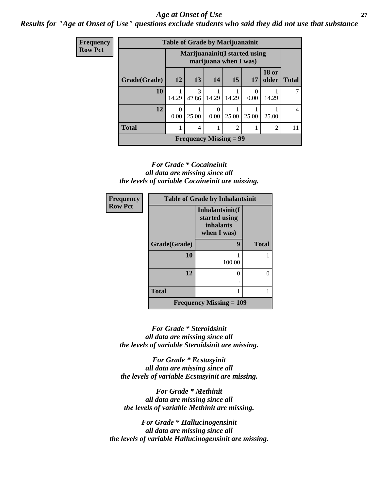#### *Age at Onset of Use* **27**

*Results for "Age at Onset of Use" questions exclude students who said they did not use that substance*

| Frequency      | <b>Table of Grade by Marijuanainit</b> |           |            |                  |                                                         |           |                       |              |  |
|----------------|----------------------------------------|-----------|------------|------------------|---------------------------------------------------------|-----------|-----------------------|--------------|--|
| <b>Row Pct</b> |                                        |           |            |                  | Marijuanainit (I started using<br>marijuana when I was) |           |                       |              |  |
|                | Grade(Grade)                           | <b>12</b> | <b>13</b>  | 14               | 15                                                      | 17        | <b>18 or</b><br>older | <b>Total</b> |  |
|                | 10                                     | 14.29     | 3<br>42.86 | 14.29            | 14.29                                                   | 0<br>0.00 | 14.29                 |              |  |
|                | 12                                     | 0<br>0.00 | 25.00      | $\Omega$<br>0.00 | 25.00                                                   | 25.00     | 25.00                 | 4            |  |
|                | <b>Total</b>                           |           | 4          |                  | $\overline{c}$                                          |           | $\overline{c}$        | 11           |  |
|                |                                        |           |            |                  | <b>Frequency Missing = 99</b>                           |           |                       |              |  |

#### *For Grade \* Cocaineinit all data are missing since all the levels of variable Cocaineinit are missing.*

| Frequency      | <b>Table of Grade by Inhalantsinit</b> |                                                              |              |  |  |  |  |
|----------------|----------------------------------------|--------------------------------------------------------------|--------------|--|--|--|--|
| <b>Row Pct</b> |                                        | Inhalantsinit(I<br>started using<br>inhalants<br>when I was) |              |  |  |  |  |
|                | Grade(Grade)                           | 9                                                            | <b>Total</b> |  |  |  |  |
|                | 10                                     | 100.00                                                       |              |  |  |  |  |
|                | 12                                     |                                                              | 0            |  |  |  |  |
|                | <b>Total</b>                           |                                                              |              |  |  |  |  |
|                |                                        | <b>Frequency Missing <math>= 109</math></b>                  |              |  |  |  |  |

*For Grade \* Steroidsinit all data are missing since all the levels of variable Steroidsinit are missing.*

*For Grade \* Ecstasyinit all data are missing since all the levels of variable Ecstasyinit are missing.*

*For Grade \* Methinit all data are missing since all the levels of variable Methinit are missing.*

*For Grade \* Hallucinogensinit all data are missing since all the levels of variable Hallucinogensinit are missing.*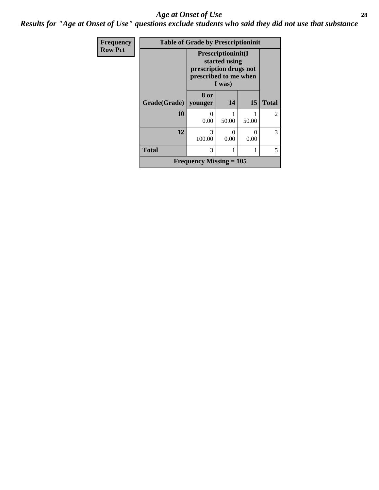#### *Age at Onset of Use* **28**

*Results for "Age at Onset of Use" questions exclude students who said they did not use that substance*

| Frequency      |                           | <b>Table of Grade by Prescriptioninit</b>                                                                |       |           |              |  |  |  |
|----------------|---------------------------|----------------------------------------------------------------------------------------------------------|-------|-----------|--------------|--|--|--|
| <b>Row Pct</b> |                           | <b>Prescriptioninit(I)</b><br>started using<br>prescription drugs not<br>prescribed to me when<br>I was) |       |           |              |  |  |  |
|                | Grade(Grade)              | 8 or<br>vounger                                                                                          | 14    | 15        | <b>Total</b> |  |  |  |
|                | 10                        | 0<br>0.00                                                                                                | 50.00 | 50.00     | 2            |  |  |  |
|                | 12                        | 3<br>100.00                                                                                              | 0.00  | 0<br>0.00 | 3            |  |  |  |
|                | <b>Total</b>              | 3                                                                                                        |       | 1         | 5            |  |  |  |
|                | Frequency Missing $= 105$ |                                                                                                          |       |           |              |  |  |  |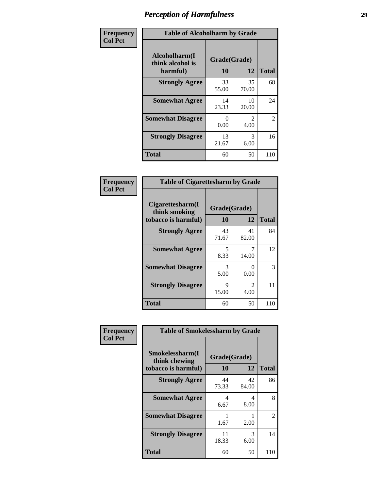| Frequency      | <b>Table of Alcoholharm by Grade</b>          |                    |                        |              |  |  |  |
|----------------|-----------------------------------------------|--------------------|------------------------|--------------|--|--|--|
| <b>Col Pct</b> | Alcoholharm(I<br>think alcohol is<br>harmful) | Grade(Grade)<br>10 | 12                     | <b>Total</b> |  |  |  |
|                | <b>Strongly Agree</b>                         | 33<br>55.00        | 35<br>70.00            | 68           |  |  |  |
|                | <b>Somewhat Agree</b>                         | 14<br>23.33        | 10<br>20.00            | 24           |  |  |  |
|                | <b>Somewhat Disagree</b>                      | 0<br>0.00          | $\mathfrak{D}$<br>4.00 | 2            |  |  |  |
|                | <b>Strongly Disagree</b>                      | 13<br>21.67        | 3<br>6.00              | 16           |  |  |  |
|                | <b>Total</b>                                  | 60                 | 50                     | 110          |  |  |  |

#### **Frequency Col Pct**

| <b>Table of Cigarettesharm by Grade</b>                  |                    |                           |              |  |  |
|----------------------------------------------------------|--------------------|---------------------------|--------------|--|--|
| Cigarettesharm(I<br>think smoking<br>tobacco is harmful) | Grade(Grade)<br>10 | 12                        | <b>Total</b> |  |  |
| <b>Strongly Agree</b>                                    | 43<br>71.67        | 41<br>82.00               | 84           |  |  |
| <b>Somewhat Agree</b>                                    | 5<br>8.33          | 14.00                     | 12           |  |  |
| <b>Somewhat Disagree</b>                                 | 3<br>5.00          | $\mathbf{\Omega}$<br>0.00 | 3            |  |  |
| <b>Strongly Disagree</b>                                 | 9<br>15.00         | $\mathfrak{D}$<br>4.00    | 11           |  |  |
| <b>Total</b>                                             | 60                 | 50                        | 110          |  |  |

| Frequency      | <b>Table of Smokelessharm by Grade</b>                  |                           |             |              |
|----------------|---------------------------------------------------------|---------------------------|-------------|--------------|
| <b>Col Pct</b> | Smokelessharm(I<br>think chewing<br>tobacco is harmful) | Grade(Grade)<br><b>10</b> | 12          | <b>Total</b> |
|                | <b>Strongly Agree</b>                                   | 44<br>73.33               | 42<br>84.00 | 86           |
|                | <b>Somewhat Agree</b>                                   | 4<br>6.67                 | 4<br>8.00   | 8            |
|                | <b>Somewhat Disagree</b>                                | 1.67                      | 2.00        | 2            |
|                | <b>Strongly Disagree</b>                                | 11<br>18.33               | 3<br>6.00   | 14           |
|                | <b>Total</b>                                            | 60                        | 50          | 110          |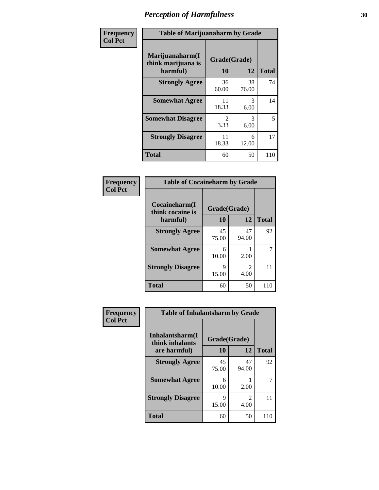| Frequency      | <b>Table of Marijuanaharm by Grade</b>            |                    |             |              |
|----------------|---------------------------------------------------|--------------------|-------------|--------------|
| <b>Col Pct</b> | Marijuanaharm(I<br>think marijuana is<br>harmful) | Grade(Grade)<br>10 | 12          | <b>Total</b> |
|                | <b>Strongly Agree</b>                             | 36<br>60.00        | 38<br>76.00 | 74           |
|                | <b>Somewhat Agree</b>                             | 11<br>18.33        | 3<br>6.00   | 14           |
|                | <b>Somewhat Disagree</b>                          | 2<br>3.33          | 3<br>6.00   | 5            |
|                | <b>Strongly Disagree</b>                          | 11<br>18.33        | 6<br>12.00  | 17           |
|                | <b>Total</b>                                      | 60                 | 50          | 110          |

#### **Frequency Col Pct**

| <b>Table of Cocaineharm by Grade</b> |              |                                     |              |  |  |
|--------------------------------------|--------------|-------------------------------------|--------------|--|--|
| Cocaineharm(I<br>think cocaine is    | Grade(Grade) |                                     |              |  |  |
| harmful)                             | 10           | 12                                  | <b>Total</b> |  |  |
| <b>Strongly Agree</b>                | 45<br>75.00  | 47<br>94.00                         | 92           |  |  |
| <b>Somewhat Agree</b>                | 6<br>10.00   | 2.00                                |              |  |  |
| <b>Strongly Disagree</b>             | 9<br>15.00   | $\mathcal{D}_{\mathcal{L}}$<br>4.00 | 11           |  |  |
| <b>Total</b>                         | 60           | 50                                  | 110          |  |  |

#### **Frequency Col Pct**

| <b>Table of Inhalantsharm by Grade</b> |              |             |              |  |  |
|----------------------------------------|--------------|-------------|--------------|--|--|
| Inhalantsharm(I<br>think inhalants     | Grade(Grade) |             |              |  |  |
| are harmful)                           | 10           | 12          | <b>Total</b> |  |  |
| <b>Strongly Agree</b>                  | 45<br>75.00  | 47<br>94.00 | 92           |  |  |
| <b>Somewhat Agree</b>                  | 6<br>10.00   | 2.00        |              |  |  |
| <b>Strongly Disagree</b>               | 9<br>15.00   | 2<br>4.00   | 11           |  |  |
| <b>Total</b>                           | 60           | 50          | 110          |  |  |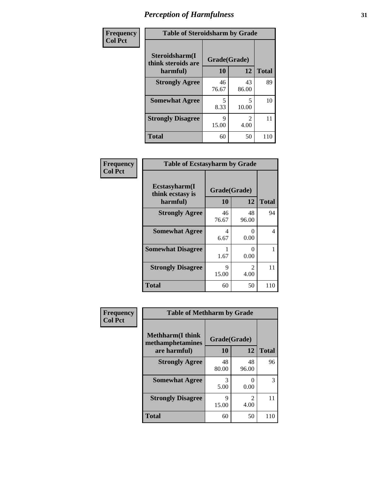| Frequency      | <b>Table of Steroidsharm by Grade</b> |              |             |              |
|----------------|---------------------------------------|--------------|-------------|--------------|
| <b>Col Pct</b> | Steroidsharm(I<br>think steroids are  | Grade(Grade) |             |              |
|                | harmful)                              | 10           | 12          | <b>Total</b> |
|                | <b>Strongly Agree</b>                 | 46<br>76.67  | 43<br>86.00 | 89           |
|                | <b>Somewhat Agree</b>                 | 5<br>8.33    | 5<br>10.00  | 10           |
|                | <b>Strongly Disagree</b>              | 9<br>15.00   | 2<br>4.00   | 11           |
|                | <b>Total</b>                          | 60           | 50          | 110          |

| Frequency      | <b>Table of Ecstasyharm by Grade</b>          |                    |                                     |              |
|----------------|-----------------------------------------------|--------------------|-------------------------------------|--------------|
| <b>Col Pct</b> | Ecstasyharm(I<br>think ecstasy is<br>harmful) | Grade(Grade)<br>10 | 12                                  | <b>Total</b> |
|                | <b>Strongly Agree</b>                         | 46<br>76.67        | 48<br>96.00                         | 94           |
|                | <b>Somewhat Agree</b>                         | 4<br>6.67          | $\mathbf{0}$<br>0.00                | 4            |
|                | <b>Somewhat Disagree</b>                      | 1.67               | $\mathbf{0}$<br>0.00                |              |
|                | <b>Strongly Disagree</b>                      | Q<br>15.00         | $\mathcal{D}_{\mathcal{L}}$<br>4.00 | 11           |
|                | <b>Total</b>                                  | 60                 | 50                                  | 110          |

| Frequency      | <b>Table of Methharm by Grade</b>            |              |                                     |                    |
|----------------|----------------------------------------------|--------------|-------------------------------------|--------------------|
| <b>Col Pct</b> | <b>Methharm</b> (I think<br>methamphetamines | Grade(Grade) |                                     |                    |
|                | are harmful)<br><b>Strongly Agree</b>        | 10<br>48     | 12<br>48                            | <b>Total</b><br>96 |
|                |                                              | 80.00        | 96.00                               |                    |
|                | <b>Somewhat Agree</b>                        | 3<br>5.00    | 0.00                                | 3                  |
|                | <b>Strongly Disagree</b>                     | 9<br>15.00   | $\mathcal{D}_{\mathcal{A}}$<br>4.00 | 11                 |
|                | <b>Total</b>                                 | 60           | 50                                  | 110                |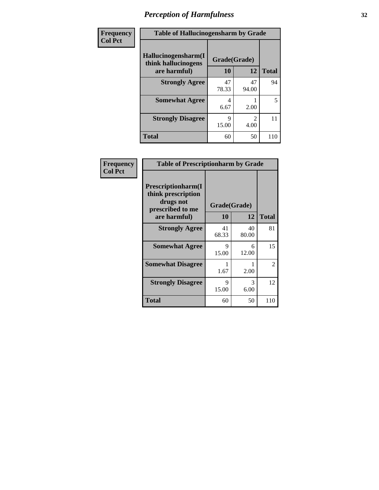| Frequency      | <b>Table of Hallucinogensharm by Grade</b> |              |                       |              |
|----------------|--------------------------------------------|--------------|-----------------------|--------------|
| <b>Col Pct</b> | Hallucinogensharm(I<br>think hallucinogens | Grade(Grade) |                       |              |
|                | are harmful)                               | 10           | 12                    | <b>Total</b> |
|                | <b>Strongly Agree</b>                      | 47<br>78.33  | 47<br>94.00           | 94           |
|                | <b>Somewhat Agree</b>                      | 4<br>6.67    | 2.00                  | 5            |
|                | <b>Strongly Disagree</b>                   | 9<br>15.00   | $\mathcal{L}$<br>4.00 | 11           |
|                | <b>Total</b>                               | 60           | 50                    | 110          |

| Frequency      | <b>Table of Prescriptionharm by Grade</b>                                 |              |             |              |
|----------------|---------------------------------------------------------------------------|--------------|-------------|--------------|
| <b>Col Pct</b> | Prescriptionharm(I<br>think prescription<br>drugs not<br>prescribed to me | Grade(Grade) |             |              |
|                | are harmful)                                                              | <b>10</b>    | 12          | <b>Total</b> |
|                | <b>Strongly Agree</b>                                                     | 41<br>68.33  | 40<br>80.00 | 81           |
|                | <b>Somewhat Agree</b>                                                     | 9<br>15.00   | 6<br>12.00  | 15           |
|                | <b>Somewhat Disagree</b>                                                  | 1.67         | 2.00        | 2            |
|                | <b>Strongly Disagree</b>                                                  | 9<br>15.00   | 3<br>6.00   | 12           |
|                | Total                                                                     | 60           | 50          | 110          |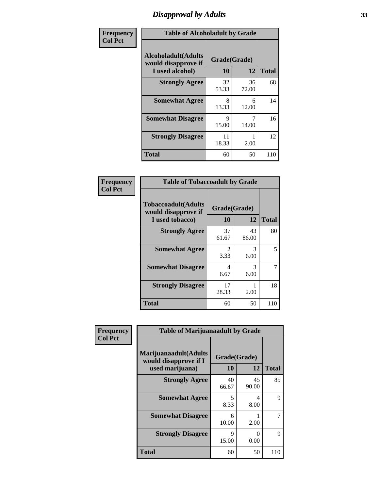### *Disapproval by Adults* **33**

| Frequency      | <b>Table of Alcoholadult by Grade</b>                                 |                    |             |              |
|----------------|-----------------------------------------------------------------------|--------------------|-------------|--------------|
| <b>Col Pct</b> | <b>Alcoholadult</b> (Adults<br>would disapprove if<br>I used alcohol) | Grade(Grade)<br>10 | 12          | <b>Total</b> |
|                | <b>Strongly Agree</b>                                                 | 32<br>53.33        | 36<br>72.00 | 68           |
|                | <b>Somewhat Agree</b>                                                 | 8<br>13.33         | 6<br>12.00  | 14           |
|                | <b>Somewhat Disagree</b>                                              | 9<br>15.00         | 14.00       | 16           |
|                | <b>Strongly Disagree</b>                                              | 11<br>18.33        | 2.00        | 12           |
|                | <b>Total</b>                                                          | 60                 | 50          | 110          |

#### **Frequency Col Pct**

| <b>Table of Tobaccoadult by Grade</b>                                 |                       |                       |              |  |  |
|-----------------------------------------------------------------------|-----------------------|-----------------------|--------------|--|--|
| <b>Tobaccoadult</b> (Adults<br>would disapprove if<br>I used tobacco) | Grade(Grade)<br>10    | 12                    | <b>Total</b> |  |  |
| <b>Strongly Agree</b>                                                 | 37<br>61.67           | 43<br>86.00           | 80           |  |  |
| <b>Somewhat Agree</b>                                                 | $\mathcal{L}$<br>3.33 | $\mathcal{R}$<br>6.00 | 5            |  |  |
| <b>Somewhat Disagree</b>                                              | 4<br>6.67             | 3<br>6.00             | 7            |  |  |
| <b>Strongly Disagree</b>                                              | 17<br>28.33           | 2.00                  | 18           |  |  |
| <b>Total</b>                                                          | 60                    | 50                    | 110          |  |  |

| Frequency<br><b>Col Pct</b> | <b>Table of Marijuanaadult by Grade</b>                           |                    |                  |              |
|-----------------------------|-------------------------------------------------------------------|--------------------|------------------|--------------|
|                             | Marijuanaadult(Adults<br>would disapprove if I<br>used marijuana) | Grade(Grade)<br>10 | 12               | <b>Total</b> |
|                             | <b>Strongly Agree</b>                                             | 40<br>66.67        | 45<br>90.00      | 85           |
|                             | <b>Somewhat Agree</b>                                             | 5<br>8.33          | 4<br>8.00        | 9            |
|                             | <b>Somewhat Disagree</b>                                          | 6<br>10.00         | 2.00             |              |
|                             | <b>Strongly Disagree</b>                                          | 9<br>15.00         | $\Omega$<br>0.00 | 9            |
|                             | <b>Total</b>                                                      | 60                 | 50               | 110          |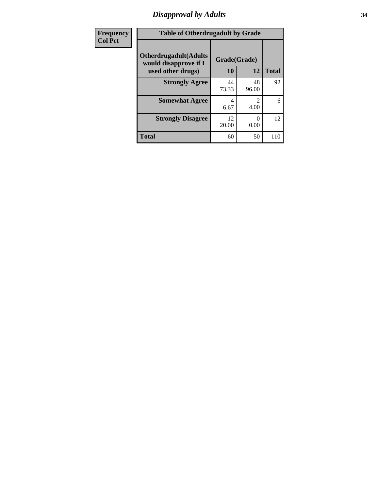### *Disapproval by Adults* **34**

| Frequency      | <b>Table of Otherdrugadult by Grade</b>                                     |                    |             |              |
|----------------|-----------------------------------------------------------------------------|--------------------|-------------|--------------|
| <b>Col Pct</b> | <b>Otherdrugadult</b> (Adults<br>would disapprove if I<br>used other drugs) | Grade(Grade)<br>10 | 12          | <b>Total</b> |
|                | <b>Strongly Agree</b>                                                       | 44<br>73.33        | 48<br>96.00 | 92           |
|                | <b>Somewhat Agree</b>                                                       | 4<br>6.67          | 2<br>4.00   | 6            |
|                | <b>Strongly Disagree</b>                                                    | 12<br>20.00        | 0<br>0.00   | 12           |
|                | <b>Total</b>                                                                | 60                 | 50          | 110          |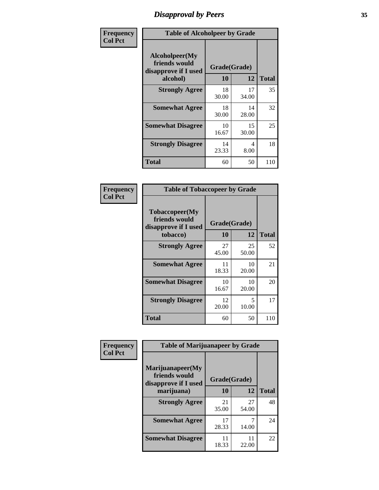### *Disapproval by Peers* **35**

| Frequency      | <b>Table of Alcoholpeer by Grade</b>                    |              |             |              |
|----------------|---------------------------------------------------------|--------------|-------------|--------------|
| <b>Col Pct</b> | Alcoholpeer(My<br>friends would<br>disapprove if I used | Grade(Grade) |             |              |
|                | alcohol)                                                | 10           | 12          | <b>Total</b> |
|                | <b>Strongly Agree</b>                                   | 18<br>30.00  | 17<br>34.00 | 35           |
|                | <b>Somewhat Agree</b>                                   | 18<br>30.00  | 14<br>28.00 | 32           |
|                | <b>Somewhat Disagree</b>                                | 10<br>16.67  | 15<br>30.00 | 25           |
|                | <b>Strongly Disagree</b>                                | 14<br>23.33  | 4<br>8.00   | 18           |
|                | Total                                                   | 60           | 50          | 110          |

| Frequency      | <b>Table of Tobaccopeer by Grade</b>                                |                    |             |              |
|----------------|---------------------------------------------------------------------|--------------------|-------------|--------------|
| <b>Col Pct</b> | Tobaccopeer(My<br>friends would<br>disapprove if I used<br>tobacco) | Grade(Grade)<br>10 | 12          | <b>Total</b> |
|                | <b>Strongly Agree</b>                                               | 27<br>45.00        | 25<br>50.00 | 52           |
|                | <b>Somewhat Agree</b>                                               | 11<br>18.33        | 10<br>20.00 | 21           |
|                | <b>Somewhat Disagree</b>                                            | 10<br>16.67        | 10<br>20.00 | 20           |
|                | <b>Strongly Disagree</b>                                            | 12<br>20.00        | 5<br>10.00  | 17           |
|                | <b>Total</b>                                                        | 60                 | 50          | 110          |

| Frequency      | <b>Table of Marijuanapeer by Grade</b>                    |              |             |              |
|----------------|-----------------------------------------------------------|--------------|-------------|--------------|
| <b>Col Pct</b> | Marijuanapeer(My<br>friends would<br>disapprove if I used | Grade(Grade) |             |              |
|                | marijuana)                                                | 10           | 12          | <b>Total</b> |
|                | <b>Strongly Agree</b>                                     | 21<br>35.00  | 27<br>54.00 | 48           |
|                | <b>Somewhat Agree</b>                                     | 17<br>28.33  | 14.00       | 24           |
|                | <b>Somewhat Disagree</b>                                  | 11<br>18.33  | 11<br>22.00 | 22           |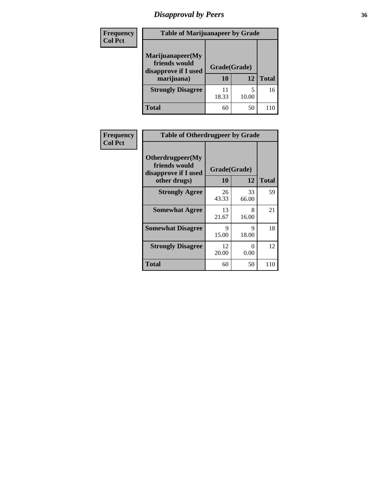## *Disapproval by Peers* **36**

| Frequency<br><b>Col Pct</b> | <b>Table of Marijuanapeer by Grade</b>                                  |                    |       |              |
|-----------------------------|-------------------------------------------------------------------------|--------------------|-------|--------------|
|                             | Marijuanapeer(My<br>friends would<br>disapprove if I used<br>marijuana) | Grade(Grade)<br>10 | 12    | <b>Total</b> |
|                             | <b>Strongly Disagree</b>                                                | 11<br>18.33        | 10.00 | 16           |
|                             | Total                                                                   | 60                 | 50    | 110          |

| Frequency      | <b>Table of Otherdrugpeer by Grade</b>                                    |                    |             |              |
|----------------|---------------------------------------------------------------------------|--------------------|-------------|--------------|
| <b>Col Pct</b> | Otherdrugpeer(My<br>friends would<br>disapprove if I used<br>other drugs) | Grade(Grade)<br>10 | 12          | <b>Total</b> |
|                | <b>Strongly Agree</b>                                                     | 26<br>43.33        | 33<br>66.00 | 59           |
|                | <b>Somewhat Agree</b>                                                     | 13<br>21.67        | 8<br>16.00  | 21           |
|                | <b>Somewhat Disagree</b>                                                  | 9<br>15.00         | 9<br>18.00  | 18           |
|                | <b>Strongly Disagree</b>                                                  | 12<br>20.00        | 0<br>0.00   | 12           |
|                | Total                                                                     | 60                 | 50          | 110          |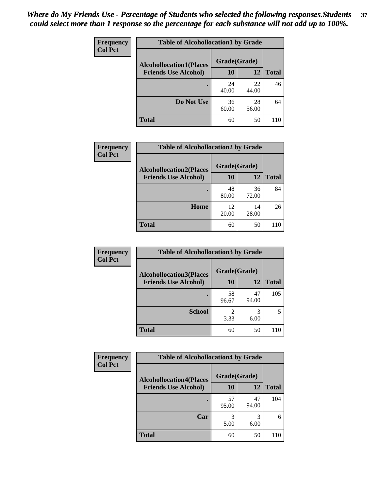| Frequency<br><b>Col Pct</b> | <b>Table of Alcohollocation1 by Grade</b>      |             |             |              |  |
|-----------------------------|------------------------------------------------|-------------|-------------|--------------|--|
|                             | Grade(Grade)<br><b>Alcohollocation1(Places</b> |             |             |              |  |
|                             | <b>Friends Use Alcohol)</b>                    | 10          | 12          | <b>Total</b> |  |
|                             |                                                | 24<br>40.00 | 22<br>44.00 | 46           |  |
|                             | Do Not Use                                     | 36<br>60.00 | 28<br>56.00 | 64           |  |
|                             | <b>Total</b>                                   | 60          | 50          | 110          |  |

| Frequency      | <b>Table of Alcohollocation2 by Grade</b>                     |                    |             |              |
|----------------|---------------------------------------------------------------|--------------------|-------------|--------------|
| <b>Col Pct</b> | <b>Alcohollocation2(Places</b><br><b>Friends Use Alcohol)</b> | Grade(Grade)<br>10 | <b>12</b>   | <b>Total</b> |
|                |                                                               | 48<br>80.00        | 36<br>72.00 | 84           |
|                | Home                                                          | 12<br>20.00        | 14<br>28.00 | 26           |
|                | <b>Total</b>                                                  | 60                 | 50          | 110          |

| Frequency<br><b>Col Pct</b> | <b>Table of Alcohollocation 3 by Grade</b>                    |                    |             |              |
|-----------------------------|---------------------------------------------------------------|--------------------|-------------|--------------|
|                             | <b>Alcohollocation3(Places</b><br><b>Friends Use Alcohol)</b> | Grade(Grade)<br>10 | 12          | <b>Total</b> |
|                             |                                                               | 58<br>96.67        | 47<br>94.00 | 105          |
|                             | <b>School</b>                                                 | 3.33               | 3<br>6.00   |              |
|                             | <b>Total</b>                                                  | 60                 | 50          | 110          |

| <b>Frequency</b> | <b>Table of Alcohollocation4 by Grade</b> |              |             |              |  |
|------------------|-------------------------------------------|--------------|-------------|--------------|--|
| <b>Col Pct</b>   | <b>Alcohollocation4(Places</b>            | Grade(Grade) |             |              |  |
|                  | <b>Friends Use Alcohol)</b>               | 10           | 12          | <b>Total</b> |  |
|                  |                                           | 57<br>95.00  | 47<br>94.00 | 104          |  |
|                  | Car                                       | 3<br>5.00    | 3<br>6.00   | 6            |  |
|                  | <b>Total</b>                              | 60           | 50          | 110          |  |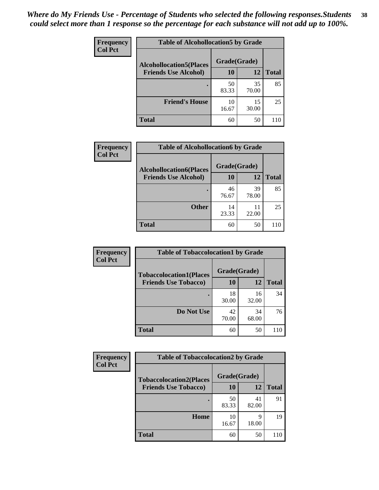| Frequency      | <b>Table of Alcohollocation5 by Grade</b> |              |             |              |  |
|----------------|-------------------------------------------|--------------|-------------|--------------|--|
| <b>Col Pct</b> | <b>Alcohollocation5</b> (Places           | Grade(Grade) |             |              |  |
|                | <b>Friends Use Alcohol)</b>               | 10           | 12          | <b>Total</b> |  |
|                |                                           | 50<br>83.33  | 35<br>70.00 | 85           |  |
|                | <b>Friend's House</b>                     | 10<br>16.67  | 15<br>30.00 | 25           |  |
|                | <b>Total</b>                              | 60           | 50          | 110          |  |

| <b>Frequency</b> | <b>Table of Alcohollocation6 by Grade</b> |                    |             |              |
|------------------|-------------------------------------------|--------------------|-------------|--------------|
| <b>Col Pct</b>   | <b>Alcohollocation6(Places</b>            | Grade(Grade)<br>10 | 12          | <b>Total</b> |
|                  | <b>Friends Use Alcohol)</b>               |                    |             |              |
|                  |                                           | 46<br>76.67        | 39<br>78.00 | 85           |
|                  | <b>Other</b>                              | 14<br>23.33        | 11<br>22.00 | 25           |
|                  | <b>Total</b>                              | 60                 | 50          | 110          |

| Frequency      | <b>Table of Tobaccolocation1 by Grade</b> |              |             |              |
|----------------|-------------------------------------------|--------------|-------------|--------------|
| <b>Col Pct</b> | <b>Tobaccolocation1(Places</b>            | Grade(Grade) |             |              |
|                | <b>Friends Use Tobacco)</b>               | 10           | 12          | <b>Total</b> |
|                |                                           | 18<br>30.00  | 16<br>32.00 | 34           |
|                | Do Not Use                                | 42<br>70.00  | 34<br>68.00 | 76           |
|                | <b>Total</b>                              | 60           | 50          | 110          |

| <b>Frequency</b> | <b>Table of Tobaccolocation2 by Grade</b> |              |             |              |  |
|------------------|-------------------------------------------|--------------|-------------|--------------|--|
| <b>Col Pct</b>   | <b>Tobaccolocation2(Places</b>            | Grade(Grade) |             |              |  |
|                  | <b>Friends Use Tobacco)</b>               | 10           | 12          | <b>Total</b> |  |
|                  |                                           | 50<br>83.33  | 41<br>82.00 | 91           |  |
|                  | Home                                      | 10<br>16.67  | 9<br>18.00  | 19           |  |
|                  | <b>Total</b>                              | 60           | 50          |              |  |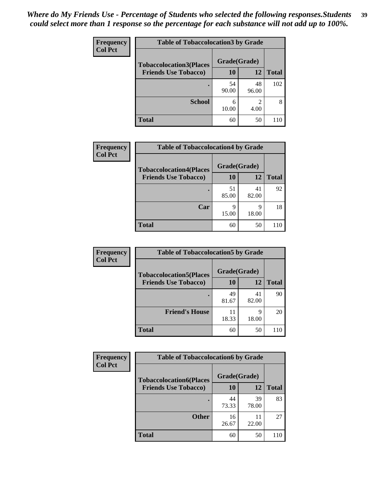| Frequency      | <b>Table of Tobaccolocation 3 by Grade</b> |              |             |              |
|----------------|--------------------------------------------|--------------|-------------|--------------|
| <b>Col Pct</b> | <b>Tobaccolocation3(Places</b>             | Grade(Grade) |             |              |
|                | <b>Friends Use Tobacco)</b>                | 10           | <b>12</b>   | <b>Total</b> |
|                |                                            | 54<br>90.00  | 48<br>96.00 | 102          |
|                | <b>School</b>                              | 6<br>10.00   | 2<br>4.00   | 8            |
|                | <b>Total</b>                               | 60           | 50          | 110          |

| Frequency      | <b>Table of Tobaccolocation4 by Grade</b> |              |             |              |
|----------------|-------------------------------------------|--------------|-------------|--------------|
| <b>Col Pct</b> | <b>Tobaccolocation4(Places</b>            | Grade(Grade) |             |              |
|                | <b>Friends Use Tobacco)</b>               | 10           | 12          | <b>Total</b> |
|                |                                           | 51<br>85.00  | 41<br>82.00 | 92           |
|                | Car                                       | q<br>15.00   | Q<br>18.00  | 18           |
|                | <b>Total</b>                              | 60           | 50          | 110          |

| Frequency      | <b>Table of Tobaccolocation5 by Grade</b> |              |             |              |
|----------------|-------------------------------------------|--------------|-------------|--------------|
| <b>Col Pct</b> | <b>Tobaccolocation5(Places</b>            | Grade(Grade) |             |              |
|                | <b>Friends Use Tobacco)</b>               | 10           | 12          | <b>Total</b> |
|                |                                           | 49<br>81.67  | 41<br>82.00 | 90           |
|                | <b>Friend's House</b>                     | 11<br>18.33  | q<br>18.00  | 20           |
|                | <b>Total</b>                              | 60           | 50          | 110          |

| <b>Frequency</b> | <b>Table of Tobaccolocation6 by Grade</b> |              |             |              |  |
|------------------|-------------------------------------------|--------------|-------------|--------------|--|
| <b>Col Pct</b>   | <b>Tobaccolocation6(Places</b>            | Grade(Grade) |             |              |  |
|                  | <b>Friends Use Tobacco)</b>               | 10           | 12          | <b>Total</b> |  |
|                  |                                           | 44<br>73.33  | 39<br>78.00 | 83           |  |
|                  | <b>Other</b>                              | 16<br>26.67  | 11<br>22.00 | 27           |  |
|                  | <b>Total</b>                              | 60           | 50          | 110          |  |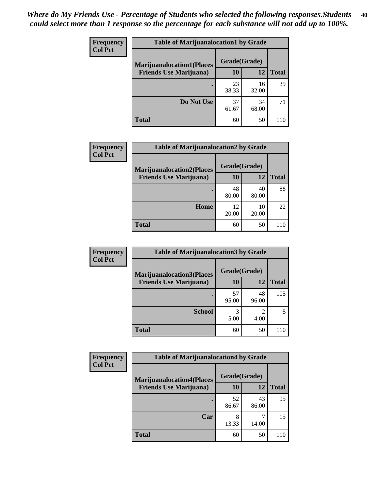| <b>Frequency</b> | <b>Table of Marijuanalocation1 by Grade</b> |              |             |              |
|------------------|---------------------------------------------|--------------|-------------|--------------|
| <b>Col Pct</b>   | <b>Marijuanalocation1(Places</b>            | Grade(Grade) |             |              |
|                  | <b>Friends Use Marijuana</b> )              | 10           | 12          | <b>Total</b> |
|                  |                                             | 23<br>38.33  | 16<br>32.00 | 39           |
|                  | Do Not Use                                  | 37<br>61.67  | 34<br>68.00 | 71           |
|                  | <b>Total</b>                                | 60           | 50          | 110          |

| <b>Frequency</b><br><b>Col Pct</b> | <b>Table of Marijuanalocation2 by Grade</b> |              |             |              |
|------------------------------------|---------------------------------------------|--------------|-------------|--------------|
|                                    | <b>Marijuanalocation2(Places</b>            | Grade(Grade) |             |              |
|                                    | <b>Friends Use Marijuana</b> )              | 10           | 12          | <b>Total</b> |
|                                    |                                             | 48<br>80.00  | 40<br>80.00 | 88           |
|                                    | Home                                        | 12<br>20.00  | 10<br>20.00 | 22           |
|                                    | <b>Total</b>                                | 60           | 50          | 110          |

| Frequency      | <b>Table of Marijuanalocation3 by Grade</b> |              |             |              |
|----------------|---------------------------------------------|--------------|-------------|--------------|
| <b>Col Pct</b> | <b>Marijuanalocation3(Places</b>            | Grade(Grade) |             |              |
|                | <b>Friends Use Marijuana</b> )              | 10           | 12          | <b>Total</b> |
|                |                                             | 57<br>95.00  | 48<br>96.00 | 105          |
|                | <b>School</b>                               | 3<br>5.00    | 4.00        |              |
|                | <b>Total</b>                                | 60           | 50          |              |

| <b>Frequency</b> | <b>Table of Marijuanalocation4 by Grade</b> |              |             |              |
|------------------|---------------------------------------------|--------------|-------------|--------------|
| <b>Col Pct</b>   | <b>Marijuanalocation4(Places</b>            | Grade(Grade) |             |              |
|                  | <b>Friends Use Marijuana</b> )              | 10           | 12          | <b>Total</b> |
|                  |                                             | 52<br>86.67  | 43<br>86.00 | 95           |
|                  | Car                                         | 8<br>13.33   | 14.00       | 15           |
|                  | <b>Total</b>                                | 60           | 50          |              |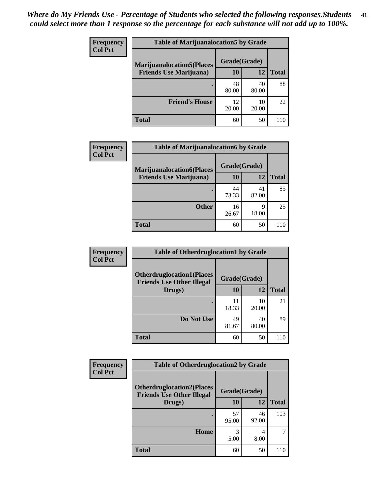| <b>Frequency</b> | <b>Table of Marijuanalocation5 by Grade</b>                         |              |             |              |
|------------------|---------------------------------------------------------------------|--------------|-------------|--------------|
| <b>Col Pct</b>   | <b>Marijuanalocation5(Places)</b><br><b>Friends Use Marijuana</b> ) | Grade(Grade) |             |              |
|                  |                                                                     | 10           | 12          | <b>Total</b> |
|                  |                                                                     | 48<br>80.00  | 40<br>80.00 | 88           |
|                  | <b>Friend's House</b>                                               | 12<br>20.00  | 10<br>20.00 | 22           |
|                  | <b>Total</b>                                                        | 60           | 50          | 110          |

| Frequency<br><b>Col Pct</b> | <b>Table of Marijuanalocation6 by Grade</b> |              |             |              |
|-----------------------------|---------------------------------------------|--------------|-------------|--------------|
|                             | <b>Marijuanalocation6(Places</b>            | Grade(Grade) |             |              |
|                             | <b>Friends Use Marijuana</b> )              | 10           | 12          | <b>Total</b> |
|                             |                                             | 44<br>73.33  | 41<br>82.00 | 85           |
|                             | <b>Other</b>                                | 16<br>26.67  | 9<br>18.00  | 25           |
|                             | <b>Total</b>                                | 60           | 50          | 110          |

| <b>Frequency</b> | <b>Table of Otherdruglocation1 by Grade</b>                          |              |             |              |
|------------------|----------------------------------------------------------------------|--------------|-------------|--------------|
| <b>Col Pct</b>   | <b>Otherdruglocation1(Places</b><br><b>Friends Use Other Illegal</b> | Grade(Grade) |             |              |
|                  | Drugs)                                                               | 10           | 12          | <b>Total</b> |
|                  |                                                                      | 11<br>18.33  | 10<br>20.00 | 21           |
|                  | Do Not Use                                                           | 49<br>81.67  | 40<br>80.00 | 89           |
|                  | <b>Total</b>                                                         | 60           | 50          | 110          |

| <b>Frequency</b> | <b>Table of Otherdruglocation2 by Grade</b>                          |              |             |              |
|------------------|----------------------------------------------------------------------|--------------|-------------|--------------|
| <b>Col Pct</b>   | <b>Otherdruglocation2(Places</b><br><b>Friends Use Other Illegal</b> | Grade(Grade) |             |              |
|                  | Drugs)                                                               | 10           | 12          | <b>Total</b> |
|                  |                                                                      | 57<br>95.00  | 46<br>92.00 | 103          |
|                  | Home                                                                 | 3<br>5.00    | 4<br>8.00   |              |
|                  | <b>Total</b>                                                         | 60           | 50          | 110          |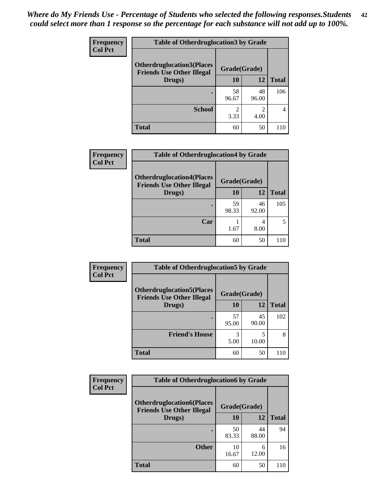| <b>Frequency</b> | <b>Table of Otherdruglocation 3 by Grade</b>                         |              |                        |              |
|------------------|----------------------------------------------------------------------|--------------|------------------------|--------------|
| <b>Col Pct</b>   | <b>Otherdruglocation3(Places</b><br><b>Friends Use Other Illegal</b> | Grade(Grade) |                        |              |
|                  | Drugs)                                                               | <b>10</b>    | 12                     | <b>Total</b> |
|                  |                                                                      | 58<br>96.67  | 48<br>96.00            | 106          |
|                  | <b>School</b>                                                        | 2<br>3.33    | $\mathfrak{D}$<br>4.00 |              |
|                  | <b>Total</b>                                                         | 60           | 50                     |              |

| <b>Frequency</b> | <b>Table of Otherdruglocation4 by Grade</b>                          |              |             |              |
|------------------|----------------------------------------------------------------------|--------------|-------------|--------------|
| <b>Col Pct</b>   | <b>Otherdruglocation4(Places</b><br><b>Friends Use Other Illegal</b> | Grade(Grade) |             |              |
|                  | Drugs)                                                               | 10           | 12          | <b>Total</b> |
|                  |                                                                      | 59<br>98.33  | 46<br>92.00 | 105          |
|                  | Car                                                                  | 1.67         | 8.00        |              |
|                  | <b>Total</b>                                                         | 60           | 50          | 110          |

| <b>Frequency</b> | <b>Table of Otherdruglocation5 by Grade</b>                          |              |             |              |
|------------------|----------------------------------------------------------------------|--------------|-------------|--------------|
| <b>Col Pct</b>   | <b>Otherdruglocation5(Places</b><br><b>Friends Use Other Illegal</b> | Grade(Grade) |             |              |
|                  | Drugs)                                                               | 10           | 12          | <b>Total</b> |
|                  |                                                                      | 57<br>95.00  | 45<br>90.00 | 102          |
|                  | <b>Friend's House</b>                                                | 3<br>5.00    | 10.00       | 8            |
|                  | <b>Total</b>                                                         | 60           | 50          | 110          |

| <b>Frequency</b> | <b>Table of Otherdruglocation6 by Grade</b>                          |              |             |              |
|------------------|----------------------------------------------------------------------|--------------|-------------|--------------|
| <b>Col Pct</b>   | <b>Otherdruglocation6(Places</b><br><b>Friends Use Other Illegal</b> | Grade(Grade) |             |              |
|                  | Drugs)                                                               | 10           | 12          | <b>Total</b> |
|                  |                                                                      | 50<br>83.33  | 44<br>88.00 | 94           |
|                  | <b>Other</b>                                                         | 10<br>16.67  | 6<br>12.00  | 16           |
|                  | <b>Total</b>                                                         | 60           | 50          |              |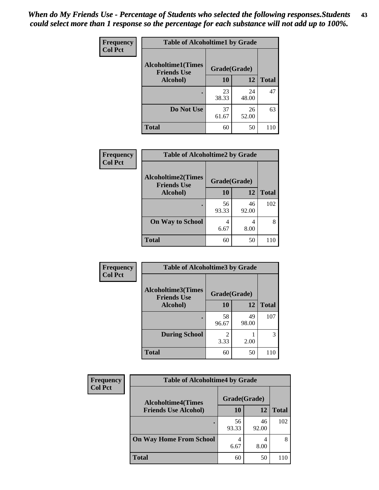| Frequency      | <b>Table of Alcoholtime1 by Grade</b>           |              |             |              |
|----------------|-------------------------------------------------|--------------|-------------|--------------|
| <b>Col Pct</b> | <b>Alcoholtime1(Times</b><br><b>Friends Use</b> | Grade(Grade) |             |              |
|                | Alcohol)                                        | 10           | 12          | <b>Total</b> |
|                |                                                 | 23<br>38.33  | 24<br>48.00 | 47           |
|                | Do Not Use                                      | 37<br>61.67  | 26<br>52.00 | 63           |
|                | <b>Total</b>                                    | 60           | 50          | 110          |

| Frequency      | <b>Table of Alcoholtime2 by Grade</b>           |              |             |              |
|----------------|-------------------------------------------------|--------------|-------------|--------------|
| <b>Col Pct</b> | <b>Alcoholtime2(Times</b><br><b>Friends Use</b> | Grade(Grade) |             |              |
|                | Alcohol)                                        | 10           | 12          | <b>Total</b> |
|                |                                                 | 56<br>93.33  | 46<br>92.00 | 102          |
|                | <b>On Way to School</b>                         | 4<br>6.67    | 4<br>8.00   | 8            |
|                | <b>Total</b>                                    | 60           | 50          | 110          |

| Frequency<br><b>Col Pct</b> | <b>Table of Alcoholtime3 by Grade</b>           |                        |             |              |
|-----------------------------|-------------------------------------------------|------------------------|-------------|--------------|
|                             | <b>Alcoholtime3(Times</b><br><b>Friends Use</b> | Grade(Grade)           |             |              |
|                             | Alcohol)                                        | 10                     | 12          | <b>Total</b> |
|                             |                                                 | 58<br>96.67            | 49<br>98.00 | 107          |
|                             | <b>During School</b>                            | $\mathfrak{D}$<br>3.33 | 2.00        | 3            |
|                             | <b>Total</b>                                    | 60                     | 50          | 110          |

| <b>Frequency</b> | <b>Table of Alcoholtime4 by Grade</b> |              |             |              |
|------------------|---------------------------------------|--------------|-------------|--------------|
| <b>Col Pct</b>   | <b>Alcoholtime4(Times</b>             | Grade(Grade) |             |              |
|                  | <b>Friends Use Alcohol)</b>           | 10           | 12          | <b>Total</b> |
|                  | ٠                                     | 56<br>93.33  | 46<br>92.00 | 102          |
|                  | <b>On Way Home From School</b>        | 4<br>6.67    | 8.00        | 8            |
|                  | <b>Total</b>                          | 60           | 50          |              |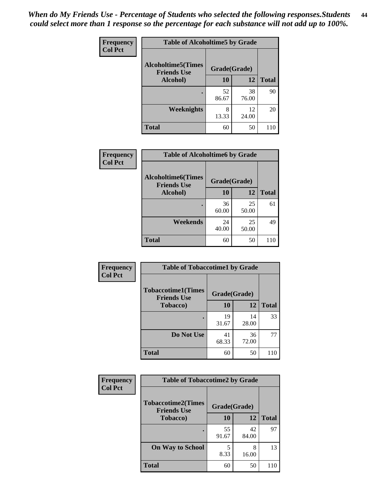*When do My Friends Use - Percentage of Students who selected the following responses.Students could select more than 1 response so the percentage for each substance will not add up to 100%.* **44**

| Frequency      | <b>Table of Alcoholtime5 by Grade</b>           |              |             |              |
|----------------|-------------------------------------------------|--------------|-------------|--------------|
| <b>Col Pct</b> | <b>Alcoholtime5(Times</b><br><b>Friends Use</b> | Grade(Grade) |             |              |
|                | Alcohol)                                        | 10           | 12          | <b>Total</b> |
|                |                                                 | 52<br>86.67  | 38<br>76.00 | 90           |
|                | <b>Weeknights</b>                               | 8<br>13.33   | 12<br>24.00 | 20           |
|                | <b>Total</b>                                    | 60           | 50          | 110          |

| Frequency      | <b>Table of Alcoholtime6 by Grade</b>           |              |             |              |
|----------------|-------------------------------------------------|--------------|-------------|--------------|
| <b>Col Pct</b> | <b>Alcoholtime6(Times</b><br><b>Friends Use</b> | Grade(Grade) |             |              |
|                | Alcohol)                                        | 10           | 12          | <b>Total</b> |
|                |                                                 | 36<br>60.00  | 25<br>50.00 | 61           |
|                | Weekends                                        | 24<br>40.00  | 25<br>50.00 | 49           |
|                | <b>Total</b>                                    | 60           | 50          | 110          |

| Frequency<br><b>Col Pct</b> | <b>Table of Tobaccotime1 by Grade</b>           |              |             |              |
|-----------------------------|-------------------------------------------------|--------------|-------------|--------------|
|                             | <b>Tobaccotime1(Times</b><br><b>Friends Use</b> | Grade(Grade) |             |              |
|                             | <b>Tobacco</b> )                                | 10           | 12          | <b>Total</b> |
|                             |                                                 | 19<br>31.67  | 14<br>28.00 | 33           |
|                             | Do Not Use                                      | 41<br>68.33  | 36<br>72.00 | 77           |
|                             | <b>Total</b>                                    | 60           | 50          | 110          |

| <b>Frequency</b> | <b>Table of Tobaccotime2 by Grade</b>           |              |             |              |
|------------------|-------------------------------------------------|--------------|-------------|--------------|
| <b>Col Pct</b>   | <b>Tobaccotime2(Times</b><br><b>Friends Use</b> | Grade(Grade) |             |              |
|                  | <b>Tobacco</b> )                                | 10           | 12          | <b>Total</b> |
|                  |                                                 | 55<br>91.67  | 42<br>84.00 | 97           |
|                  | <b>On Way to School</b>                         | 8.33         | 8<br>16.00  | 13           |
|                  | <b>Total</b>                                    | 60           | 50          | 110          |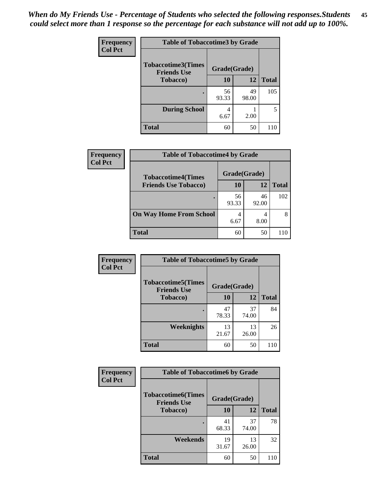| <b>Frequency</b> | <b>Table of Tobaccotime3 by Grade</b>           |              |             |              |
|------------------|-------------------------------------------------|--------------|-------------|--------------|
| <b>Col Pct</b>   | <b>Tobaccotime3(Times</b><br><b>Friends Use</b> | Grade(Grade) |             |              |
|                  | <b>Tobacco</b> )                                | 10           | 12          | <b>Total</b> |
|                  |                                                 | 56<br>93.33  | 49<br>98.00 | 105          |
|                  | <b>During School</b>                            | 4<br>6.67    | 2.00        | 5            |
|                  | <b>Total</b>                                    | 60           | 50          | 110          |

| <b>Frequency</b><br><b>Col Pct</b> | <b>Table of Tobaccotime4 by Grade</b> |              |             |              |
|------------------------------------|---------------------------------------|--------------|-------------|--------------|
|                                    | <b>Tobaccotime4(Times</b>             | Grade(Grade) |             |              |
|                                    | <b>Friends Use Tobacco)</b>           | 10           | 12          | <b>Total</b> |
|                                    |                                       | 56<br>93.33  | 46<br>92.00 | 102          |
|                                    | <b>On Way Home From School</b>        | 4<br>6.67    | 8.00        | 8            |
|                                    | <b>Total</b>                          | 60           | 50          | 110          |

| Frequency      | <b>Table of Tobaccotime5 by Grade</b>           |              |             |              |
|----------------|-------------------------------------------------|--------------|-------------|--------------|
| <b>Col Pct</b> | <b>Tobaccotime5(Times</b><br><b>Friends Use</b> | Grade(Grade) |             |              |
|                | <b>Tobacco</b> )                                | 10           | 12          | <b>Total</b> |
|                |                                                 | 47<br>78.33  | 37<br>74.00 | 84           |
|                | Weeknights                                      | 13<br>21.67  | 13<br>26.00 | 26           |
|                | <b>Total</b>                                    | 60           | 50          | 110          |

| Frequency      | <b>Table of Tobaccotime6 by Grade</b>           |              |             |              |
|----------------|-------------------------------------------------|--------------|-------------|--------------|
| <b>Col Pct</b> | <b>Tobaccotime6(Times</b><br><b>Friends Use</b> | Grade(Grade) |             |              |
|                | <b>Tobacco</b> )                                | 10           | 12          | <b>Total</b> |
|                | ٠                                               | 41<br>68.33  | 37<br>74.00 | 78           |
|                | Weekends                                        | 19<br>31.67  | 13<br>26.00 | 32           |
|                | <b>Total</b>                                    | 60           | 50          | 110          |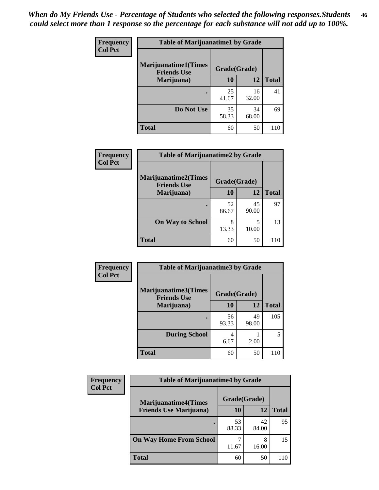| Frequency      | <b>Table of Marijuanatime1 by Grade</b>           |              |             |              |
|----------------|---------------------------------------------------|--------------|-------------|--------------|
| <b>Col Pct</b> | <b>Marijuanatime1(Times</b><br><b>Friends Use</b> | Grade(Grade) |             |              |
|                | Marijuana)                                        | 10           | 12          | <b>Total</b> |
|                |                                                   | 25<br>41.67  | 16<br>32.00 | 41           |
|                | Do Not Use                                        | 35<br>58.33  | 34<br>68.00 | 69           |
|                | <b>Total</b>                                      | 60           | 50          | 110          |

| Frequency      | <b>Table of Marijuanatime2 by Grade</b>           |              |             |              |
|----------------|---------------------------------------------------|--------------|-------------|--------------|
| <b>Col Pct</b> | <b>Marijuanatime2(Times</b><br><b>Friends Use</b> | Grade(Grade) |             |              |
|                | Marijuana)                                        | 10           | 12          | <b>Total</b> |
|                |                                                   | 52<br>86.67  | 45<br>90.00 | 97           |
|                | <b>On Way to School</b>                           | 8<br>13.33   | 5<br>10.00  | 13           |
|                | <b>Total</b>                                      | 60           | 50          | 110          |

| Frequency      | <b>Table of Marijuanatime3 by Grade</b>    |              |             |              |
|----------------|--------------------------------------------|--------------|-------------|--------------|
| <b>Col Pct</b> | Marijuanatime3(Times<br><b>Friends Use</b> | Grade(Grade) |             |              |
|                | Marijuana)                                 | 10           | 12          | <b>Total</b> |
|                |                                            | 56<br>93.33  | 49<br>98.00 | 105          |
|                | <b>During School</b>                       | 4<br>6.67    | 2.00        | 5            |
|                | <b>Total</b>                               | 60           | 50          |              |

| <b>Frequency</b> | <b>Table of Marijuanatime4 by Grade</b> |              |             |              |
|------------------|-----------------------------------------|--------------|-------------|--------------|
| <b>Col Pct</b>   | <b>Marijuanatime4(Times</b>             | Grade(Grade) |             |              |
|                  | <b>Friends Use Marijuana</b> )          | 10           | 12          | <b>Total</b> |
|                  |                                         | 53<br>88.33  | 42<br>84.00 | 95           |
|                  | <b>On Way Home From School</b>          | 11.67        | 8<br>16.00  | 15           |
|                  | <b>Total</b>                            | 60           | 50          | 110          |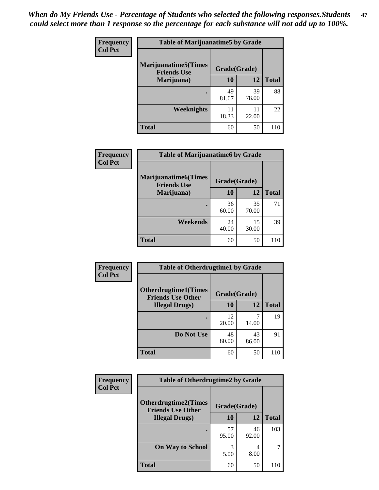| Frequency      | <b>Table of Marijuanatime5 by Grade</b>            |              |             |              |
|----------------|----------------------------------------------------|--------------|-------------|--------------|
| <b>Col Pct</b> | <b>Marijuanatime5</b> (Times<br><b>Friends Use</b> | Grade(Grade) |             |              |
|                | Marijuana)                                         | 10           | 12          | <b>Total</b> |
|                |                                                    | 49<br>81.67  | 39<br>78.00 | 88           |
|                | Weeknights                                         | 11<br>18.33  | 11<br>22.00 | 22           |
|                | <b>Total</b>                                       | 60           | 50          | 110          |

| Frequency      | <b>Table of Marijuanatime6 by Grade</b>            |              |             |              |
|----------------|----------------------------------------------------|--------------|-------------|--------------|
| <b>Col Pct</b> | <b>Marijuanatime6</b> (Times<br><b>Friends Use</b> | Grade(Grade) |             |              |
|                | Marijuana)                                         | 10           | 12          | <b>Total</b> |
|                |                                                    | 36<br>60.00  | 35<br>70.00 | 71           |
|                | Weekends                                           | 24<br>40.00  | 15<br>30.00 | 39           |
|                | <b>Total</b>                                       | 60           | 50          | 110          |

| Frequency      | <b>Table of Otherdrugtime1 by Grade</b>                 |              |             |              |
|----------------|---------------------------------------------------------|--------------|-------------|--------------|
| <b>Col Pct</b> | <b>Otherdrugtime1(Times</b><br><b>Friends Use Other</b> | Grade(Grade) |             |              |
|                | <b>Illegal Drugs</b> )                                  | 10           | 12          | <b>Total</b> |
|                |                                                         | 12<br>20.00  | 14.00       | 19           |
|                | Do Not Use                                              | 48<br>80.00  | 43<br>86.00 | 91           |
|                | Total                                                   | 60           | 50          | 110          |

| Frequency      | <b>Table of Otherdrugtime2 by Grade</b>                 |              |             |              |
|----------------|---------------------------------------------------------|--------------|-------------|--------------|
| <b>Col Pct</b> | <b>Otherdrugtime2(Times</b><br><b>Friends Use Other</b> | Grade(Grade) |             |              |
|                | <b>Illegal Drugs</b> )                                  | 10           | 12          | <b>Total</b> |
|                |                                                         | 57<br>95.00  | 46<br>92.00 | 103          |
|                | <b>On Way to School</b>                                 | 3<br>5.00    | 4<br>8.00   | 7            |
|                | <b>Total</b>                                            | 60           | 50          | 110          |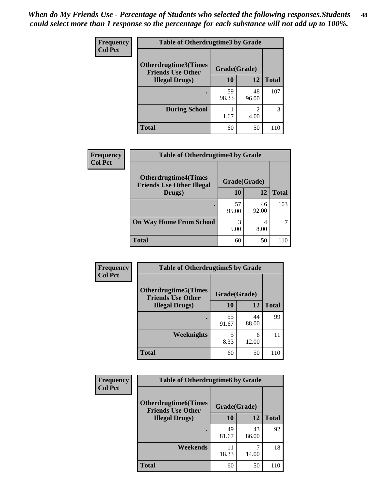| <b>Frequency</b> | <b>Table of Otherdrugtime3 by Grade</b>          |              |                        |              |
|------------------|--------------------------------------------------|--------------|------------------------|--------------|
| <b>Col Pct</b>   | Otherdrugtime3(Times<br><b>Friends Use Other</b> | Grade(Grade) |                        |              |
|                  | <b>Illegal Drugs</b> )                           | 10           | 12                     | <b>Total</b> |
|                  | ٠                                                | 59<br>98.33  | 48<br>96.00            | 107          |
|                  | <b>During School</b>                             | 1.67         | $\mathfrak{D}$<br>4.00 | 3            |
|                  | <b>Total</b>                                     | 60           | 50                     | 110          |

| Frequency<br><b>Col Pct</b> | <b>Table of Otherdrugtime4 by Grade</b>                         |              |             |              |
|-----------------------------|-----------------------------------------------------------------|--------------|-------------|--------------|
|                             | <b>Otherdrugtime4(Times</b><br><b>Friends Use Other Illegal</b> | Grade(Grade) |             |              |
|                             | Drugs)                                                          | 10           | 12          | <b>Total</b> |
|                             | ٠                                                               | 57<br>95.00  | 46<br>92.00 | 103          |
|                             | <b>On Way Home From School</b>                                  | 3<br>5.00    | 4<br>8.00   |              |
|                             | <b>Total</b>                                                    | 60           | 50          | 110          |

| <b>Frequency</b> | <b>Table of Otherdrugtime5 by Grade</b>                  |              |             |              |
|------------------|----------------------------------------------------------|--------------|-------------|--------------|
| <b>Col Pct</b>   | <b>Otherdrugtime5</b> (Times<br><b>Friends Use Other</b> | Grade(Grade) |             |              |
|                  | <b>Illegal Drugs</b> )                                   | 10           | 12          | <b>Total</b> |
|                  |                                                          | 55<br>91.67  | 44<br>88.00 | 99           |
|                  | <b>Weeknights</b>                                        | 5<br>8.33    | 6<br>12.00  | 11           |
|                  | <b>Total</b>                                             | 60           | 50          | 110          |

| Frequency      | <b>Table of Otherdrugtime6 by Grade</b>                 |              |             |              |
|----------------|---------------------------------------------------------|--------------|-------------|--------------|
| <b>Col Pct</b> | <b>Otherdrugtime6(Times</b><br><b>Friends Use Other</b> | Grade(Grade) |             |              |
|                | <b>Illegal Drugs</b> )                                  | 10           | 12          | <b>Total</b> |
|                |                                                         | 49<br>81.67  | 43<br>86.00 | 92           |
|                | Weekends                                                | 11<br>18.33  | 14.00       | 18           |
|                | <b>Total</b>                                            | 60           | 50          | 110          |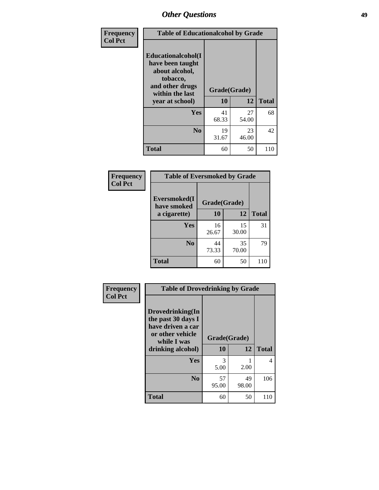| Frequency      | <b>Table of Educationalcohol by Grade</b>                                                                  |              |                    |     |  |  |
|----------------|------------------------------------------------------------------------------------------------------------|--------------|--------------------|-----|--|--|
| <b>Col Pct</b> | Educationalcohol(I<br>have been taught<br>about alcohol,<br>tobacco,<br>and other drugs<br>within the last | Grade(Grade) |                    |     |  |  |
|                | year at school)                                                                                            | 10           | 12<br><b>Total</b> |     |  |  |
|                | Yes                                                                                                        | 41<br>68.33  | 27<br>54.00        | 68  |  |  |
|                | N <sub>0</sub>                                                                                             | 19<br>31.67  | 23<br>46.00        | 42  |  |  |
|                | <b>Total</b>                                                                                               | 60           | 50                 | 110 |  |  |

| Frequency      | <b>Table of Eversmoked by Grade</b> |              |             |              |  |  |  |
|----------------|-------------------------------------|--------------|-------------|--------------|--|--|--|
| <b>Col Pct</b> | Eversmoked(I<br>have smoked         | Grade(Grade) |             |              |  |  |  |
|                | a cigarette)                        | 10           | 12          | <b>Total</b> |  |  |  |
|                | Yes                                 | 16<br>26.67  | 15<br>30.00 | 31           |  |  |  |
|                | N <sub>0</sub>                      | 44<br>73.33  | 35<br>70.00 | 79           |  |  |  |
|                | <b>Total</b>                        | 60           | 50          | 110          |  |  |  |

| Frequency      | <b>Table of Drovedrinking by Grade</b>                                                                              |                    |             |              |  |  |  |
|----------------|---------------------------------------------------------------------------------------------------------------------|--------------------|-------------|--------------|--|--|--|
| <b>Col Pct</b> | Drovedrinking(In<br>the past 30 days I<br>have driven a car<br>or other vehicle<br>while I was<br>drinking alcohol) | Grade(Grade)<br>10 | 12          | <b>Total</b> |  |  |  |
|                | <b>Yes</b>                                                                                                          | 3<br>5.00          | 2.00        | 4            |  |  |  |
|                | N <sub>0</sub>                                                                                                      | 57<br>95.00        | 49<br>98.00 | 106          |  |  |  |
|                | <b>Total</b>                                                                                                        | 60                 | 50          | 110          |  |  |  |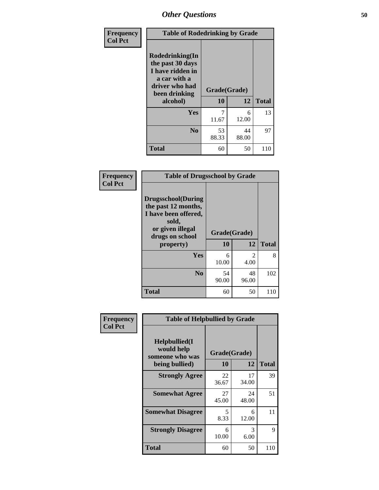| Frequency<br><b>Col Pct</b> | <b>Table of Rodedrinking by Grade</b>                                                                                  |                    |             |              |  |  |  |
|-----------------------------|------------------------------------------------------------------------------------------------------------------------|--------------------|-------------|--------------|--|--|--|
|                             | Rodedrinking(In<br>the past 30 days<br>I have ridden in<br>a car with a<br>driver who had<br>been drinking<br>alcohol) | Grade(Grade)<br>10 | 12          | <b>Total</b> |  |  |  |
|                             | <b>Yes</b>                                                                                                             | 11.67              | 6<br>12.00  | 13           |  |  |  |
|                             | N <sub>0</sub>                                                                                                         | 53<br>88.33        | 44<br>88.00 | 97           |  |  |  |
|                             | <b>Total</b>                                                                                                           | 60                 | 50          | 110          |  |  |  |

#### **Frequency Col Pct**

| <b>Table of Drugsschool by Grade</b>                                                                                      |              |             |              |  |  |  |
|---------------------------------------------------------------------------------------------------------------------------|--------------|-------------|--------------|--|--|--|
| <b>Drugsschool</b> (During<br>the past 12 months,<br>I have been offered,<br>sold,<br>or given illegal<br>drugs on school | Grade(Grade) |             |              |  |  |  |
| property)                                                                                                                 | 10           | 12          | <b>Total</b> |  |  |  |
| Yes                                                                                                                       | 6<br>10.00   | 2<br>4.00   | 8            |  |  |  |
| N <sub>0</sub>                                                                                                            | 54<br>90.00  | 48<br>96.00 | 102          |  |  |  |
| Total                                                                                                                     | 60           | 50          | 110          |  |  |  |

| Frequency      | <b>Table of Helpbullied by Grade</b>                 |             |              |              |  |  |
|----------------|------------------------------------------------------|-------------|--------------|--------------|--|--|
| <b>Col Pct</b> | $Helpb$ ullied $(I$<br>would help<br>someone who was |             | Grade(Grade) |              |  |  |
|                | being bullied)                                       | <b>10</b>   | 12           | <b>Total</b> |  |  |
|                | <b>Strongly Agree</b>                                | 22<br>36.67 | 17<br>34.00  | 39           |  |  |
|                | <b>Somewhat Agree</b>                                | 27<br>45.00 | 24<br>48.00  | 51           |  |  |
|                | <b>Somewhat Disagree</b>                             | 5<br>8.33   | 6<br>12.00   | 11           |  |  |
|                | <b>Strongly Disagree</b>                             | 6<br>10.00  | 3<br>6.00    | 9            |  |  |
|                | Total                                                | 60          | 50           | 110          |  |  |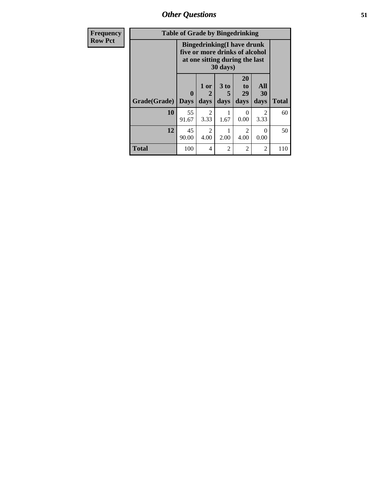| Frequency      | <b>Table of Grade by Bingedrinking</b> |                                                                                                                    |                        |                              |                        |                        |              |
|----------------|----------------------------------------|--------------------------------------------------------------------------------------------------------------------|------------------------|------------------------------|------------------------|------------------------|--------------|
| <b>Row Pct</b> |                                        | <b>Bingedrinking</b> (I have drunk<br>five or more drinks of alcohol<br>at one sitting during the last<br>30 days) |                        |                              |                        |                        |              |
|                | Grade(Grade)                           | $\mathbf{0}$<br><b>Days</b>                                                                                        | 1 or<br>2<br>days      | 3 <sub>to</sub><br>5<br>days | 20<br>to<br>29<br>days | All<br>30<br>days      | <b>Total</b> |
|                | 10                                     | 55<br>91.67                                                                                                        | $\overline{2}$<br>3.33 | 1.67                         | 0.00                   | $\mathfrak{D}$<br>3.33 | 60           |
|                | 12                                     | 45<br>90.00                                                                                                        | $\overline{2}$<br>4.00 | 2.00                         | $\overline{2}$<br>4.00 | 0<br>0.00              | 50           |
|                | <b>Total</b>                           | 100                                                                                                                | $\overline{4}$         | $\overline{c}$               | $\overline{2}$         | $\overline{2}$         | 110          |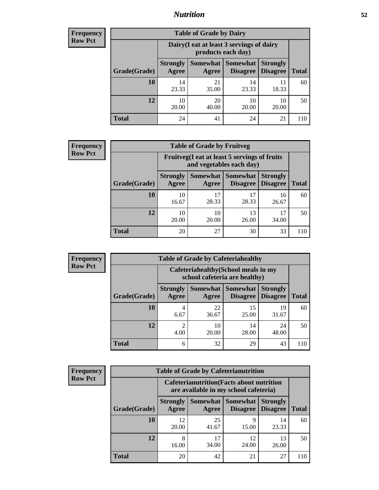### *Nutrition* **52**

| <b>Frequency</b><br>Row Pct |
|-----------------------------|
|                             |

| <b>Table of Grade by Dairy</b> |                                                                                                                   |                                                                 |             |             |     |  |  |
|--------------------------------|-------------------------------------------------------------------------------------------------------------------|-----------------------------------------------------------------|-------------|-------------|-----|--|--|
|                                |                                                                                                                   | Dairy (I eat at least 3 servings of dairy<br>products each day) |             |             |     |  |  |
| Grade(Grade)                   | Somewhat   Somewhat<br><b>Strongly</b><br><b>Strongly</b><br><b>Disagree</b><br><b>Disagree</b><br>Agree<br>Agree |                                                                 |             |             |     |  |  |
| 10                             | 14<br>23.33                                                                                                       | 21<br>35.00                                                     | 14<br>23.33 | 11<br>18.33 | 60  |  |  |
| 12                             | 10<br>20.00                                                                                                       | 20<br>40.00                                                     | 10<br>20.00 | 10<br>20.00 | 50  |  |  |
| <b>Total</b>                   | 24                                                                                                                | 41                                                              | 24          | 21          | 110 |  |  |

| <b>Frequency</b> |  |
|------------------|--|
| <b>Row Pct</b>   |  |

| <b>Table of Grade by Fruitveg</b> |                          |                                                                          |             |                                             |              |  |  |
|-----------------------------------|--------------------------|--------------------------------------------------------------------------|-------------|---------------------------------------------|--------------|--|--|
|                                   |                          | Fruitveg(I eat at least 5 servings of fruits<br>and vegetables each day) |             |                                             |              |  |  |
| Grade(Grade)                      | <b>Strongly</b><br>Agree | Somewhat<br>Agree                                                        | Somewhat    | <b>Strongly</b><br><b>Disagree</b> Disagree | <b>Total</b> |  |  |
| 10                                | 10<br>16.67              | 17<br>28.33                                                              | 17<br>28.33 | 16<br>26.67                                 | 60           |  |  |
| 12                                | 10<br>20.00              | 10<br>20.00                                                              | 13<br>26.00 | 17<br>34.00                                 | 50           |  |  |
| <b>Total</b>                      | 20                       | 27                                                                       | 30          | 33                                          | 110          |  |  |

| <b>Frequency</b> | <b>Table of Grade by Cafeteriahealthy</b> |                          |                                                                       |                                   |                                    |              |  |  |
|------------------|-------------------------------------------|--------------------------|-----------------------------------------------------------------------|-----------------------------------|------------------------------------|--------------|--|--|
| <b>Row Pct</b>   |                                           |                          | Cafeteriahealthy (School meals in my<br>school cafeteria are healthy) |                                   |                                    |              |  |  |
|                  | Grade(Grade)                              | <b>Strongly</b><br>Agree | Agree                                                                 | Somewhat   Somewhat  <br>Disagree | <b>Strongly</b><br><b>Disagree</b> | <b>Total</b> |  |  |
|                  | 10                                        | 4<br>6.67                | 22<br>36.67                                                           | 15<br>25.00                       | 19<br>31.67                        | 60           |  |  |
|                  | 12                                        | ∍<br>4.00                | 10<br>20.00                                                           | 14<br>28.00                       | 24<br>48.00                        | 50           |  |  |
|                  | <b>Total</b>                              | 6                        | 32                                                                    | 29                                | 43                                 | 110          |  |  |

| <b>Frequency</b> |
|------------------|
| Row Pct          |

r

| <b>Table of Grade by Cafeterianutrition</b> |                          |                                                                                           |                                        |                                    |              |  |  |
|---------------------------------------------|--------------------------|-------------------------------------------------------------------------------------------|----------------------------------------|------------------------------------|--------------|--|--|
|                                             |                          | <b>Cafeterianutrition</b> (Facts about nutrition<br>are available in my school cafeteria) |                                        |                                    |              |  |  |
| Grade(Grade)                                | <b>Strongly</b><br>Agree | Agree                                                                                     | <b>Somewhat   Somewhat</b><br>Disagree | <b>Strongly</b><br><b>Disagree</b> | <b>Total</b> |  |  |
| 10                                          | 12<br>20.00              | 25<br>41.67                                                                               | 9<br>15.00                             | 14<br>23.33                        | 60           |  |  |
| 12                                          | 8<br>16.00               | 17<br>34.00                                                                               | 12<br>24.00                            | 13<br>26.00                        | 50           |  |  |
| <b>Total</b>                                | 20                       | 42                                                                                        | 21                                     | 27                                 | 110          |  |  |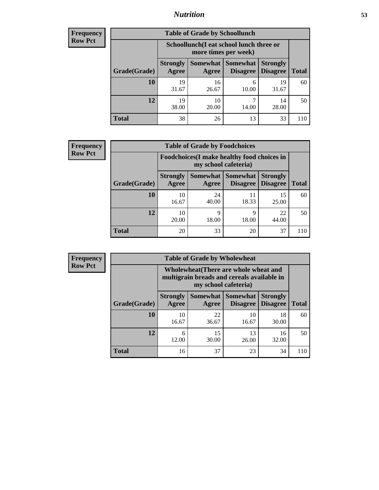### *Nutrition* **53**

| Frequency |
|-----------|
| Row Pct   |

| <b>Table of Grade by Schoollunch</b> |                                                                                                                                      |                                                                 |            |             |     |  |
|--------------------------------------|--------------------------------------------------------------------------------------------------------------------------------------|-----------------------------------------------------------------|------------|-------------|-----|--|
|                                      |                                                                                                                                      | Schoollunch(I eat school lunch three or<br>more times per week) |            |             |     |  |
| Grade(Grade)                         | Somewhat  <br><b>Somewhat</b><br><b>Strongly</b><br><b>Strongly</b><br><b>Disagree</b><br>Agree<br>Disagree<br><b>Total</b><br>Agree |                                                                 |            |             |     |  |
| 10                                   | 19<br>31.67                                                                                                                          | 16<br>26.67                                                     | 6<br>10.00 | 19<br>31.67 | 60  |  |
| 12                                   | 19<br>38.00                                                                                                                          | 10<br>20.00                                                     | 7<br>14.00 | 14<br>28.00 | 50  |  |
| <b>Total</b>                         | 38                                                                                                                                   | 26                                                              | 13         | 33          | 110 |  |

| <b>Frequency</b> |  |
|------------------|--|
| <b>Row Pct</b>   |  |

| <b>Table of Grade by Foodchoices</b> |                          |                                                                            |                                   |                                    |              |  |  |
|--------------------------------------|--------------------------|----------------------------------------------------------------------------|-----------------------------------|------------------------------------|--------------|--|--|
|                                      |                          | <b>Foodchoices</b> (I make healthy food choices in<br>my school cafeteria) |                                   |                                    |              |  |  |
| Grade(Grade)                         | <b>Strongly</b><br>Agree | Agree                                                                      | Somewhat   Somewhat  <br>Disagree | <b>Strongly</b><br><b>Disagree</b> | <b>Total</b> |  |  |
| 10                                   | 10<br>16.67              | 24<br>40.00                                                                | 11<br>18.33                       | 15<br>25.00                        | 60           |  |  |
| 12                                   | 10<br>20.00              | Q<br>18.00                                                                 | Q<br>18.00                        | 22<br>44.00                        | 50           |  |  |
| Total                                | 20                       | 33                                                                         | 20                                | 37                                 |              |  |  |

| Frequency      | <b>Table of Grade by Wholewheat</b> |                                                                                                             |             |                                   |                                    |              |  |  |  |
|----------------|-------------------------------------|-------------------------------------------------------------------------------------------------------------|-------------|-----------------------------------|------------------------------------|--------------|--|--|--|
| <b>Row Pct</b> |                                     | Wholewheat (There are whole wheat and<br>multigrain breads and cereals available in<br>my school cafeteria) |             |                                   |                                    |              |  |  |  |
|                | Grade(Grade)                        | <b>Strongly</b><br>Agree                                                                                    | Agree       | Somewhat   Somewhat  <br>Disagree | <b>Strongly</b><br><b>Disagree</b> | <b>Total</b> |  |  |  |
|                | 10                                  | 10<br>16.67                                                                                                 | 22<br>36.67 | 10<br>16.67                       | 18<br>30.00                        | 60           |  |  |  |
|                | 12                                  | 12.00                                                                                                       | 15<br>30.00 | 13<br>26.00                       | 16<br>32.00                        | 50           |  |  |  |
|                | <b>Total</b>                        | 16                                                                                                          | 37          | 23                                | 34                                 | 110          |  |  |  |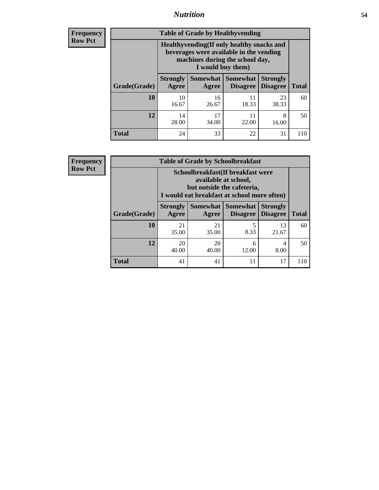### *Nutrition* **54**

**Frequency Row Pct**

| <b>Table of Grade by Healthyvending</b> |                                                                                                                                               |                   |                                    |                                    |              |  |
|-----------------------------------------|-----------------------------------------------------------------------------------------------------------------------------------------------|-------------------|------------------------------------|------------------------------------|--------------|--|
|                                         | Healthyvending (If only healthy snacks and<br>beverages were available in the vending<br>machines during the school day,<br>I would buy them) |                   |                                    |                                    |              |  |
| Grade(Grade)                            | <b>Strongly</b><br>Agree                                                                                                                      | Somewhat<br>Agree | <b>Somewhat</b><br><b>Disagree</b> | <b>Strongly</b><br><b>Disagree</b> | <b>Total</b> |  |
| 10                                      | 10<br>16.67                                                                                                                                   | 16<br>26.67       | 11<br>18.33                        | 23<br>38.33                        | 60           |  |
| 12                                      | 14<br>28.00                                                                                                                                   | 17<br>34.00       | 11<br>22.00                        | 8<br>16.00                         | 50           |  |
| <b>Total</b>                            | 24                                                                                                                                            | 33                | 22                                 | 31                                 |              |  |

**Frequency Row Pct**

| <b>Table of Grade by Schoolbreakfast</b> |                                                                                                                                         |             |           |             |     |  |
|------------------------------------------|-----------------------------------------------------------------------------------------------------------------------------------------|-------------|-----------|-------------|-----|--|
|                                          | Schoolbreakfast (If breakfast were<br>available at school,<br>but outside the cafeteria,<br>I would eat breakfast at school more often) |             |           |             |     |  |
| Grade(Grade)                             | Somewhat   Somewhat<br><b>Strongly</b><br><b>Strongly</b><br><b>Disagree</b><br><b>Total</b><br>Agree<br><b>Disagree</b><br>Agree       |             |           |             |     |  |
| 10                                       | 21<br>35.00                                                                                                                             | 21<br>35.00 | 5<br>8.33 | 13<br>21.67 | 60  |  |
| 12                                       | 20<br>20<br>6<br>4<br>40.00<br>40.00<br>8.00<br>12.00                                                                                   |             |           |             |     |  |
| <b>Total</b>                             | 41                                                                                                                                      | 41          | 11        | 17          | 110 |  |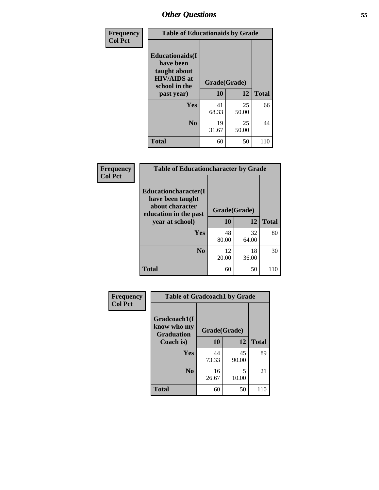| Frequency<br><b>Col Pct</b> | <b>Table of Educationaids by Grade</b>                                                                    |                    |              |     |  |
|-----------------------------|-----------------------------------------------------------------------------------------------------------|--------------------|--------------|-----|--|
|                             | <b>Educationaids</b> (I<br>have been<br>taught about<br><b>HIV/AIDS</b> at<br>school in the<br>past year) | Grade(Grade)<br>10 | <b>Total</b> |     |  |
|                             | <b>Yes</b>                                                                                                | 41<br>68.33        | 25<br>50.00  | 66  |  |
|                             | N <sub>0</sub>                                                                                            | 19<br>31.67        | 25<br>50.00  | 44  |  |
|                             | <b>Total</b>                                                                                              | 60                 | 50           | 110 |  |

| Frequency      | <b>Table of Educationcharacter by Grade</b>                                                  |              |             |              |  |
|----------------|----------------------------------------------------------------------------------------------|--------------|-------------|--------------|--|
| <b>Col Pct</b> | <b>Educationcharacter(I)</b><br>have been taught<br>about character<br>education in the past | Grade(Grade) |             |              |  |
|                | year at school)                                                                              | 10           | 12          | <b>Total</b> |  |
|                | Yes                                                                                          | 48<br>80.00  | 32<br>64.00 | 80           |  |
|                | N <sub>0</sub>                                                                               | 12<br>20.00  | 18<br>36.00 | 30           |  |
|                | <b>Total</b>                                                                                 | 60           | 50          | 110          |  |

| Frequency | <b>Table of Gradcoach1 by Grade</b> |                    |             |              |  |  |
|-----------|-------------------------------------|--------------------|-------------|--------------|--|--|
| Col Pct   | Gradcoach1(I<br>know who my         |                    |             |              |  |  |
|           | <b>Graduation</b><br>Coach is)      | Grade(Grade)<br>10 | 12          | <b>Total</b> |  |  |
|           |                                     |                    |             |              |  |  |
|           | <b>Yes</b>                          | 44<br>73.33        | 45<br>90.00 | 89           |  |  |
|           | N <sub>0</sub>                      | 16<br>26.67        | 5<br>10.00  | 21           |  |  |
|           | <b>Total</b>                        | 60                 | 50          | 110          |  |  |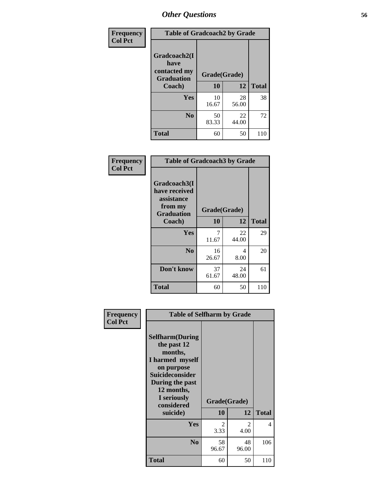| Frequency      | <b>Table of Gradcoach2 by Grade</b>         |              |             |              |  |  |
|----------------|---------------------------------------------|--------------|-------------|--------------|--|--|
| <b>Col Pct</b> | Gradcoach2(I<br>have                        |              |             |              |  |  |
|                | contacted my<br><b>Graduation</b><br>Coach) | Grade(Grade) |             |              |  |  |
|                |                                             | 10           | 12          | <b>Total</b> |  |  |
|                | Yes                                         | 10<br>16.67  | 28<br>56.00 | 38           |  |  |
|                | N <sub>0</sub>                              | 50<br>83.33  | 22<br>44.00 | 72           |  |  |
|                | <b>Total</b>                                | 60           | 50          | 110          |  |  |

| <b>Frequency</b><br><b>Col Pct</b> |                                                                             | <b>Table of Gradcoach3 by Grade</b> |             |              |  |  |  |
|------------------------------------|-----------------------------------------------------------------------------|-------------------------------------|-------------|--------------|--|--|--|
|                                    | Gradcoach3(I<br>have received<br>assistance<br>from my<br><b>Graduation</b> | Grade(Grade)                        |             |              |  |  |  |
|                                    | Coach)                                                                      | 10                                  | 12          | <b>Total</b> |  |  |  |
|                                    | Yes                                                                         | 7<br>11.67                          | 22<br>44.00 | 29           |  |  |  |
|                                    | N <sub>0</sub>                                                              | 16<br>26.67                         | 4<br>8.00   | 20           |  |  |  |
|                                    | Don't know                                                                  | 37<br>61.67                         | 24<br>48.00 | 61           |  |  |  |
|                                    | <b>Total</b>                                                                | 60                                  | 50          | 110          |  |  |  |

| Frequency<br><b>Col Pct</b> | <b>Table of Selfharm by Grade</b>                                                                                                                                                      |                        |                        |              |
|-----------------------------|----------------------------------------------------------------------------------------------------------------------------------------------------------------------------------------|------------------------|------------------------|--------------|
|                             | <b>Selfharm</b> (During<br>the past 12<br>months,<br>I harmed myself<br>on purpose<br><b>Suicideconsider</b><br>During the past<br>12 months,<br>I seriously<br>considered<br>suicide) | Grade(Grade)<br>10     | 12                     | <b>Total</b> |
|                             | Yes                                                                                                                                                                                    | $\mathfrak{D}$<br>3.33 | $\mathfrak{D}$<br>4.00 | 4            |
|                             | N <sub>0</sub>                                                                                                                                                                         | 58<br>96.67            | 48<br>96.00            | 106          |
|                             | Total                                                                                                                                                                                  | 60                     | 50                     | 110          |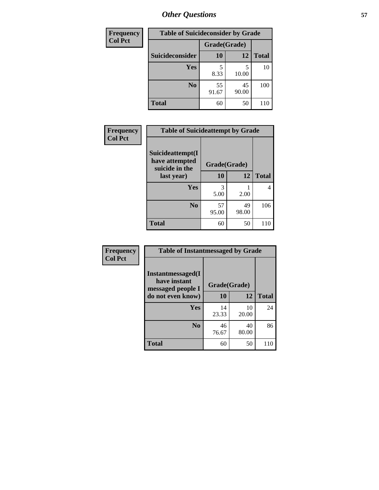| <b>Frequency</b> | <b>Table of Suicideconsider by Grade</b> |              |             |              |  |  |  |
|------------------|------------------------------------------|--------------|-------------|--------------|--|--|--|
| <b>Col Pct</b>   |                                          | Grade(Grade) |             |              |  |  |  |
|                  | <b>Suicideconsider</b>                   | 10           | 12          | <b>Total</b> |  |  |  |
|                  | Yes                                      | 8.33         | 10.00       | 10           |  |  |  |
|                  | N <sub>0</sub>                           | 55<br>91.67  | 45<br>90.00 | 100          |  |  |  |
|                  | <b>Total</b>                             | 60           | 50          | 110          |  |  |  |

| Frequency      | <b>Table of Suicideattempt by Grade</b>              |                       |             |              |
|----------------|------------------------------------------------------|-----------------------|-------------|--------------|
| <b>Col Pct</b> | Suicideattempt(I<br>have attempted<br>suicide in the | Grade(Grade)          |             |              |
|                | last year)                                           | 10                    | 12          | <b>Total</b> |
|                | Yes                                                  | $\mathcal{R}$<br>5.00 | 2.00        | 4            |
|                | $\bf No$                                             | 57<br>95.00           | 49<br>98.00 | 106          |
|                | <b>Total</b>                                         | 60                    | 50          | 110          |

| Frequency      | <b>Table of Instantmessaged by Grade</b>               |              |             |              |  |  |  |
|----------------|--------------------------------------------------------|--------------|-------------|--------------|--|--|--|
| <b>Col Pct</b> | Instantmessaged(I<br>have instant<br>messaged people I | Grade(Grade) |             |              |  |  |  |
|                | do not even know)                                      | 10           | 12          | <b>Total</b> |  |  |  |
|                | Yes                                                    | 14<br>23.33  | 10<br>20.00 | 24           |  |  |  |
|                | N <sub>0</sub>                                         | 46<br>76.67  | 40<br>80.00 | 86           |  |  |  |
|                | <b>Total</b>                                           | 60           | 50          | 110          |  |  |  |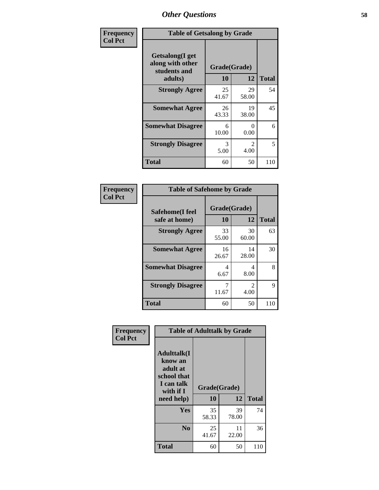| Frequency      | <b>Table of Getsalong by Grade</b>                          |              |                        |              |  |  |
|----------------|-------------------------------------------------------------|--------------|------------------------|--------------|--|--|
| <b>Col Pct</b> | <b>Getsalong</b> (I get<br>along with other<br>students and | Grade(Grade) |                        |              |  |  |
|                | adults)                                                     | 10           | 12                     | <b>Total</b> |  |  |
|                | <b>Strongly Agree</b>                                       | 25<br>41.67  | 29<br>58.00            | 54           |  |  |
|                | <b>Somewhat Agree</b>                                       | 26<br>43.33  | 19<br>38.00            | 45           |  |  |
|                | <b>Somewhat Disagree</b>                                    | 6<br>10.00   | 0<br>0.00              | 6            |  |  |
|                | <b>Strongly Disagree</b>                                    | 3<br>5.00    | $\mathfrak{D}$<br>4.00 | 5            |  |  |
|                | <b>Total</b>                                                | 60           | 50                     | 110          |  |  |

| Frequency      | <b>Table of Safehome by Grade</b> |                    |                       |              |
|----------------|-----------------------------------|--------------------|-----------------------|--------------|
| <b>Col Pct</b> | Safehome(I feel<br>safe at home)  | Grade(Grade)<br>10 | 12                    | <b>Total</b> |
|                | <b>Strongly Agree</b>             | 33<br>55.00        | 30<br>60.00           | 63           |
|                | <b>Somewhat Agree</b>             | 16<br>26.67        | 14<br>28.00           | 30           |
|                | <b>Somewhat Disagree</b>          | 4<br>6.67          | 4<br>8.00             | 8            |
|                | <b>Strongly Disagree</b>          | 7<br>11.67         | $\mathcal{L}$<br>4.00 | 9            |
|                | <b>Total</b>                      | 60                 | 50                    | 110          |

| Frequency      | <b>Table of Adulttalk by Grade</b>                                                                 |                    |             |              |  |  |
|----------------|----------------------------------------------------------------------------------------------------|--------------------|-------------|--------------|--|--|
| <b>Col Pct</b> | <b>Adulttalk</b> (I<br>know an<br>adult at<br>school that<br>I can talk<br>with if I<br>need help) | Grade(Grade)<br>10 | 12          | <b>Total</b> |  |  |
|                | <b>Yes</b>                                                                                         | 35<br>58.33        | 39<br>78.00 | 74           |  |  |
|                | N <sub>0</sub>                                                                                     | 25<br>41.67        | 11<br>22.00 | 36           |  |  |
|                | <b>Total</b>                                                                                       | 60                 | 50          | 110          |  |  |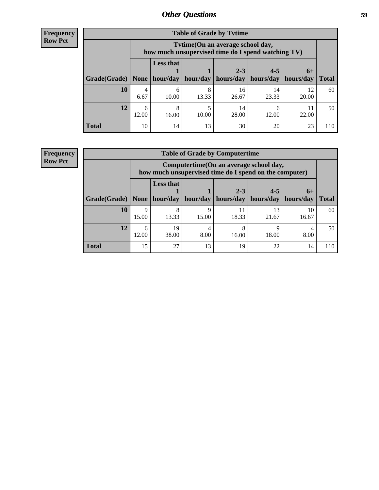| <b>Frequency</b> |
|------------------|
| <b>Row Pct</b>   |

| <b>Table of Grade by Tytime</b> |            |                                                                                         |            |                      |                      |                   |              |
|---------------------------------|------------|-----------------------------------------------------------------------------------------|------------|----------------------|----------------------|-------------------|--------------|
|                                 |            | Tytime (On an average school day,<br>how much unsupervised time do I spend watching TV) |            |                      |                      |                   |              |
| Grade(Grade)   None             |            | <b>Less that</b><br>hour/day                                                            | hour/day   | $2 - 3$<br>hours/day | $4 - 5$<br>hours/day | $6+$<br>hours/day | <b>Total</b> |
| 10                              | 4<br>6.67  | 6<br>10.00                                                                              | 8<br>13.33 | 16<br>26.67          | 14<br>23.33          | 12<br>20.00       | 60           |
| 12                              | 6<br>12.00 | 8<br>16.00                                                                              | 10.00      | 14<br>28.00          | 6<br>12.00           | 22.00             | 50           |
| <b>Total</b>                    | 10         | 14                                                                                      | 13         | 30                   | 20                   | 23                | 110          |

#### **Frequency Row Pct**

| <b>Table of Grade by Computertime</b> |                                                                                                                       |                                                                                                   |            |             |             |             |              |
|---------------------------------------|-----------------------------------------------------------------------------------------------------------------------|---------------------------------------------------------------------------------------------------|------------|-------------|-------------|-------------|--------------|
|                                       |                                                                                                                       | Computertime (On an average school day,<br>how much unsupervised time do I spend on the computer) |            |             |             |             |              |
| Grade(Grade)                          | <b>Less that</b><br>$4 - 5$<br>$2 - 3$<br>$6+$<br>hour/day<br>hour/day<br>hours/day<br>hours/day<br>hours/day<br>None |                                                                                                   |            |             |             |             | <b>Total</b> |
| 10                                    | 9<br>15.00                                                                                                            | 8<br>13.33                                                                                        | q<br>15.00 | 11<br>18.33 | 13<br>21.67 | 10<br>16.67 | 60           |
| 12                                    | 6<br>12.00                                                                                                            | 19<br>38.00                                                                                       | 8.00       | 8<br>16.00  | Q<br>18.00  | 8.00        | 50           |
| <b>Total</b>                          | 15                                                                                                                    | 27                                                                                                | 13         | 19          | 22          | 14          | 110          |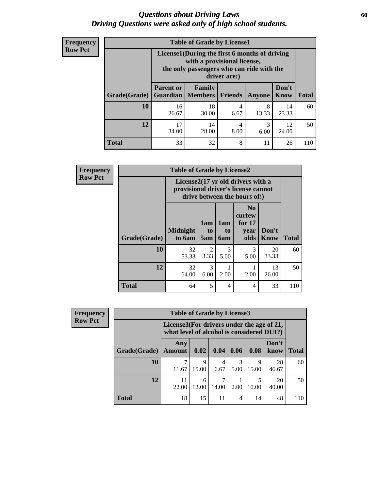### *Questions about Driving Laws* **60** *Driving Questions were asked only of high school students.*

| <b>Frequency</b> |
|------------------|
| <b>Row Pct</b>   |

| <b>Table of Grade by License1</b> |                                                                                                                                           |                                     |                |            |               |              |  |  |  |
|-----------------------------------|-------------------------------------------------------------------------------------------------------------------------------------------|-------------------------------------|----------------|------------|---------------|--------------|--|--|--|
|                                   | License1(During the first 6 months of driving<br>with a provisional license,<br>the only passengers who can ride with the<br>driver are:) |                                     |                |            |               |              |  |  |  |
| Grade(Grade)                      | <b>Parent or</b>                                                                                                                          | Family<br><b>Guardian</b>   Members | <b>Friends</b> | Anyone     | Don't<br>Know | <b>Total</b> |  |  |  |
| 10                                | 16<br>26.67                                                                                                                               | 18<br>30.00                         | 4<br>6.67      | 8<br>13.33 | 14<br>23.33   | 60           |  |  |  |
| 12                                | 17<br>34.00                                                                                                                               | 14<br>28.00                         | 4<br>8.00      | 3<br>6.00  | 12<br>24.00   | 50           |  |  |  |
| Total                             | 33                                                                                                                                        | 32                                  | 8              | 11         | 26            |              |  |  |  |

| <b>Frequency</b> |                     | <b>Table of Grade by License2</b>                                                                        |                              |                              |                                                      |                      |              |
|------------------|---------------------|----------------------------------------------------------------------------------------------------------|------------------------------|------------------------------|------------------------------------------------------|----------------------|--------------|
| <b>Row Pct</b>   |                     | License2(17 yr old drivers with a<br>provisional driver's license cannot<br>drive between the hours of:) |                              |                              |                                                      |                      |              |
|                  | <b>Grade(Grade)</b> | <b>Midnight</b><br>to 6am                                                                                | 1am<br>t <sub>0</sub><br>5am | 1am<br>t <sub>0</sub><br>6am | N <sub>0</sub><br>curfew<br>for $17$<br>year<br>olds | Don't<br><b>Know</b> | <b>Total</b> |
|                  | 10                  | 32<br>53.33                                                                                              | $\overline{2}$<br>3.33       | 3<br>5.00                    | 3<br>5.00                                            | 20<br>33.33          | 60           |
|                  | 12                  | 32<br>64.00                                                                                              | 3<br>6.00                    | 2.00                         | 2.00                                                 | 13<br>26.00          | 50           |
|                  | <b>Total</b>        | 64                                                                                                       | 5                            | 4                            | 4                                                    | 33                   | 110          |

| Frequency      |              | <b>Table of Grade by License3</b><br>License3(For drivers under the age of 21,<br>what level of alcohol is considered DUI?) |            |           |           |            |               |              |
|----------------|--------------|-----------------------------------------------------------------------------------------------------------------------------|------------|-----------|-----------|------------|---------------|--------------|
| <b>Row Pct</b> |              |                                                                                                                             |            |           |           |            |               |              |
|                | Grade(Grade) | Any<br><b>Amount</b>                                                                                                        | 0.02       | 0.04      | 0.06      | 0.08       | Don't<br>know | <b>Total</b> |
|                | 10           | 11.67                                                                                                                       | 9<br>15.00 | 4<br>6.67 | 3<br>5.00 | Q<br>15.00 | 28<br>46.67   | 60           |
|                | 12           | 11<br>22.00                                                                                                                 | 6<br>12.00 | 14.00     | 2.00      | 10.00      | 20<br>40.00   | 50           |
|                | <b>Total</b> | 18                                                                                                                          | 15         | 11        | 4         | 14         | 48            | 110          |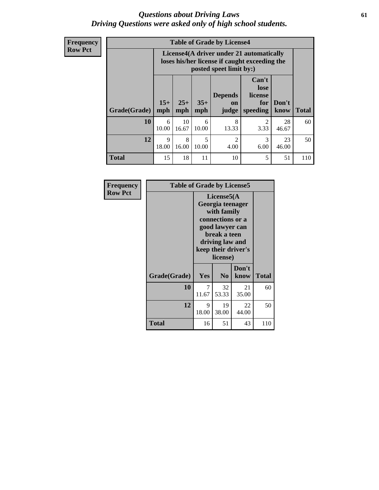### *Questions about Driving Laws* **61** *Driving Questions were asked only of high school students.*

**Frequency Row Pct**

| <b>Table of Grade by License4</b> |              |                                                                                                                                               |            |                        |                        |             |     |  |  |
|-----------------------------------|--------------|-----------------------------------------------------------------------------------------------------------------------------------------------|------------|------------------------|------------------------|-------------|-----|--|--|
|                                   |              | License4(A driver under 21 automatically<br>loses his/her license if caught exceeding the<br>posted speet limit by:)                          |            |                        |                        |             |     |  |  |
| Grade(Grade)                      | $15+$<br>mph | Can't<br>lose<br><b>Depends</b><br>license<br>$25+$<br>$35+$<br>Don't<br>for<br>on<br><b>Total</b><br>mph<br>mph<br>speeding<br>know<br>judge |            |                        |                        |             |     |  |  |
| 10                                | 6<br>10.00   | 10<br>16.67                                                                                                                                   | 6<br>10.00 | 8<br>13.33             | $\mathfrak{D}$<br>3.33 | 28<br>46.67 | 60  |  |  |
| 12                                | 9<br>18.00   | 8<br>16.00                                                                                                                                    | 5<br>10.00 | $\overline{2}$<br>4.00 | 3<br>6.00              | 23<br>46.00 | 50  |  |  |
| <b>Total</b>                      | 15           | 18                                                                                                                                            | 11         | 10                     | 5                      | 51          | 110 |  |  |

| Frequency      | <b>Table of Grade by License5</b> |                                                                                                                                                             |                |               |              |  |
|----------------|-----------------------------------|-------------------------------------------------------------------------------------------------------------------------------------------------------------|----------------|---------------|--------------|--|
| <b>Row Pct</b> |                                   | License5(A)<br>Georgia teenager<br>with family<br>connections or a<br>good lawyer can<br>break a teen<br>driving law and<br>keep their driver's<br>license) |                |               |              |  |
|                | Grade(Grade)                      | Yes                                                                                                                                                         | N <sub>0</sub> | Don't<br>know | <b>Total</b> |  |
|                | 10                                | 7<br>11.67                                                                                                                                                  | 32<br>53.33    | 21<br>35.00   | 60           |  |
|                | 12                                | 9<br>18.00                                                                                                                                                  | 19<br>38.00    | 22<br>44.00   | 50           |  |
|                | Total                             | 16                                                                                                                                                          | 51             | 43            | 110          |  |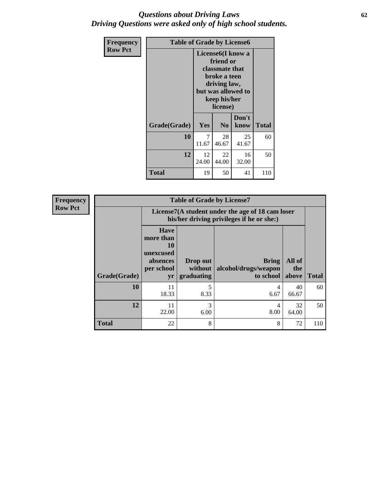### *Questions about Driving Laws* **62** *Driving Questions were asked only of high school students.*

| <b>Frequency</b> | <b>Table of Grade by License6</b> |                                                                                                                                                 |                |               |              |
|------------------|-----------------------------------|-------------------------------------------------------------------------------------------------------------------------------------------------|----------------|---------------|--------------|
| <b>Row Pct</b>   |                                   | License <sub>6</sub> (I know a<br>friend or<br>classmate that<br>broke a teen<br>driving law,<br>but was allowed to<br>keep his/her<br>license) |                |               |              |
|                  | Grade(Grade)                      | Yes                                                                                                                                             | N <sub>0</sub> | Don't<br>know | <b>Total</b> |
|                  | 10                                | 7<br>11.67                                                                                                                                      | 28<br>46.67    | 25<br>41.67   | 60           |
|                  | 12                                | 12<br>24.00                                                                                                                                     | 22<br>44.00    | 16<br>32.00   | 50           |
|                  | <b>Total</b>                      | 19                                                                                                                                              | 50             | 41            | 110          |

| <b>Frequency</b> | <b>Table of Grade by License7</b> |                                                                                               |                                   |                                            |                        |              |  |  |  |
|------------------|-----------------------------------|-----------------------------------------------------------------------------------------------|-----------------------------------|--------------------------------------------|------------------------|--------------|--|--|--|
| <b>Row Pct</b>   |                                   | License7(A student under the age of 18 cam loser<br>his/her driving privileges if he or she:) |                                   |                                            |                        |              |  |  |  |
|                  | Grade(Grade)                      | <b>Have</b><br>more than<br>10<br>unexcused<br>absences<br>per school<br>yr                   | Drop out<br>without<br>graduating | Bring<br>alcohol/drugs/weapon<br>to school | All of<br>the<br>above | <b>Total</b> |  |  |  |
|                  | 10                                | 11<br>18.33                                                                                   | 5<br>8.33                         | 4<br>6.67                                  | 40<br>66.67            | 60           |  |  |  |
|                  | 12                                | 11<br>22.00                                                                                   | 3<br>6.00                         | 4<br>8.00                                  | 32<br>64.00            | 50           |  |  |  |
|                  | <b>Total</b>                      | 22                                                                                            | 8                                 | 8                                          | 72                     | 110          |  |  |  |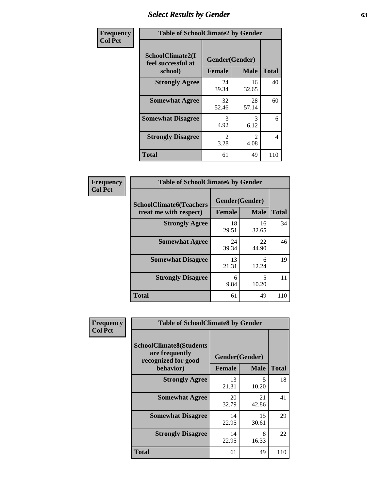# *Select Results by Gender* **63**

| Frequency      | <b>Table of SchoolClimate2 by Gender</b>          |                                 |                                     |              |  |
|----------------|---------------------------------------------------|---------------------------------|-------------------------------------|--------------|--|
| <b>Col Pct</b> | SchoolClimate2(I<br>feel successful at<br>school) | Gender(Gender)<br><b>Female</b> | <b>Male</b>                         | <b>Total</b> |  |
|                | <b>Strongly Agree</b>                             | 24<br>39.34                     | 16<br>32.65                         | 40           |  |
|                | <b>Somewhat Agree</b>                             | 32<br>52.46                     | 28<br>57.14                         | 60           |  |
|                | <b>Somewhat Disagree</b>                          | 3<br>4.92                       | 3<br>6.12                           | 6            |  |
|                | <b>Strongly Disagree</b>                          | $\mathcal{L}$<br>3.28           | $\mathcal{D}_{\mathcal{L}}$<br>4.08 | 4            |  |
|                | <b>Total</b>                                      | 61                              | 49                                  | 110          |  |

| Frequency      |                                                          | <b>Table of SchoolClimate6 by Gender</b> |             |              |  |  |  |
|----------------|----------------------------------------------------------|------------------------------------------|-------------|--------------|--|--|--|
| <b>Col Pct</b> | <b>SchoolClimate6(Teachers</b><br>treat me with respect) | Gender(Gender)<br><b>Female</b>          | <b>Male</b> | <b>Total</b> |  |  |  |
|                | <b>Strongly Agree</b>                                    | 18<br>29.51                              | 16<br>32.65 | 34           |  |  |  |
|                | <b>Somewhat Agree</b>                                    | 24<br>39.34                              | 22<br>44.90 | 46           |  |  |  |
|                | <b>Somewhat Disagree</b>                                 | 13<br>21.31                              | 6<br>12.24  | 19           |  |  |  |
|                | <b>Strongly Disagree</b>                                 | 6<br>9.84                                | 5<br>10.20  | 11           |  |  |  |
|                | <b>Total</b>                                             | 61                                       | 49          | 110          |  |  |  |

| Frequency      | <b>Table of SchoolClimate8 by Gender</b>                                             |               |                                   |              |  |  |
|----------------|--------------------------------------------------------------------------------------|---------------|-----------------------------------|--------------|--|--|
| <b>Col Pct</b> | <b>SchoolClimate8(Students</b><br>are frequently<br>recognized for good<br>behavior) | <b>Female</b> | Gender(Gender)<br><b>Male</b>     | <b>Total</b> |  |  |
|                | <b>Strongly Agree</b>                                                                | 13<br>21.31   | $\overline{\phantom{0}}$<br>10.20 | 18           |  |  |
|                | <b>Somewhat Agree</b>                                                                | 20<br>32.79   | 21<br>42.86                       | 41           |  |  |
|                | <b>Somewhat Disagree</b>                                                             | 14<br>22.95   | 15<br>30.61                       | 29           |  |  |
|                | <b>Strongly Disagree</b>                                                             | 14<br>22.95   | 8<br>16.33                        | 22           |  |  |
|                | Total                                                                                | 61            | 49                                | 110          |  |  |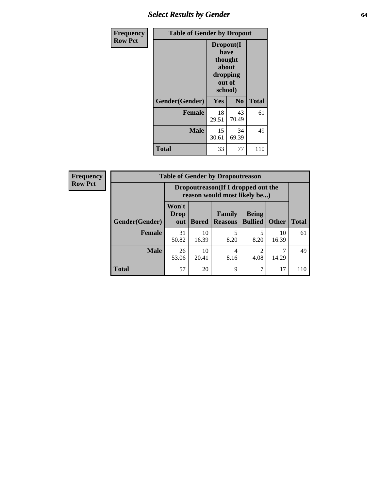## *Select Results by Gender* **64**

| <b>Frequency</b> | <b>Table of Gender by Dropout</b> |                                                                        |                |              |
|------------------|-----------------------------------|------------------------------------------------------------------------|----------------|--------------|
| <b>Row Pct</b>   |                                   | Dropout(I<br>have<br>thought<br>about<br>dropping<br>out of<br>school) |                |              |
|                  | Gender(Gender)                    | Yes                                                                    | N <sub>0</sub> | <b>Total</b> |
|                  | <b>Female</b>                     | 18<br>29.51                                                            | 43<br>70.49    | 61           |
|                  | <b>Male</b>                       | 15<br>30.61                                                            | 34<br>69.39    | 49           |
|                  | <b>Total</b>                      | 33                                                                     | 77             | 110          |

| <b>Frequency</b> | <b>Table of Gender by Dropoutreason</b> |                             |                                                                     |                                 |                                |              |              |
|------------------|-----------------------------------------|-----------------------------|---------------------------------------------------------------------|---------------------------------|--------------------------------|--------------|--------------|
| <b>Row Pct</b>   |                                         |                             | Dropoutreason (If I dropped out the<br>reason would most likely be) |                                 |                                |              |              |
|                  | <b>Gender</b> (Gender)                  | Won't<br><b>Drop</b><br>out | <b>Bored</b>                                                        | <b>Family</b><br><b>Reasons</b> | <b>Being</b><br><b>Bullied</b> | <b>Other</b> | <b>Total</b> |
|                  | <b>Female</b>                           | 31<br>50.82                 | 10<br>16.39                                                         | 8.20                            | 8.20                           | 10<br>16.39  | 61           |
|                  | <b>Male</b>                             | 26<br>53.06                 | 10<br>20.41                                                         | 4<br>8.16                       | 4.08                           | 14.29        | 49           |
|                  | <b>Total</b>                            | 57                          | 20                                                                  | 9                               | 7                              | 17           | 110          |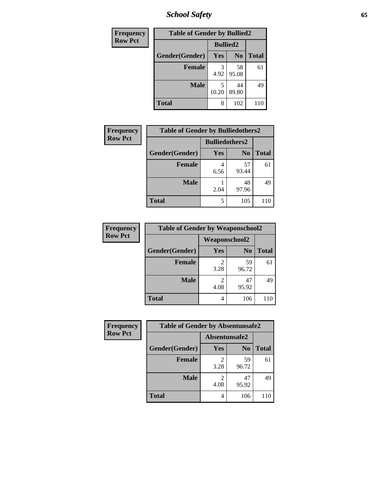*School Safety* **65**

| Frequency      | <b>Table of Gender by Bullied2</b> |                 |                |              |  |
|----------------|------------------------------------|-----------------|----------------|--------------|--|
| <b>Row Pct</b> |                                    | <b>Bullied2</b> |                |              |  |
|                | Gender(Gender)                     | Yes             | N <sub>0</sub> | <b>Total</b> |  |
|                | <b>Female</b>                      | 3<br>4.92       | 58<br>95.08    | 61           |  |
|                | <b>Male</b>                        | 5<br>10.20      | 44<br>89.80    | 49           |  |
|                | Total                              | 8               | 102            | 110          |  |

| Frequency      | <b>Table of Gender by Bulliedothers2</b> |                       |                |              |
|----------------|------------------------------------------|-----------------------|----------------|--------------|
| <b>Row Pct</b> |                                          | <b>Bulliedothers2</b> |                |              |
|                | Gender(Gender)                           | <b>Yes</b>            | N <sub>0</sub> | <b>Total</b> |
|                | <b>Female</b>                            | 4<br>6.56             | 57<br>93.44    | 61           |
|                | <b>Male</b>                              | 2.04                  | 48<br>97.96    | 49           |
|                | <b>Total</b>                             | 5                     | 105            | 110          |

| Frequency      | <b>Table of Gender by Weaponschool2</b> |                      |                |              |
|----------------|-----------------------------------------|----------------------|----------------|--------------|
| <b>Row Pct</b> |                                         | <b>Weaponschool2</b> |                |              |
|                | Gender(Gender)                          | Yes                  | N <sub>0</sub> | <b>Total</b> |
|                | <b>Female</b>                           | 3.28                 | 59<br>96.72    | 61           |
|                | <b>Male</b>                             | 4.08                 | 47<br>95.92    | 49           |
|                | <b>Total</b>                            | 4                    | 106            | 110          |

| Frequency      | <b>Table of Gender by Absentunsafe2</b> |               |                |              |
|----------------|-----------------------------------------|---------------|----------------|--------------|
| <b>Row Pct</b> |                                         | Absentunsafe2 |                |              |
|                | Gender(Gender)                          | <b>Yes</b>    | N <sub>0</sub> | <b>Total</b> |
|                | <b>Female</b>                           | 3.28          | 59<br>96.72    | 61           |
|                | <b>Male</b>                             | 4.08          | 47<br>95.92    | 49           |
|                | <b>Total</b>                            | 4             | 106            | 110          |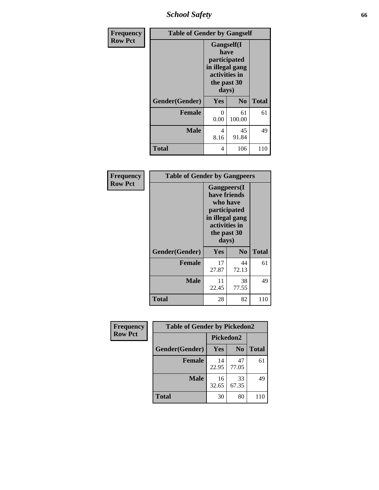*School Safety* **66**

| Frequency      | <b>Table of Gender by Gangself</b> |                                                                                                |                |              |
|----------------|------------------------------------|------------------------------------------------------------------------------------------------|----------------|--------------|
| <b>Row Pct</b> |                                    | Gangself(I<br>have<br>participated<br>in illegal gang<br>activities in<br>the past 30<br>days) |                |              |
|                | Gender(Gender)                     | Yes                                                                                            | N <sub>0</sub> | <b>Total</b> |
|                | <b>Female</b>                      | 0<br>0.00                                                                                      | 61<br>100.00   | 61           |
|                | <b>Male</b>                        | 4<br>8.16                                                                                      | 45<br>91.84    | 49           |
|                | <b>Total</b>                       | 4                                                                                              | 106            | 110          |

| Frequency      | <b>Table of Gender by Gangpeers</b> |                                                                                                                             |                |              |
|----------------|-------------------------------------|-----------------------------------------------------------------------------------------------------------------------------|----------------|--------------|
| <b>Row Pct</b> |                                     | <b>Gangpeers</b> (I<br>have friends<br>who have<br>participated<br>in illegal gang<br>activities in<br>the past 30<br>days) |                |              |
|                | Gender(Gender)                      | <b>Yes</b>                                                                                                                  | N <sub>0</sub> | <b>Total</b> |
|                | <b>Female</b>                       | 17<br>27.87                                                                                                                 | 44<br>72.13    | 61           |
|                | <b>Male</b>                         | 11<br>22.45                                                                                                                 | 38<br>77.55    | 49           |
|                | Total                               | 28                                                                                                                          | 82             | 110          |

| Frequency      | <b>Table of Gender by Pickedon2</b> |             |                |              |
|----------------|-------------------------------------|-------------|----------------|--------------|
| <b>Row Pct</b> |                                     | Pickedon2   |                |              |
|                | Gender(Gender)                      | <b>Yes</b>  | N <sub>0</sub> | <b>Total</b> |
|                | <b>Female</b>                       | 14<br>22.95 | 47<br>77.05    | 61           |
|                | <b>Male</b>                         | 16<br>32.65 | 33<br>67.35    | 49           |
|                | <b>Total</b>                        | 30          | 80             | 110          |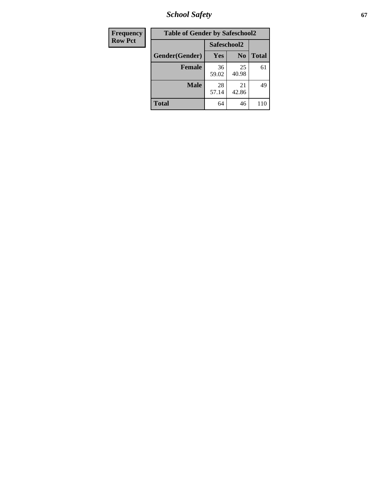*School Safety* **67**

| <b>Frequency</b> | <b>Table of Gender by Safeschool2</b> |             |                |              |
|------------------|---------------------------------------|-------------|----------------|--------------|
| <b>Row Pct</b>   |                                       | Safeschool2 |                |              |
|                  | Gender(Gender)                        | Yes         | N <sub>0</sub> | <b>Total</b> |
|                  | <b>Female</b>                         | 36<br>59.02 | 25<br>40.98    | 61           |
|                  | <b>Male</b>                           | 28<br>57.14 | 21<br>42.86    | 49           |
|                  | <b>Total</b>                          | 64          | 46             | 110          |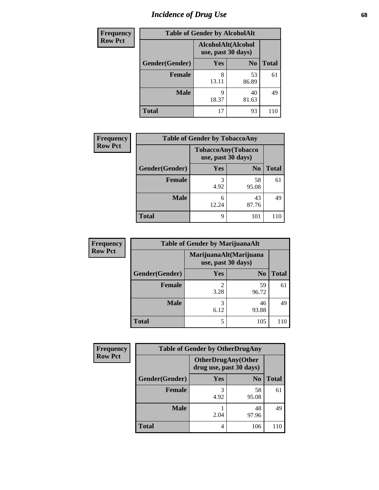# *Incidence of Drug Use* 68

| <b>Frequency</b> | <b>Table of Gender by AlcoholAlt</b> |                                          |                |              |  |
|------------------|--------------------------------------|------------------------------------------|----------------|--------------|--|
| <b>Row Pct</b>   |                                      | AlcoholAlt(Alcohol<br>use, past 30 days) |                |              |  |
|                  | Gender(Gender)                       | <b>Yes</b>                               | N <sub>0</sub> | <b>Total</b> |  |
|                  | <b>Female</b>                        | 8<br>13.11                               | 53<br>86.89    | 61           |  |
|                  | <b>Male</b>                          | Q<br>18.37                               | 40<br>81.63    | 49           |  |
|                  | <b>Total</b>                         | 17                                       | 93             | 110          |  |

| <b>Frequency</b> | <b>Table of Gender by TobaccoAny</b> |                                          |                |              |
|------------------|--------------------------------------|------------------------------------------|----------------|--------------|
| <b>Row Pct</b>   |                                      | TobaccoAny(Tobacco<br>use, past 30 days) |                |              |
|                  | Gender(Gender)                       | Yes                                      | N <sub>0</sub> | <b>Total</b> |
|                  | <b>Female</b>                        | 3<br>4.92                                | 58<br>95.08    | 61           |
|                  | <b>Male</b>                          | 6<br>12.24                               | 43<br>87.76    | 49           |
|                  | <b>Total</b>                         | 9                                        | 101            | 110          |

| <b>Frequency</b> |                | <b>Table of Gender by MarijuanaAlt</b>       |                |              |
|------------------|----------------|----------------------------------------------|----------------|--------------|
| <b>Row Pct</b>   |                | MarijuanaAlt(Marijuana<br>use, past 30 days) |                |              |
|                  | Gender(Gender) | <b>Yes</b>                                   | N <sub>0</sub> | <b>Total</b> |
|                  | <b>Female</b>  | $\mathfrak{D}$<br>3.28                       | 59<br>96.72    | 61           |
|                  | <b>Male</b>    | 3<br>6.12                                    | 46<br>93.88    | 49           |
|                  | <b>Total</b>   | 5                                            | 105            | 11C          |

| <b>Frequency</b> | <b>Table of Gender by OtherDrugAny</b> |                         |                           |              |
|------------------|----------------------------------------|-------------------------|---------------------------|--------------|
| <b>Row Pct</b>   |                                        | drug use, past 30 days) | <b>OtherDrugAny(Other</b> |              |
|                  | Gender(Gender)                         | <b>Yes</b>              | N <sub>0</sub>            | <b>Total</b> |
|                  | <b>Female</b>                          | 4.92                    | 58<br>95.08               | 61           |
|                  | <b>Male</b>                            | 2.04                    | 48<br>97.96               | 49           |
|                  | <b>Total</b>                           | 4                       | 106                       | 110          |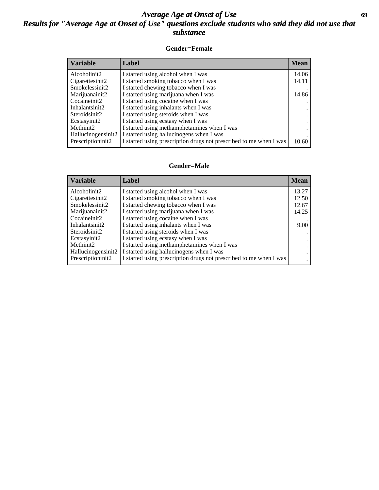### *Average Age at Onset of Use* **69** *Results for "Average Age at Onset of Use" questions exclude students who said they did not use that substance*

### **Gender=Female**

| Variable           | <b>Label</b>                                                       | <b>Mean</b> |
|--------------------|--------------------------------------------------------------------|-------------|
| Alcoholinit2       | I started using alcohol when I was                                 | 14.06       |
| Cigarettesinit2    | I started smoking tobacco when I was                               | 14.11       |
| Smokelessinit2     | I started chewing tobacco when I was                               |             |
| Marijuanainit2     | I started using marijuana when I was                               | 14.86       |
| Cocaineinit2       | I started using cocaine when I was                                 |             |
| Inhalantsinit2     | I started using inhalants when I was                               |             |
| Steroidsinit2      | I started using steroids when I was                                |             |
| Ecstasyinit2       | I started using ecstasy when I was                                 |             |
| Methinit2          | I started using methamphetamines when I was                        |             |
| Hallucinogensinit2 | I started using hallucinogens when I was                           |             |
| Prescription in t2 | I started using prescription drugs not prescribed to me when I was | 10.60       |

#### **Gender=Male**

| <b>Variable</b>                 | Label                                                              | <b>Mean</b> |
|---------------------------------|--------------------------------------------------------------------|-------------|
| Alcoholinit2                    | I started using alcohol when I was                                 | 13.27       |
| Cigarettesinit2                 | I started smoking tobacco when I was                               | 12.50       |
| Smokelessinit2                  | I started chewing tobacco when I was                               | 12.67       |
| Marijuanainit2                  | I started using marijuana when I was                               | 14.25       |
| Cocaineinit2                    | I started using cocaine when I was                                 |             |
| Inhalantsinit2                  | I started using inhalants when I was                               | 9.00        |
| Steroidsinit2                   | I started using steroids when I was                                |             |
| Ecstasyinit2                    | I started using ecstasy when I was                                 |             |
| Methinit2                       | I started using methamphetamines when I was                        |             |
| Hallucinogensinit2              | I started using hallucinogens when I was                           |             |
| Prescription in it <sub>2</sub> | I started using prescription drugs not prescribed to me when I was |             |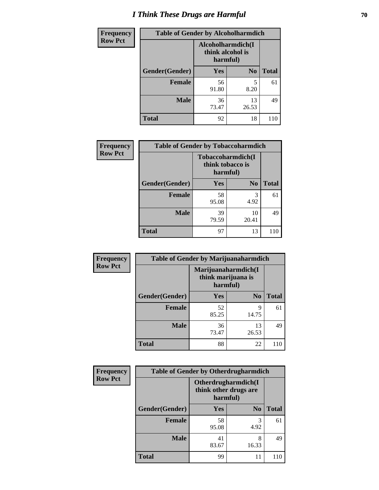# *I Think These Drugs are Harmful* **70**

| Frequency      | <b>Table of Gender by Alcoholharmdich</b> |                                                   |                |              |  |
|----------------|-------------------------------------------|---------------------------------------------------|----------------|--------------|--|
| <b>Row Pct</b> |                                           | Alcoholharmdich(I<br>think alcohol is<br>harmful) |                |              |  |
|                | Gender(Gender)                            | Yes                                               | N <sub>0</sub> | <b>Total</b> |  |
|                | <b>Female</b>                             | 56<br>91.80                                       | 5<br>8.20      | 61           |  |
|                | <b>Male</b>                               | 36<br>73.47                                       | 13<br>26.53    | 49           |  |
|                | Total                                     | 92                                                | 18             | 110          |  |

| Frequency      | <b>Table of Gender by Tobaccoharmdich</b> |                  |                               |              |
|----------------|-------------------------------------------|------------------|-------------------------------|--------------|
| <b>Row Pct</b> |                                           | think tobacco is | Tobaccoharmdich(I<br>harmful) |              |
|                | Gender(Gender)                            | <b>Yes</b>       | N <sub>0</sub>                | <b>Total</b> |
|                | <b>Female</b>                             | 58<br>95.08      | 3<br>4.92                     | 61           |
|                | <b>Male</b>                               | 39<br>79.59      | 10<br>20.41                   | 49           |
|                | <b>Total</b>                              | 97               | 13                            | 110          |

| Frequency      | <b>Table of Gender by Marijuanaharmdich</b> |                                |                     |              |
|----------------|---------------------------------------------|--------------------------------|---------------------|--------------|
| <b>Row Pct</b> |                                             | think marijuana is<br>harmful) | Marijuanaharmdich(I |              |
|                | Gender(Gender)                              | <b>Yes</b>                     | N <sub>0</sub>      | <b>Total</b> |
|                | <b>Female</b>                               | 52<br>85.25                    | Q<br>14.75          | 61           |
|                | <b>Male</b>                                 | 36<br>73.47                    | 13<br>26.53         | 49           |
|                | <b>Total</b>                                | 88                             | 22                  | 110          |

| Frequency      | <b>Table of Gender by Otherdrugharmdich</b> |                                                          |                |              |
|----------------|---------------------------------------------|----------------------------------------------------------|----------------|--------------|
| <b>Row Pct</b> |                                             | Otherdrugharmdich(I<br>think other drugs are<br>harmful) |                |              |
|                | Gender(Gender)                              | <b>Yes</b>                                               | N <sub>0</sub> | <b>Total</b> |
|                | <b>Female</b>                               | 58<br>95.08                                              | 3<br>4.92      | 61           |
|                | <b>Male</b>                                 | 41<br>83.67                                              | 8<br>16.33     | 49           |
|                | <b>Total</b>                                | 99                                                       | 11             | 110          |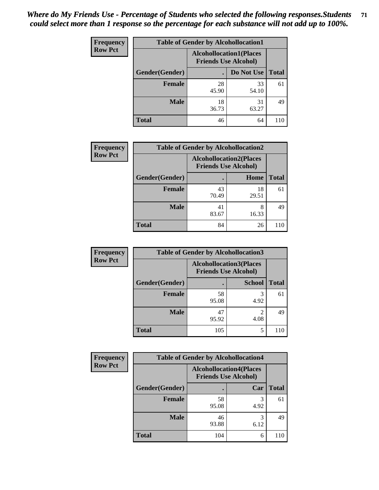| <b>Frequency</b> | <b>Table of Gender by Alcohollocation1</b> |                                                               |             |              |
|------------------|--------------------------------------------|---------------------------------------------------------------|-------------|--------------|
| <b>Row Pct</b>   |                                            | <b>Alcohollocation1(Places</b><br><b>Friends Use Alcohol)</b> |             |              |
|                  | Gender(Gender)                             |                                                               | Do Not Use  | <b>Total</b> |
|                  | <b>Female</b>                              | 28<br>45.90                                                   | 33<br>54.10 | 61           |
|                  | <b>Male</b>                                | 18<br>36.73                                                   | 31<br>63.27 | 49           |
|                  | Total                                      | 46                                                            | 64          |              |

| <b>Frequency</b> |                | <b>Table of Gender by Alcohollocation2</b> |                                                               |              |  |
|------------------|----------------|--------------------------------------------|---------------------------------------------------------------|--------------|--|
| <b>Row Pct</b>   |                |                                            | <b>Alcohollocation2(Places</b><br><b>Friends Use Alcohol)</b> |              |  |
|                  | Gender(Gender) |                                            | Home                                                          | <b>Total</b> |  |
|                  | <b>Female</b>  | 43<br>70.49                                | 18<br>29.51                                                   | 61           |  |
|                  | <b>Male</b>    | 41<br>83.67                                | 8<br>16.33                                                    | 49           |  |
|                  | <b>Total</b>   | 84                                         | 26                                                            | 110          |  |

| Frequency      | <b>Table of Gender by Alcohollocation3</b> |                                                               |               |              |
|----------------|--------------------------------------------|---------------------------------------------------------------|---------------|--------------|
| <b>Row Pct</b> |                                            | <b>Alcohollocation3(Places</b><br><b>Friends Use Alcohol)</b> |               |              |
|                | Gender(Gender)                             |                                                               | <b>School</b> | <b>Total</b> |
|                | <b>Female</b>                              | 58<br>95.08                                                   | 4.92          | 61           |
|                | <b>Male</b>                                | 47<br>95.92                                                   | 4.08          | 49           |
|                | <b>Total</b>                               | 105                                                           | 5             | 110          |

| <b>Frequency</b> | <b>Table of Gender by Alcohollocation4</b> |                                                               |           |              |
|------------------|--------------------------------------------|---------------------------------------------------------------|-----------|--------------|
| <b>Row Pct</b>   |                                            | <b>Alcohollocation4(Places</b><br><b>Friends Use Alcohol)</b> |           |              |
|                  | Gender(Gender)                             |                                                               | Car       | <b>Total</b> |
|                  | <b>Female</b>                              | 58<br>95.08                                                   | 4.92      | 61           |
|                  | <b>Male</b>                                | 46<br>93.88                                                   | 3<br>6.12 | 49           |
|                  | <b>Total</b>                               | 104                                                           | 6         |              |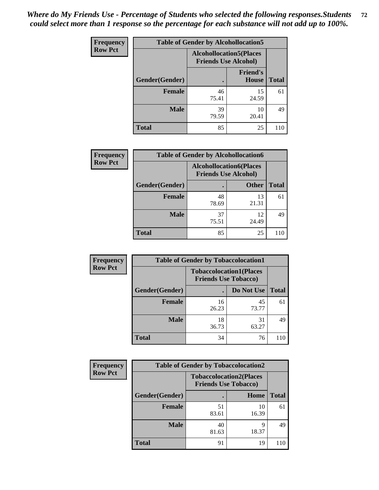| <b>Frequency</b> | <b>Table of Gender by Alcohollocation5</b> |                                |                             |              |
|------------------|--------------------------------------------|--------------------------------|-----------------------------|--------------|
| <b>Row Pct</b>   |                                            | <b>Alcohollocation5(Places</b> | <b>Friends Use Alcohol)</b> |              |
|                  | Gender(Gender)                             |                                | <b>Friend's</b><br>House    | <b>Total</b> |
|                  | <b>Female</b>                              | 46<br>75.41                    | 15<br>24.59                 | 61           |
|                  | <b>Male</b>                                | 39<br>79.59                    | 10<br>20.41                 | 49           |
|                  | <b>Total</b>                               | 85                             | 25                          | 110          |

| Frequency      | <b>Table of Gender by Alcohollocation6</b> |                                                               |              |              |  |
|----------------|--------------------------------------------|---------------------------------------------------------------|--------------|--------------|--|
| <b>Row Pct</b> |                                            | <b>Alcohollocation6(Places</b><br><b>Friends Use Alcohol)</b> |              |              |  |
|                | <b>Gender</b> (Gender)                     |                                                               | <b>Other</b> | <b>Total</b> |  |
|                | <b>Female</b>                              | 48<br>78.69                                                   | 13<br>21.31  | 61           |  |
|                | <b>Male</b>                                | 37<br>75.51                                                   | 12<br>24.49  | 49           |  |
|                | <b>Total</b>                               | 85                                                            | 25           | 110          |  |

| Frequency      | <b>Table of Gender by Tobaccolocation1</b> |                                                               |             |              |  |
|----------------|--------------------------------------------|---------------------------------------------------------------|-------------|--------------|--|
| <b>Row Pct</b> |                                            | <b>Tobaccolocation1(Places</b><br><b>Friends Use Tobacco)</b> |             |              |  |
|                | <b>Gender</b> (Gender)                     |                                                               | Do Not Use  | <b>Total</b> |  |
|                | Female                                     | 16<br>26.23                                                   | 45<br>73.77 | 61           |  |
|                | <b>Male</b>                                | 18<br>36.73                                                   | 31<br>63.27 | 49           |  |
|                | <b>Total</b>                               | 34                                                            | 76          | 110          |  |

| <b>Frequency</b> | <b>Table of Gender by Tobaccolocation2</b> |                                                               |             |              |  |
|------------------|--------------------------------------------|---------------------------------------------------------------|-------------|--------------|--|
| <b>Row Pct</b>   |                                            | <b>Tobaccolocation2(Places</b><br><b>Friends Use Tobacco)</b> |             |              |  |
|                  | Gender(Gender)                             |                                                               | Home        | <b>Total</b> |  |
|                  | Female                                     | 51<br>83.61                                                   | 10<br>16.39 | 61           |  |
|                  | <b>Male</b>                                | 40<br>81.63                                                   | q<br>18.37  | 49           |  |
|                  | <b>Total</b>                               | 91                                                            | 19          | 110          |  |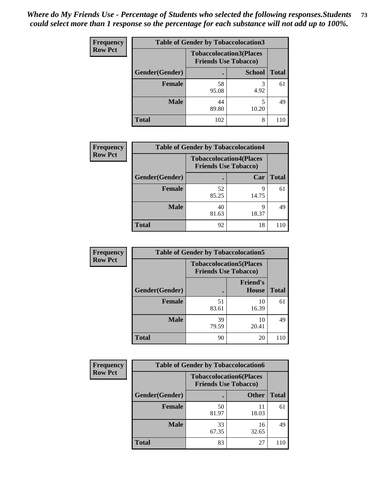| <b>Frequency</b> | <b>Table of Gender by Tobaccolocation3</b> |                             |                                |              |  |
|------------------|--------------------------------------------|-----------------------------|--------------------------------|--------------|--|
| <b>Row Pct</b>   |                                            | <b>Friends Use Tobacco)</b> | <b>Tobaccolocation3(Places</b> |              |  |
|                  | Gender(Gender)                             |                             | <b>School</b>                  | <b>Total</b> |  |
|                  | Female                                     | 58<br>95.08                 | 4.92                           | 61           |  |
|                  | <b>Male</b>                                | 44<br>89.80                 | 10.20                          | 49           |  |
|                  | <b>Total</b>                               | 102                         | 8                              |              |  |

| <b>Frequency</b> | <b>Table of Gender by Tobaccolocation4</b> |                                                               |            |              |
|------------------|--------------------------------------------|---------------------------------------------------------------|------------|--------------|
| <b>Row Pct</b>   |                                            | <b>Tobaccolocation4(Places</b><br><b>Friends Use Tobacco)</b> |            |              |
|                  | Gender(Gender)                             |                                                               | Car        | <b>Total</b> |
|                  | <b>Female</b>                              | 52<br>85.25                                                   | Q<br>14.75 | 61           |
|                  | <b>Male</b>                                | 40<br>81.63                                                   | 18.37      | 49           |
|                  | <b>Total</b>                               | 92                                                            | 18         | 110          |

| <b>Frequency</b> | <b>Table of Gender by Tobaccolocation5</b> |                                                               |                                 |              |
|------------------|--------------------------------------------|---------------------------------------------------------------|---------------------------------|--------------|
| <b>Row Pct</b>   |                                            | <b>Tobaccolocation5(Places</b><br><b>Friends Use Tobacco)</b> |                                 |              |
|                  | Gender(Gender)                             |                                                               | <b>Friend's</b><br><b>House</b> | <b>Total</b> |
|                  | <b>Female</b>                              | 51<br>83.61                                                   | 10<br>16.39                     | 61           |
|                  | <b>Male</b>                                | 39<br>79.59                                                   | 10<br>20.41                     | 49           |
|                  | <b>Total</b>                               | 90                                                            | 20                              | 110          |

| <b>Frequency</b> | <b>Table of Gender by Tobaccolocation6</b> |                                                               |              |              |
|------------------|--------------------------------------------|---------------------------------------------------------------|--------------|--------------|
| <b>Row Pct</b>   |                                            | <b>Tobaccolocation6(Places</b><br><b>Friends Use Tobacco)</b> |              |              |
|                  | Gender(Gender)                             |                                                               | <b>Other</b> | <b>Total</b> |
|                  | Female                                     | 50<br>81.97                                                   | 11<br>18.03  | 61           |
|                  | <b>Male</b>                                | 33<br>67.35                                                   | 16<br>32.65  | 49           |
|                  | <b>Total</b>                               | 83                                                            | 27           | 110          |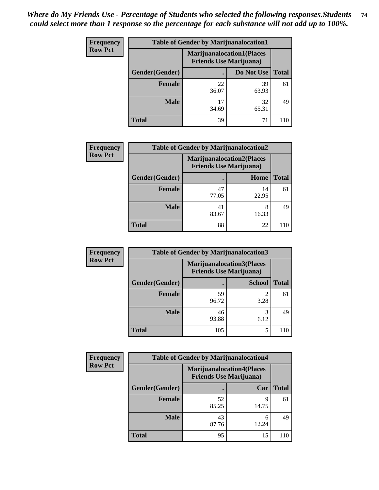| <b>Frequency</b> | <b>Table of Gender by Marijuanalocation1</b> |                                                                    |             |              |  |
|------------------|----------------------------------------------|--------------------------------------------------------------------|-------------|--------------|--|
| <b>Row Pct</b>   |                                              | <b>Marijuanalocation1(Places</b><br><b>Friends Use Marijuana</b> ) |             |              |  |
|                  | Gender(Gender)                               |                                                                    | Do Not Use  | <b>Total</b> |  |
|                  | <b>Female</b>                                | 22<br>36.07                                                        | 39<br>63.93 | 61           |  |
|                  | <b>Male</b>                                  | 17<br>34.69                                                        | 32<br>65.31 | 49           |  |
|                  | Total                                        | 39                                                                 | 71          |              |  |

| <b>Frequency</b> | <b>Table of Gender by Marijuanalocation2</b> |                                                                    |             |              |  |
|------------------|----------------------------------------------|--------------------------------------------------------------------|-------------|--------------|--|
| <b>Row Pct</b>   |                                              | <b>Marijuanalocation2(Places</b><br><b>Friends Use Marijuana</b> ) |             |              |  |
|                  | Gender(Gender)                               |                                                                    | Home        | <b>Total</b> |  |
|                  | <b>Female</b>                                | 47<br>77.05                                                        | 14<br>22.95 | 61           |  |
|                  | <b>Male</b>                                  | 41<br>83.67                                                        | 8<br>16.33  | 49           |  |
|                  | <b>Total</b>                                 | 88                                                                 | 22          | 110          |  |

| Frequency      | <b>Table of Gender by Marijuanalocation3</b> |                                                                    |               |              |
|----------------|----------------------------------------------|--------------------------------------------------------------------|---------------|--------------|
| <b>Row Pct</b> |                                              | <b>Marijuanalocation3(Places</b><br><b>Friends Use Marijuana</b> ) |               |              |
|                | Gender(Gender)                               |                                                                    | <b>School</b> | <b>Total</b> |
|                | Female                                       | 59<br>96.72                                                        | 2<br>3.28     | 61           |
|                | <b>Male</b>                                  | 46<br>93.88                                                        | 3<br>6.12     | 49           |
|                | <b>Total</b>                                 | 105                                                                | 5             | 110          |

| <b>Frequency</b> | <b>Table of Gender by Marijuanalocation4</b> |                                |                                  |              |
|------------------|----------------------------------------------|--------------------------------|----------------------------------|--------------|
| <b>Row Pct</b>   |                                              | <b>Friends Use Marijuana</b> ) | <b>Marijuanalocation4(Places</b> |              |
|                  | Gender(Gender)                               |                                | Car                              | <b>Total</b> |
|                  | Female                                       | 52<br>85.25                    | q<br>14.75                       | 61           |
|                  | <b>Male</b>                                  | 43<br>87.76                    | 6<br>12.24                       | 49           |
|                  | <b>Total</b>                                 | 95                             | 15                               |              |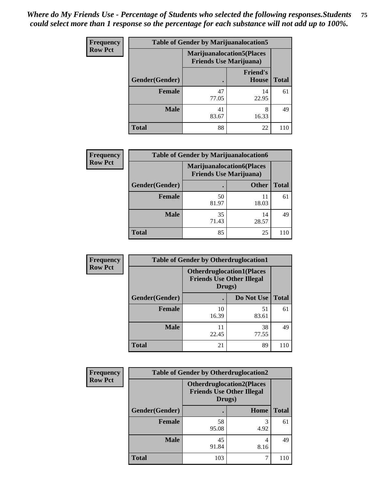| <b>Frequency</b> | <b>Table of Gender by Marijuanalocation5</b> |                                |                                   |              |
|------------------|----------------------------------------------|--------------------------------|-----------------------------------|--------------|
| <b>Row Pct</b>   |                                              | <b>Friends Use Marijuana</b> ) | <b>Marijuanalocation5</b> (Places |              |
|                  | Gender(Gender)                               |                                | <b>Friend's</b><br>House          | <b>Total</b> |
|                  | <b>Female</b>                                | 47<br>77.05                    | 14<br>22.95                       | 61           |
|                  | <b>Male</b>                                  | 41<br>83.67                    | 8<br>16.33                        | 49           |
|                  | <b>Total</b>                                 | 88                             | 22                                | 110          |

| <b>Frequency</b> | <b>Table of Gender by Marijuanalocation6</b> |                                                                    |              |              |
|------------------|----------------------------------------------|--------------------------------------------------------------------|--------------|--------------|
| <b>Row Pct</b>   |                                              | <b>Marijuanalocation6(Places</b><br><b>Friends Use Marijuana</b> ) |              |              |
|                  | Gender(Gender)                               |                                                                    | <b>Other</b> | <b>Total</b> |
|                  | <b>Female</b>                                | 50<br>81.97                                                        | 18.03        | 61           |
|                  | <b>Male</b>                                  | 35<br>71.43                                                        | 14<br>28.57  | 49           |
|                  | Total                                        | 85                                                                 | 25           | 110          |

| <b>Frequency</b> | <b>Table of Gender by Otherdruglocation1</b> |             |                                                                                |              |
|------------------|----------------------------------------------|-------------|--------------------------------------------------------------------------------|--------------|
| <b>Row Pct</b>   |                                              |             | <b>Otherdruglocation1(Places</b><br><b>Friends Use Other Illegal</b><br>Drugs) |              |
|                  | Gender(Gender)                               |             | Do Not Use                                                                     | <b>Total</b> |
|                  | <b>Female</b>                                | 10<br>16.39 | 51<br>83.61                                                                    | 61           |
|                  | <b>Male</b>                                  | 11<br>22.45 | 38<br>77.55                                                                    | 49           |
|                  | <b>Total</b>                                 | 21          | 89                                                                             |              |

| Frequency      | <b>Table of Gender by Otherdruglocation2</b> |                                                                                |           |              |
|----------------|----------------------------------------------|--------------------------------------------------------------------------------|-----------|--------------|
| <b>Row Pct</b> |                                              | <b>Otherdruglocation2(Places</b><br><b>Friends Use Other Illegal</b><br>Drugs) |           |              |
|                | Gender(Gender)                               |                                                                                | Home      | <b>Total</b> |
|                | Female                                       | 58<br>95.08                                                                    | 4.92      | 61           |
|                | <b>Male</b>                                  | 45<br>91.84                                                                    | 4<br>8.16 | 49           |
|                | <b>Total</b>                                 | 103                                                                            |           | 110          |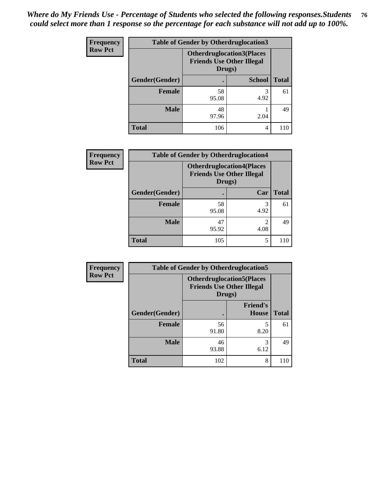| Frequency      | <b>Table of Gender by Otherdruglocation3</b> |                                                                                |               |              |
|----------------|----------------------------------------------|--------------------------------------------------------------------------------|---------------|--------------|
| <b>Row Pct</b> |                                              | <b>Otherdruglocation3(Places</b><br><b>Friends Use Other Illegal</b><br>Drugs) |               |              |
|                | Gender(Gender)                               |                                                                                | <b>School</b> | <b>Total</b> |
|                | Female                                       | 58<br>95.08                                                                    | 3<br>4.92     | 61           |
|                | <b>Male</b>                                  | 48<br>97.96                                                                    | 2.04          | 49           |
|                | <b>Total</b>                                 | 106                                                                            | 4             | 110          |

| Frequency      | <b>Table of Gender by Otherdruglocation4</b> |                                                                                |                        |              |
|----------------|----------------------------------------------|--------------------------------------------------------------------------------|------------------------|--------------|
| <b>Row Pct</b> |                                              | <b>Otherdruglocation4(Places</b><br><b>Friends Use Other Illegal</b><br>Drugs) |                        |              |
|                | Gender(Gender)                               |                                                                                | Car                    | <b>Total</b> |
|                | Female                                       | 58<br>95.08                                                                    | 3<br>4.92              | 61           |
|                | <b>Male</b>                                  | 47<br>95.92                                                                    | $\mathfrak{D}$<br>4.08 | 49           |
|                | <b>Total</b>                                 | 105                                                                            | 5                      | 110          |

| Frequency      | <b>Table of Gender by Otherdruglocation5</b>                                   |             |                                 |              |
|----------------|--------------------------------------------------------------------------------|-------------|---------------------------------|--------------|
| <b>Row Pct</b> | <b>Otherdruglocation5(Places</b><br><b>Friends Use Other Illegal</b><br>Drugs) |             |                                 |              |
|                | Gender(Gender)                                                                 |             | <b>Friend's</b><br><b>House</b> | <b>Total</b> |
|                | <b>Female</b>                                                                  | 56<br>91.80 | 8.20                            | 61           |
|                | <b>Male</b>                                                                    | 46<br>93.88 | 3<br>6.12                       | 49           |
|                | <b>Total</b>                                                                   | 102         | 8                               | 110          |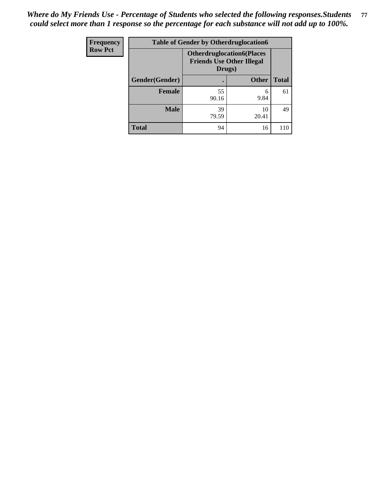| <b>Frequency</b> | <b>Table of Gender by Otherdruglocation6</b> |                                                                                |              |              |
|------------------|----------------------------------------------|--------------------------------------------------------------------------------|--------------|--------------|
| <b>Row Pct</b>   |                                              | <b>Otherdruglocation6(Places</b><br><b>Friends Use Other Illegal</b><br>Drugs) |              |              |
|                  | Gender(Gender)                               |                                                                                | <b>Other</b> | <b>Total</b> |
|                  | <b>Female</b>                                | 55<br>90.16                                                                    | 6<br>9.84    | 61           |
|                  | <b>Male</b>                                  | 39<br>79.59                                                                    | 10<br>20.41  | 49           |
|                  | <b>Total</b>                                 | 94                                                                             | 16           | 110          |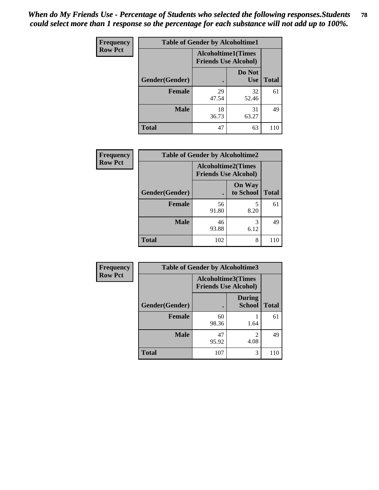| Frequency      | <b>Table of Gender by Alcoholtime1</b> |                                                          |                      |              |
|----------------|----------------------------------------|----------------------------------------------------------|----------------------|--------------|
| <b>Row Pct</b> |                                        | <b>Alcoholtime1(Times</b><br><b>Friends Use Alcohol)</b> |                      |              |
|                | Gender(Gender)                         | $\bullet$                                                | Do Not<br><b>Use</b> | <b>Total</b> |
|                | <b>Female</b>                          | 29<br>47.54                                              | 32<br>52.46          | 61           |
|                | <b>Male</b>                            | 18<br>36.73                                              | 31<br>63.27          | 49           |
|                | <b>Total</b>                           | 47                                                       | 63                   | 110          |

| <b>Frequency</b> | <b>Table of Gender by Alcoholtime2</b> |                                                          |                            |              |
|------------------|----------------------------------------|----------------------------------------------------------|----------------------------|--------------|
| <b>Row Pct</b>   |                                        | <b>Alcoholtime2(Times</b><br><b>Friends Use Alcohol)</b> |                            |              |
|                  | Gender(Gender)                         |                                                          | <b>On Way</b><br>to School | <b>Total</b> |
|                  | <b>Female</b>                          | 56<br>91.80                                              | 5<br>8.20                  | 61           |
|                  | <b>Male</b>                            | 46<br>93.88                                              | 3<br>6.12                  | 49           |
|                  | <b>Total</b>                           | 102                                                      | 8                          | 110          |

| Frequency      | <b>Table of Gender by Alcoholtime3</b> |                                                          |                                  |              |
|----------------|----------------------------------------|----------------------------------------------------------|----------------------------------|--------------|
| <b>Row Pct</b> |                                        | <b>Alcoholtime3(Times</b><br><b>Friends Use Alcohol)</b> |                                  |              |
|                | Gender(Gender)                         |                                                          | <b>During</b><br><b>School</b>   | <b>Total</b> |
|                | Female                                 | 60<br>98.36                                              | 1.64                             | 61           |
|                | <b>Male</b>                            | 47<br>95.92                                              | $\overline{\mathcal{L}}$<br>4.08 | 49           |
|                | <b>Total</b>                           | 107                                                      | 3                                | 110          |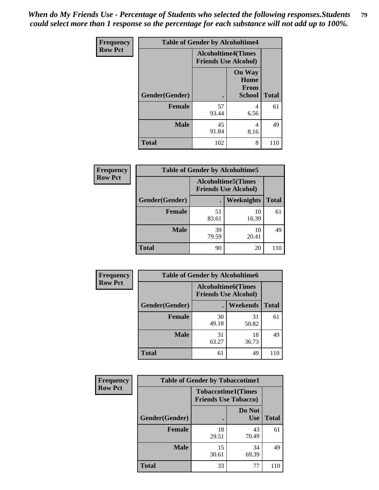*When do My Friends Use - Percentage of Students who selected the following responses.Students could select more than 1 response so the percentage for each substance will not add up to 100%.* **79**

| <b>Frequency</b> | <b>Table of Gender by Alcoholtime4</b> |                                                          |                                         |              |
|------------------|----------------------------------------|----------------------------------------------------------|-----------------------------------------|--------------|
| <b>Row Pct</b>   |                                        | <b>Alcoholtime4(Times</b><br><b>Friends Use Alcohol)</b> |                                         |              |
|                  | Gender(Gender)                         |                                                          | <b>On Way</b><br>Home<br>From<br>School | <b>Total</b> |
|                  | <b>Female</b>                          | 57<br>93.44                                              | 4<br>6.56                               | 61           |
|                  | <b>Male</b>                            | 45<br>91.84                                              | 4<br>8.16                               | 49           |
|                  | <b>Total</b>                           | 102                                                      | 8                                       | 110          |

| <b>Frequency</b> | <b>Table of Gender by Alcoholtime5</b> |                                                           |             |              |
|------------------|----------------------------------------|-----------------------------------------------------------|-------------|--------------|
| <b>Row Pct</b>   |                                        | <b>Alcoholtime5</b> (Times<br><b>Friends Use Alcohol)</b> |             |              |
|                  | Gender(Gender)                         |                                                           | Weeknights  | <b>Total</b> |
|                  | <b>Female</b>                          | 51<br>83.61                                               | 10<br>16.39 | 61           |
|                  | <b>Male</b>                            | 39<br>79.59                                               | 10<br>20.41 | 49           |
|                  | <b>Total</b>                           | 90                                                        | 20          | 110          |

| <b>Frequency</b> | <b>Table of Gender by Alcoholtime6</b> |                                                          |                 |              |
|------------------|----------------------------------------|----------------------------------------------------------|-----------------|--------------|
| <b>Row Pct</b>   |                                        | <b>Alcoholtime6(Times</b><br><b>Friends Use Alcohol)</b> |                 |              |
|                  | Gender(Gender)                         |                                                          | <b>Weekends</b> | <b>Total</b> |
|                  | Female                                 | 30<br>49.18                                              | 31<br>50.82     | 61           |
|                  | <b>Male</b>                            | 31<br>63.27                                              | 18<br>36.73     | 49           |
|                  | <b>Total</b>                           | 61                                                       | 49              | 110          |

| Frequency      | <b>Table of Gender by Tobaccotime1</b> |                                                          |                      |              |
|----------------|----------------------------------------|----------------------------------------------------------|----------------------|--------------|
| <b>Row Pct</b> |                                        | <b>Tobaccotime1(Times</b><br><b>Friends Use Tobacco)</b> |                      |              |
|                | Gender(Gender)                         |                                                          | Do Not<br><b>Use</b> | <b>Total</b> |
|                | Female                                 | 18<br>29.51                                              | 43<br>70.49          | 61           |
|                | <b>Male</b>                            | 15<br>30.61                                              | 34<br>69.39          | 49           |
|                | <b>Total</b>                           | 33                                                       | 77                   | 110          |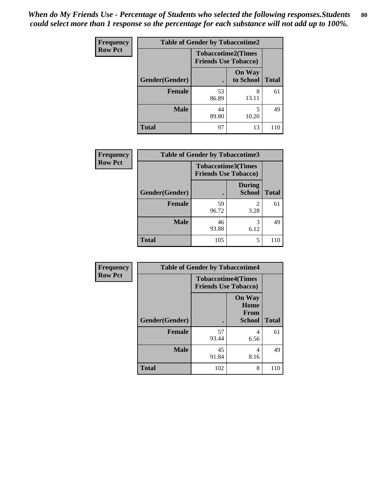| <b>Frequency</b> | <b>Table of Gender by Tobaccotime2</b> |                                                          |                            |              |
|------------------|----------------------------------------|----------------------------------------------------------|----------------------------|--------------|
| <b>Row Pct</b>   |                                        | <b>Tobaccotime2(Times</b><br><b>Friends Use Tobacco)</b> |                            |              |
|                  | Gender(Gender)                         | $\bullet$                                                | <b>On Way</b><br>to School | <b>Total</b> |
|                  | Female                                 | 53<br>86.89                                              | 8<br>13.11                 | 61           |
|                  | <b>Male</b>                            | 44<br>89.80                                              | 5<br>10.20                 | 49           |
|                  | <b>Total</b>                           | 97                                                       | 13                         | 110          |

| Frequency      | <b>Table of Gender by Tobaccotime3</b> |                             |                                |              |
|----------------|----------------------------------------|-----------------------------|--------------------------------|--------------|
| <b>Row Pct</b> |                                        | <b>Friends Use Tobacco)</b> | <b>Tobaccotime3(Times</b>      |              |
|                | Gender(Gender)                         |                             | <b>During</b><br><b>School</b> | <b>Total</b> |
|                | <b>Female</b>                          | 59<br>96.72                 | $\mathfrak{D}$<br>3.28         | 61           |
|                | <b>Male</b>                            | 46<br>93.88                 | 3<br>6.12                      | 49           |
|                | <b>Total</b>                           | 105                         | 5                              | 110          |

| <b>Frequency</b> | <b>Table of Gender by Tobaccotime4</b> |                                                          |                                                |              |
|------------------|----------------------------------------|----------------------------------------------------------|------------------------------------------------|--------------|
| <b>Row Pct</b>   |                                        | <b>Tobaccotime4(Times</b><br><b>Friends Use Tobacco)</b> |                                                |              |
|                  | Gender(Gender)                         |                                                          | <b>On Way</b><br>Home<br>From<br><b>School</b> | <b>Total</b> |
|                  | <b>Female</b>                          | 57<br>93.44                                              | 4<br>6.56                                      | 61           |
|                  | <b>Male</b>                            | 45<br>91.84                                              | 4<br>8.16                                      | 49           |
|                  | <b>Total</b>                           | 102                                                      | 8                                              | 110          |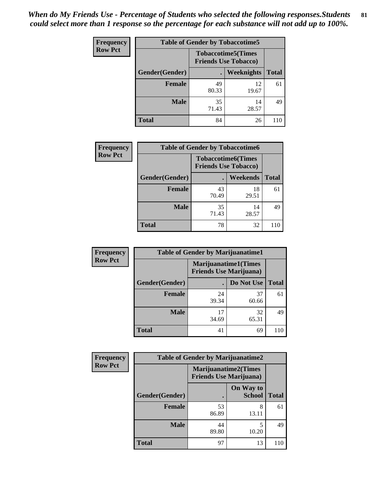| <b>Frequency</b> | <b>Table of Gender by Tobaccotime5</b> |             |                                                           |              |  |
|------------------|----------------------------------------|-------------|-----------------------------------------------------------|--------------|--|
| <b>Row Pct</b>   |                                        |             | <b>Tobaccotime5</b> (Times<br><b>Friends Use Tobacco)</b> |              |  |
|                  | Gender(Gender)                         |             | Weeknights                                                | <b>Total</b> |  |
|                  | <b>Female</b>                          | 49<br>80.33 | 12<br>19.67                                               | 61           |  |
|                  | <b>Male</b>                            | 35<br>71.43 | 14<br>28.57                                               | 49           |  |
|                  | Total                                  | 84          | 26                                                        | 110          |  |

| <b>Frequency</b> |                | <b>Table of Gender by Tobaccotime6</b>                   |                 |              |  |
|------------------|----------------|----------------------------------------------------------|-----------------|--------------|--|
| <b>Row Pct</b>   |                | <b>Tobaccotime6(Times</b><br><b>Friends Use Tobacco)</b> |                 |              |  |
|                  | Gender(Gender) |                                                          | <b>Weekends</b> | <b>Total</b> |  |
|                  | Female         | 43<br>70.49                                              | 18<br>29.51     | 61           |  |
|                  | <b>Male</b>    | 35<br>71.43                                              | 14<br>28.57     | 49           |  |
|                  | <b>Total</b>   | 78                                                       | 32              |              |  |

| <b>Frequency</b> | <b>Table of Gender by Marijuanatime1</b> |                                |                             |              |
|------------------|------------------------------------------|--------------------------------|-----------------------------|--------------|
| <b>Row Pct</b>   |                                          | <b>Friends Use Marijuana</b> ) | <b>Marijuanatime1(Times</b> |              |
|                  | Gender(Gender)                           |                                | Do Not Use                  | <b>Total</b> |
|                  | <b>Female</b>                            | 24<br>39.34                    | 37<br>60.66                 | 61           |
|                  | <b>Male</b>                              | 17<br>34.69                    | 32<br>65.31                 | 49           |
|                  | <b>Total</b>                             | 41                             | 69                          | 110          |

| <b>Frequency</b> | <b>Table of Gender by Marijuanatime2</b> |                                |                             |              |
|------------------|------------------------------------------|--------------------------------|-----------------------------|--------------|
| <b>Row Pct</b>   |                                          | <b>Friends Use Marijuana</b> ) | <b>Marijuanatime2(Times</b> |              |
|                  | Gender(Gender)                           |                                | On Way to<br><b>School</b>  | <b>Total</b> |
|                  | Female                                   | 53<br>86.89                    | 8<br>13.11                  | 61           |
|                  | <b>Male</b>                              | 44<br>89.80                    | 5<br>10.20                  | 49           |
|                  | <b>Total</b>                             | 97                             | 13                          | 110          |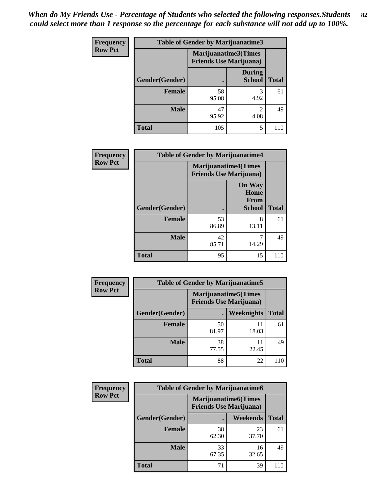| <b>Frequency</b> | <b>Table of Gender by Marijuanatime3</b> |                                |                                |              |
|------------------|------------------------------------------|--------------------------------|--------------------------------|--------------|
| <b>Row Pct</b>   |                                          | <b>Friends Use Marijuana</b> ) | Marijuanatime3(Times           |              |
|                  | Gender(Gender)                           |                                | <b>During</b><br><b>School</b> | <b>Total</b> |
|                  | <b>Female</b>                            | 58<br>95.08                    | 4.92                           | 61           |
|                  | <b>Male</b>                              | 47<br>95.92                    | $\mathfrak{D}$<br>4.08         | 49           |
|                  | <b>Total</b>                             | 105                            | 5                              | 110          |

| Frequency      | <b>Table of Gender by Marijuanatime4</b> |                                |                                                       |              |
|----------------|------------------------------------------|--------------------------------|-------------------------------------------------------|--------------|
| <b>Row Pct</b> |                                          | <b>Friends Use Marijuana</b> ) | <b>Marijuanatime4</b> (Times                          |              |
|                | Gender(Gender)                           |                                | <b>On Way</b><br>Home<br><b>From</b><br><b>School</b> | <b>Total</b> |
|                | <b>Female</b>                            | 53<br>86.89                    | 8<br>13.11                                            | 61           |
|                | <b>Male</b>                              | 42<br>85.71                    | 14.29                                                 | 49           |
|                | <b>Total</b>                             | 95                             | 15                                                    | 110          |

| Frequency      | <b>Table of Gender by Marijuanatime5</b> |             |                                                                |              |  |
|----------------|------------------------------------------|-------------|----------------------------------------------------------------|--------------|--|
| <b>Row Pct</b> |                                          |             | <b>Marijuanatime5</b> (Times<br><b>Friends Use Marijuana</b> ) |              |  |
|                | Gender(Gender)                           |             | Weeknights                                                     | <b>Total</b> |  |
|                | <b>Female</b>                            | 50<br>81.97 | 11<br>18.03                                                    | 61           |  |
|                | <b>Male</b>                              | 38<br>77.55 | 11<br>22.45                                                    | 49           |  |
|                | <b>Total</b>                             | 88          | 22                                                             | 110          |  |

| Frequency      | <b>Table of Gender by Marijuanatime6</b> |                                                               |                 |              |
|----------------|------------------------------------------|---------------------------------------------------------------|-----------------|--------------|
| <b>Row Pct</b> |                                          | <b>Marijuanatime6(Times</b><br><b>Friends Use Marijuana</b> ) |                 |              |
|                | Gender(Gender)                           |                                                               | <b>Weekends</b> | <b>Total</b> |
|                | <b>Female</b>                            | 38<br>62.30                                                   | 23<br>37.70     | 61           |
|                | <b>Male</b>                              | 33<br>67.35                                                   | 16<br>32.65     | 49           |
|                | <b>Total</b>                             | 71                                                            | 39              | 110          |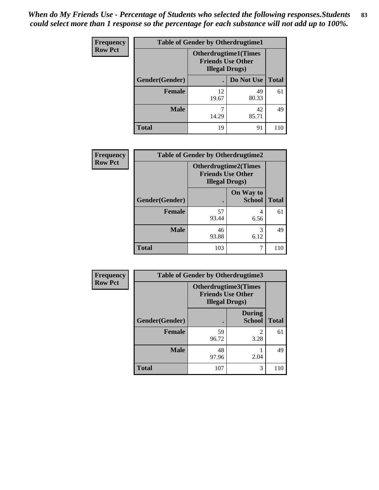| <b>Frequency</b> | <b>Table of Gender by Otherdrugtime1</b> |                                                                                  |                    |    |
|------------------|------------------------------------------|----------------------------------------------------------------------------------|--------------------|----|
| <b>Row Pct</b>   |                                          | <b>Otherdrugtime1(Times</b><br><b>Friends Use Other</b><br><b>Illegal Drugs)</b> |                    |    |
|                  | Gender(Gender)                           |                                                                                  | Do Not Use   Total |    |
|                  | <b>Female</b>                            | 12<br>19.67                                                                      | 49<br>80.33        | 61 |
|                  | <b>Male</b>                              | 7<br>14.29                                                                       | 42<br>85.71        | 49 |
|                  | <b>Total</b>                             | 19                                                                               | 91                 |    |

| Frequency      | <b>Table of Gender by Otherdrugtime2</b> |                                                                                   |                            |              |
|----------------|------------------------------------------|-----------------------------------------------------------------------------------|----------------------------|--------------|
| <b>Row Pct</b> |                                          | <b>Otherdrugtime2(Times</b><br><b>Friends Use Other</b><br><b>Illegal Drugs</b> ) |                            |              |
|                | Gender(Gender)                           |                                                                                   | On Way to<br><b>School</b> | <b>Total</b> |
|                | <b>Female</b>                            | 57<br>93.44                                                                       | 4<br>6.56                  | 61           |
|                | <b>Male</b>                              | 46<br>93.88                                                                       | 3<br>6.12                  | 49           |
|                | <b>Total</b>                             | 103                                                                               | 7                          | 110          |

| Frequency      | <b>Table of Gender by Otherdrugtime3</b> |                        |                                                  |              |
|----------------|------------------------------------------|------------------------|--------------------------------------------------|--------------|
| <b>Row Pct</b> |                                          | <b>Illegal Drugs</b> ) | Otherdrugtime3(Times<br><b>Friends Use Other</b> |              |
|                | Gender(Gender)                           |                        | <b>During</b><br><b>School</b>                   | <b>Total</b> |
|                | <b>Female</b>                            | 59<br>96.72            | $\mathfrak{D}$<br>3.28                           | 61           |
|                | <b>Male</b>                              | 48<br>97.96            | 2.04                                             | 49           |
|                | <b>Total</b>                             | 107                    | 3                                                | 110          |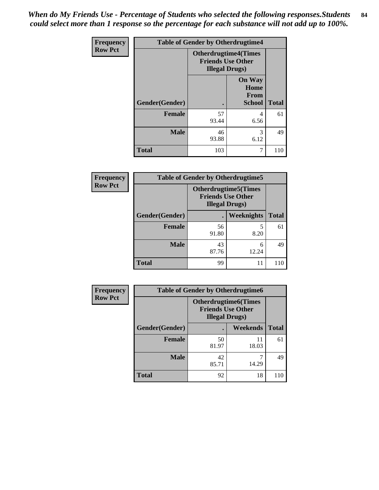*When do My Friends Use - Percentage of Students who selected the following responses.Students could select more than 1 response so the percentage for each substance will not add up to 100%.* **84**

| Frequency      | <b>Table of Gender by Otherdrugtime4</b> |                                                                                   |                                                       |              |
|----------------|------------------------------------------|-----------------------------------------------------------------------------------|-------------------------------------------------------|--------------|
| <b>Row Pct</b> |                                          | <b>Otherdrugtime4(Times</b><br><b>Friends Use Other</b><br><b>Illegal Drugs</b> ) |                                                       |              |
|                | Gender(Gender)                           |                                                                                   | <b>On Way</b><br>Home<br><b>From</b><br><b>School</b> | <b>Total</b> |
|                | <b>Female</b>                            | 57<br>93.44                                                                       | 4<br>6.56                                             | 61           |
|                | <b>Male</b>                              | 46<br>93.88                                                                       | 3<br>6.12                                             | 49           |
|                | <b>Total</b>                             | 103                                                                               | 7                                                     | 110          |

| <b>Frequency</b> | <b>Table of Gender by Otherdrugtime5</b> |                                                                                   |            |              |
|------------------|------------------------------------------|-----------------------------------------------------------------------------------|------------|--------------|
| <b>Row Pct</b>   |                                          | <b>Otherdrugtime5</b> (Times<br><b>Friends Use Other</b><br><b>Illegal Drugs)</b> |            |              |
|                  | Gender(Gender)                           | ٠                                                                                 | Weeknights | <b>Total</b> |
|                  | <b>Female</b>                            | 56<br>91.80                                                                       | 8.20       | 61           |
|                  | <b>Male</b>                              | 43<br>87.76                                                                       | 6<br>12.24 | 49           |
|                  | <b>Total</b>                             | 99                                                                                | 11         | 110          |

| <b>Frequency</b> |                | <b>Table of Gender by Otherdrugtime6</b>                                          |             |              |  |
|------------------|----------------|-----------------------------------------------------------------------------------|-------------|--------------|--|
| <b>Row Pct</b>   |                | <b>Otherdrugtime6(Times</b><br><b>Friends Use Other</b><br><b>Illegal Drugs</b> ) |             |              |  |
|                  | Gender(Gender) |                                                                                   | Weekends    | <b>Total</b> |  |
|                  | <b>Female</b>  | 50<br>81.97                                                                       | 11<br>18.03 | 61           |  |
|                  | <b>Male</b>    | 42<br>85.71                                                                       | 14.29       | 49           |  |
|                  | <b>Total</b>   | 92                                                                                | 18          | 110          |  |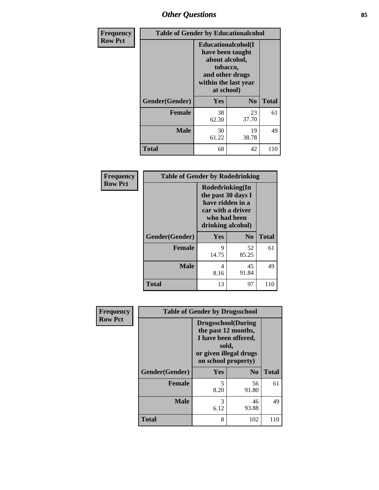## *Other Questions* **85**

| <b>Frequency</b> | <b>Table of Gender by Educationalcohol</b> |                                                                                                                                       |                |              |
|------------------|--------------------------------------------|---------------------------------------------------------------------------------------------------------------------------------------|----------------|--------------|
| <b>Row Pct</b>   |                                            | <b>Educationalcohol</b> (I<br>have been taught<br>about alcohol,<br>tobacco,<br>and other drugs<br>within the last year<br>at school) |                |              |
|                  | Gender(Gender)                             | <b>Yes</b>                                                                                                                            | N <sub>0</sub> | <b>Total</b> |
|                  | <b>Female</b>                              | 38<br>62.30                                                                                                                           | 23<br>37.70    | 61           |
|                  | <b>Male</b>                                | 30<br>61.22                                                                                                                           | 19<br>38.78    | 49           |
|                  | <b>Total</b>                               | 68                                                                                                                                    | 42             | 110          |

| Frequency      | <b>Table of Gender by Rodedrinking</b> |                                                                                                                     |             |              |  |
|----------------|----------------------------------------|---------------------------------------------------------------------------------------------------------------------|-------------|--------------|--|
| <b>Row Pct</b> |                                        | Rodedrinking(In<br>the past 30 days I<br>have ridden in a<br>car with a driver<br>who had been<br>drinking alcohol) |             |              |  |
|                | Gender(Gender)                         | Yes                                                                                                                 | $\bf N_0$   | <b>Total</b> |  |
|                | <b>Female</b>                          | 9<br>14.75                                                                                                          | 52<br>85.25 | 61           |  |
|                | <b>Male</b>                            | 4<br>8.16                                                                                                           | 45<br>91.84 | 49           |  |
|                | <b>Total</b>                           | 13                                                                                                                  | 97          | 110          |  |

| Frequency      |                | <b>Table of Gender by Drugsschool</b>                                                                                               |                |              |
|----------------|----------------|-------------------------------------------------------------------------------------------------------------------------------------|----------------|--------------|
| <b>Row Pct</b> |                | <b>Drugsschool</b> (During<br>the past 12 months,<br>I have been offered,<br>sold,<br>or given illegal drugs<br>on school property) |                |              |
|                | Gender(Gender) | Yes                                                                                                                                 | N <sub>0</sub> | <b>Total</b> |
|                | <b>Female</b>  | 5<br>8.20                                                                                                                           | 56<br>91.80    | 61           |
|                | <b>Male</b>    | 3<br>6.12                                                                                                                           | 46<br>93.88    | 49           |
|                | <b>Total</b>   | 8                                                                                                                                   | 102            | 110          |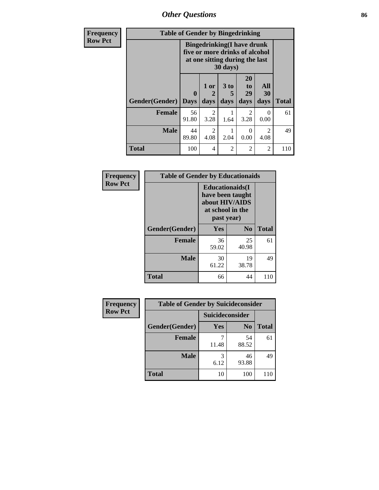*Other Questions* **86**

| Frequency                                                                                                                                    | <b>Table of Gender by Bingedrinking</b> |                             |                        |                              |                               |                                     |              |
|----------------------------------------------------------------------------------------------------------------------------------------------|-----------------------------------------|-----------------------------|------------------------|------------------------------|-------------------------------|-------------------------------------|--------------|
| <b>Row Pct</b><br><b>Bingedrinking(I have drunk</b><br>five or more drinks of alcohol<br>at one sitting during the last<br>$30 \text{ days}$ |                                         |                             |                        |                              |                               |                                     |              |
|                                                                                                                                              | Gender(Gender)                          | $\mathbf{0}$<br><b>Days</b> | 1 or<br>days           | 3 <sub>to</sub><br>5<br>days | <b>20</b><br>to<br>29<br>days | All<br>30<br>days                   | <b>Total</b> |
|                                                                                                                                              | Female                                  | 56<br>91.80                 | $\mathfrak{D}$<br>3.28 | 1.64                         | $\overline{2}$<br>3.28        | 0<br>0.00                           | 61           |
|                                                                                                                                              | <b>Male</b>                             | 44<br>89.80                 | 2<br>4.08              | 2.04                         | $\Omega$<br>0.00              | $\mathcal{D}_{\mathcal{L}}$<br>4.08 | 49           |
|                                                                                                                                              | <b>Total</b>                            | 100                         | 4                      | 2                            | $\overline{2}$                | 2                                   | 110          |

| Frequency      | <b>Table of Gender by Educationaids</b> |                                                                                                 |             |              |
|----------------|-----------------------------------------|-------------------------------------------------------------------------------------------------|-------------|--------------|
| <b>Row Pct</b> |                                         | <b>Educationaids</b> (I<br>have been taught<br>about HIV/AIDS<br>at school in the<br>past year) |             |              |
|                | Gender(Gender)                          | Yes                                                                                             | $\bf N_0$   | <b>Total</b> |
|                | <b>Female</b>                           | 36<br>59.02                                                                                     | 25<br>40.98 | 61           |
|                | <b>Male</b>                             | 30<br>61.22                                                                                     | 19<br>38.78 | 49           |
|                | <b>Total</b>                            | 66                                                                                              | 44          | 110          |

| <b>Frequency</b> | <b>Table of Gender by Suicideconsider</b> |                 |                |              |
|------------------|-------------------------------------------|-----------------|----------------|--------------|
| <b>Row Pct</b>   |                                           | Suicideconsider |                |              |
|                  | Gender(Gender)                            | Yes             | N <sub>0</sub> | <b>Total</b> |
|                  | <b>Female</b>                             | 11.48           | 54<br>88.52    | 61           |
|                  | <b>Male</b>                               | 3<br>6.12       | 46<br>93.88    | 49           |
|                  | <b>Total</b>                              | 10              | 100            | 110          |